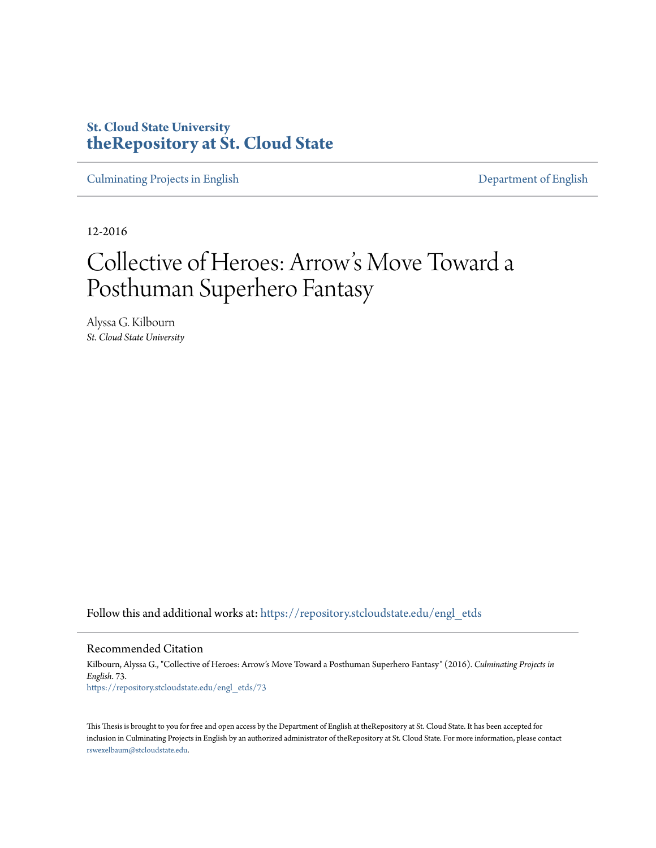## **St. Cloud State University [theRepository at St. Cloud State](https://repository.stcloudstate.edu?utm_source=repository.stcloudstate.edu%2Fengl_etds%2F73&utm_medium=PDF&utm_campaign=PDFCoverPages)**

[Culminating Projects in English](https://repository.stcloudstate.edu/engl_etds?utm_source=repository.stcloudstate.edu%2Fengl_etds%2F73&utm_medium=PDF&utm_campaign=PDFCoverPages) [Department of English](https://repository.stcloudstate.edu/engl?utm_source=repository.stcloudstate.edu%2Fengl_etds%2F73&utm_medium=PDF&utm_campaign=PDFCoverPages)

12-2016

# Collective of Heroes: Arrow 's Move Toward a Posthuman Superhero Fantasy

Alyssa G. Kilbourn *St. Cloud State University*

Follow this and additional works at: [https://repository.stcloudstate.edu/engl\\_etds](https://repository.stcloudstate.edu/engl_etds?utm_source=repository.stcloudstate.edu%2Fengl_etds%2F73&utm_medium=PDF&utm_campaign=PDFCoverPages)

Recommended Citation

Kilbourn, Alyssa G., "Collective of Heroes: Arrow's Move Toward a Posthuman Superhero Fantasy" (2016). *Culminating Projects in English*. 73. [https://repository.stcloudstate.edu/engl\\_etds/73](https://repository.stcloudstate.edu/engl_etds/73?utm_source=repository.stcloudstate.edu%2Fengl_etds%2F73&utm_medium=PDF&utm_campaign=PDFCoverPages)

This Thesis is brought to you for free and open access by the Department of English at theRepository at St. Cloud State. It has been accepted for inclusion in Culminating Projects in English by an authorized administrator of theRepository at St. Cloud State. For more information, please contact [rswexelbaum@stcloudstate.edu](mailto:rswexelbaum@stcloudstate.edu).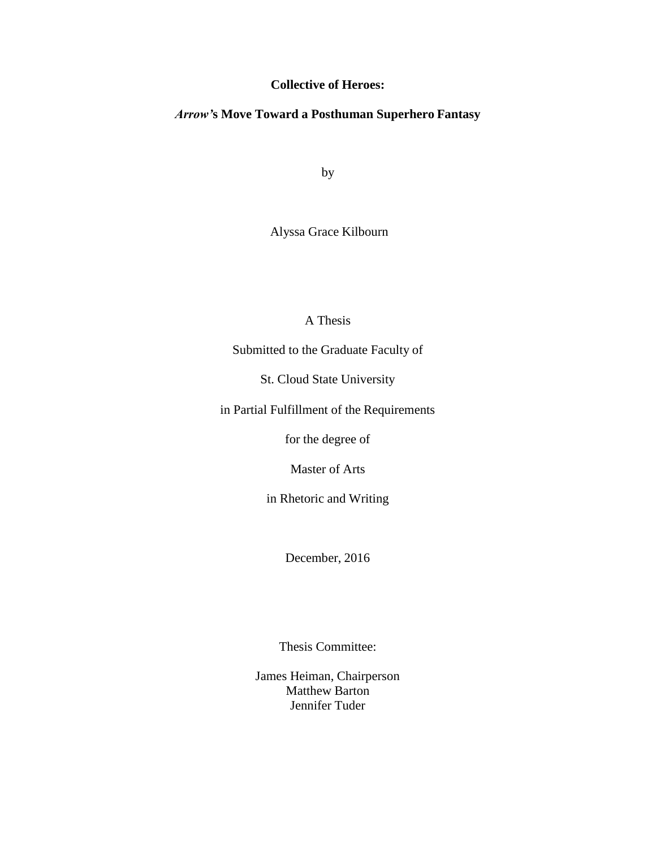## **Collective of Heroes:**

## *Arrow'***s Move Toward a Posthuman Superhero Fantasy**

by

Alyssa Grace Kilbourn

## A Thesis

Submitted to the Graduate Faculty of

St. Cloud State University

in Partial Fulfillment of the Requirements

for the degree of

Master of Arts

in Rhetoric and Writing

December, 2016

Thesis Committee:

James Heiman, Chairperson Matthew Barton Jennifer Tuder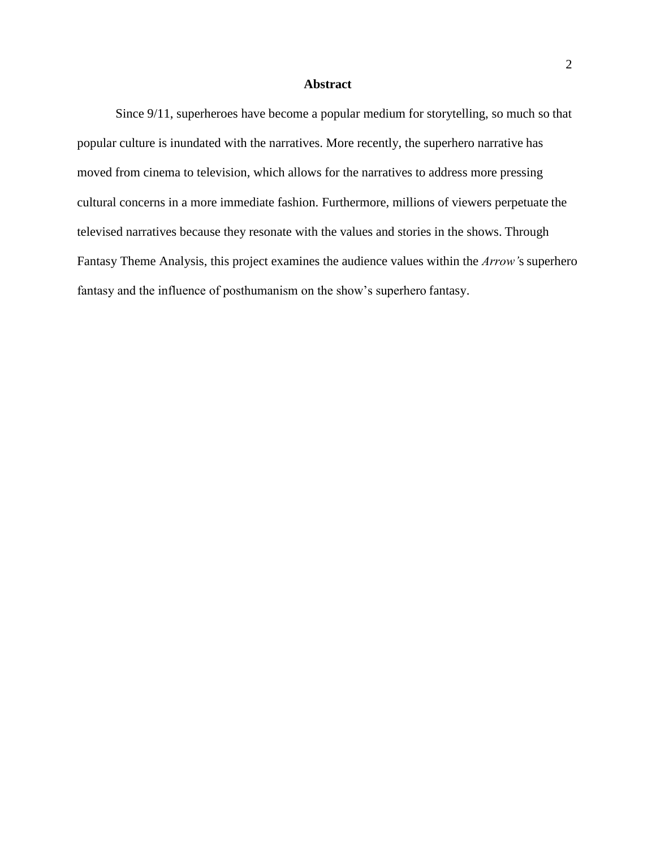#### **Abstract**

Since 9/11, superheroes have become a popular medium for storytelling, so much so that popular culture is inundated with the narratives. More recently, the superhero narrative has moved from cinema to television, which allows for the narratives to address more pressing cultural concerns in a more immediate fashion. Furthermore, millions of viewers perpetuate the televised narratives because they resonate with the values and stories in the shows. Through Fantasy Theme Analysis, this project examines the audience values within the *Arrow'*s superhero fantasy and the influence of posthumanism on the show's superhero fantasy.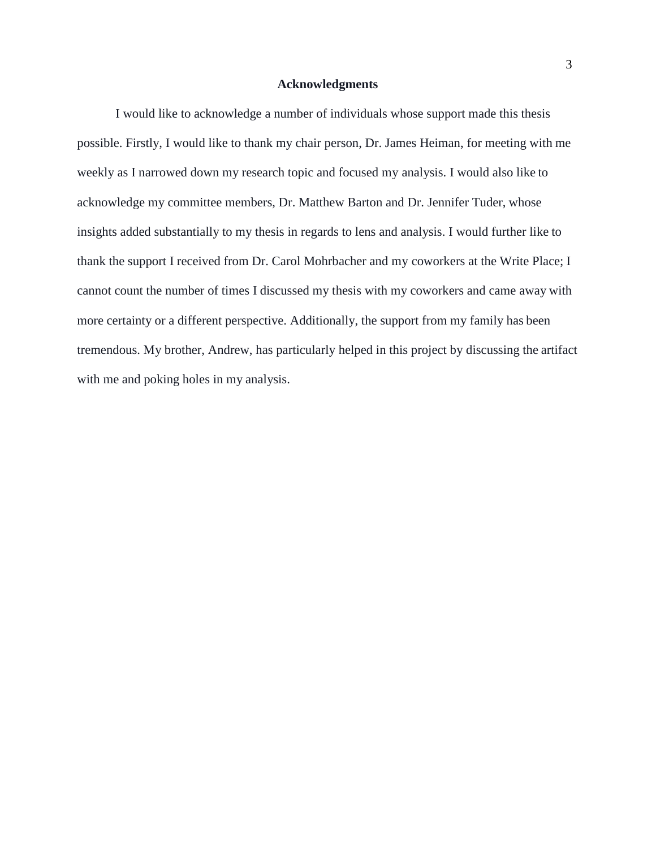#### **Acknowledgments**

I would like to acknowledge a number of individuals whose support made this thesis possible. Firstly, I would like to thank my chair person, Dr. James Heiman, for meeting with me weekly as I narrowed down my research topic and focused my analysis. I would also like to acknowledge my committee members, Dr. Matthew Barton and Dr. Jennifer Tuder, whose insights added substantially to my thesis in regards to lens and analysis. I would further like to thank the support I received from Dr. Carol Mohrbacher and my coworkers at the Write Place; I cannot count the number of times I discussed my thesis with my coworkers and came away with more certainty or a different perspective. Additionally, the support from my family has been tremendous. My brother, Andrew, has particularly helped in this project by discussing the artifact with me and poking holes in my analysis.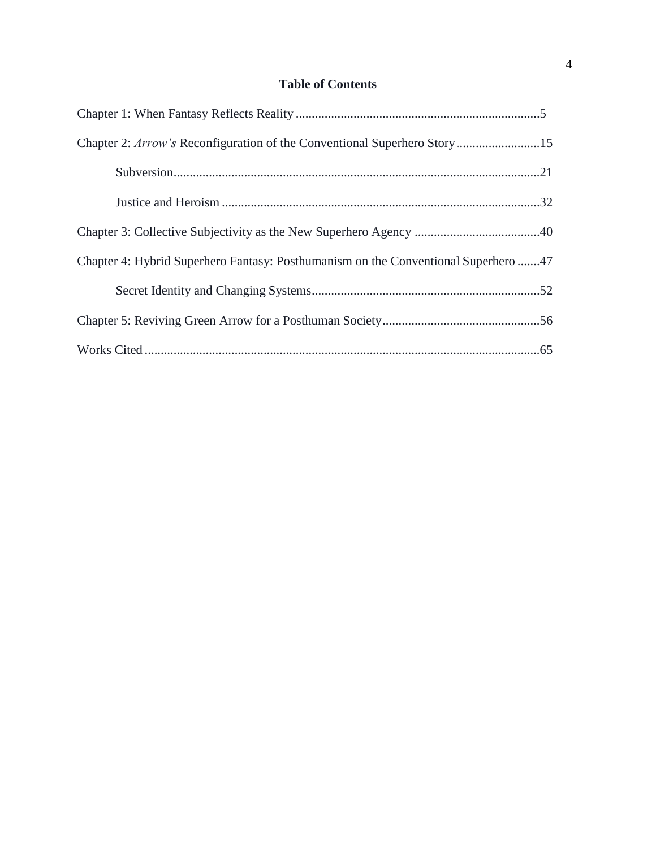## **Table of Contents**

| Chapter 2: Arrow's Reconfiguration of the Conventional Superhero Story15           |  |
|------------------------------------------------------------------------------------|--|
|                                                                                    |  |
|                                                                                    |  |
|                                                                                    |  |
| Chapter 4: Hybrid Superhero Fantasy: Posthumanism on the Conventional Superhero 47 |  |
|                                                                                    |  |
|                                                                                    |  |
|                                                                                    |  |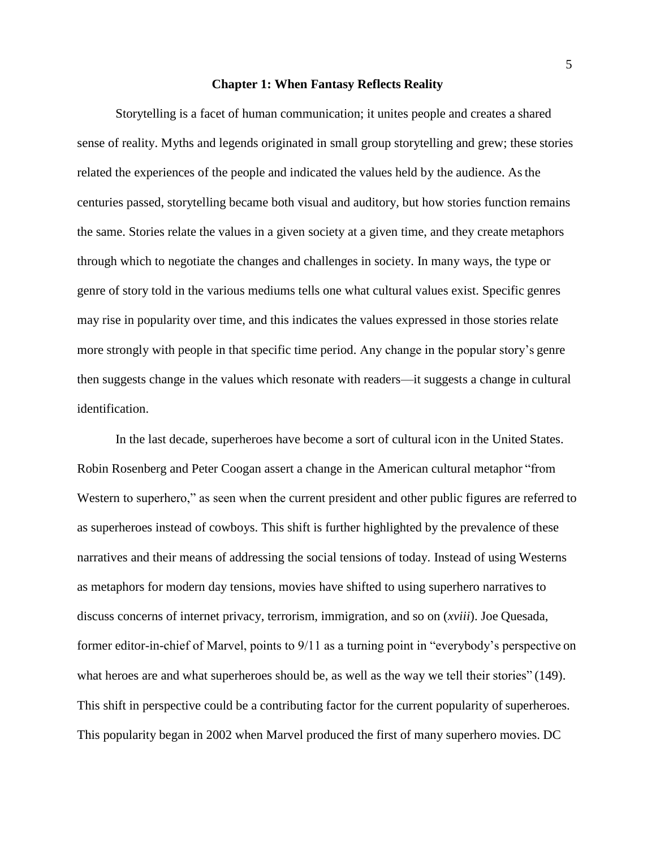#### **Chapter 1: When Fantasy Reflects Reality**

<span id="page-5-0"></span>Storytelling is a facet of human communication; it unites people and creates a shared sense of reality. Myths and legends originated in small group storytelling and grew; these stories related the experiences of the people and indicated the values held by the audience. Asthe centuries passed, storytelling became both visual and auditory, but how stories function remains the same. Stories relate the values in a given society at a given time, and they create metaphors through which to negotiate the changes and challenges in society. In many ways, the type or genre of story told in the various mediums tells one what cultural values exist. Specific genres may rise in popularity over time, and this indicates the values expressed in those stories relate more strongly with people in that specific time period. Any change in the popular story's genre then suggests change in the values which resonate with readers—it suggests a change in cultural identification.

In the last decade, superheroes have become a sort of cultural icon in the United States. Robin Rosenberg and Peter Coogan assert a change in the American cultural metaphor "from Western to superhero," as seen when the current president and other public figures are referred to as superheroes instead of cowboys. This shift is further highlighted by the prevalence of these narratives and their means of addressing the social tensions of today. Instead of using Westerns as metaphors for modern day tensions, movies have shifted to using superhero narratives to discuss concerns of internet privacy, terrorism, immigration, and so on (*xviii*). Joe Quesada, former editor-in-chief of Marvel, points to 9/11 as a turning point in "everybody's perspective on what heroes are and what superheroes should be, as well as the way we tell their stories" (149). This shift in perspective could be a contributing factor for the current popularity of superheroes. This popularity began in 2002 when Marvel produced the first of many superhero movies. DC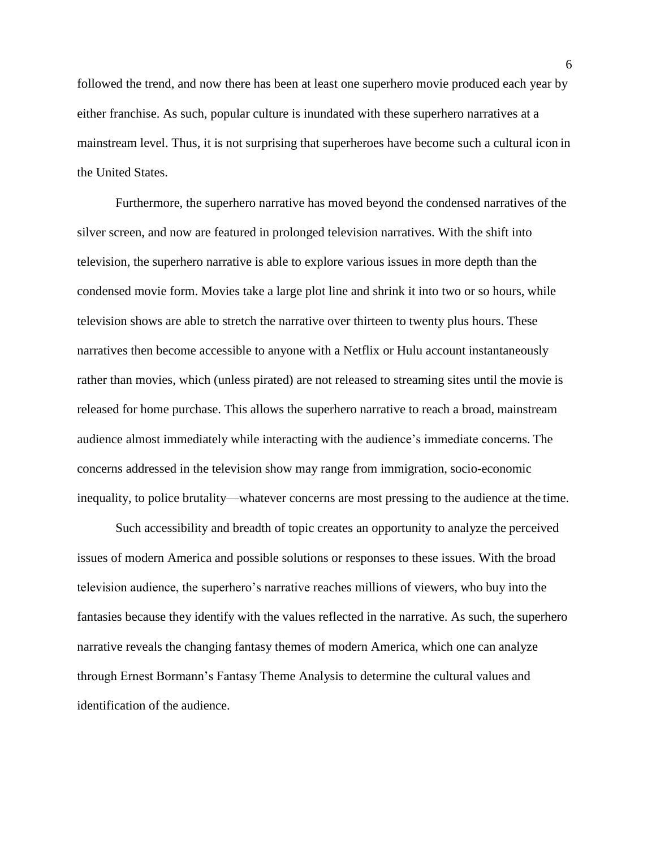followed the trend, and now there has been at least one superhero movie produced each year by either franchise. As such, popular culture is inundated with these superhero narratives at a mainstream level. Thus, it is not surprising that superheroes have become such a cultural icon in the United States.

Furthermore, the superhero narrative has moved beyond the condensed narratives of the silver screen, and now are featured in prolonged television narratives. With the shift into television, the superhero narrative is able to explore various issues in more depth than the condensed movie form. Movies take a large plot line and shrink it into two or so hours, while television shows are able to stretch the narrative over thirteen to twenty plus hours. These narratives then become accessible to anyone with a Netflix or Hulu account instantaneously rather than movies, which (unless pirated) are not released to streaming sites until the movie is released for home purchase. This allows the superhero narrative to reach a broad, mainstream audience almost immediately while interacting with the audience's immediate concerns. The concerns addressed in the television show may range from immigration, socio-economic inequality, to police brutality—whatever concerns are most pressing to the audience at the time.

Such accessibility and breadth of topic creates an opportunity to analyze the perceived issues of modern America and possible solutions or responses to these issues. With the broad television audience, the superhero's narrative reaches millions of viewers, who buy into the fantasies because they identify with the values reflected in the narrative. As such, the superhero narrative reveals the changing fantasy themes of modern America, which one can analyze through Ernest Bormann's Fantasy Theme Analysis to determine the cultural values and identification of the audience.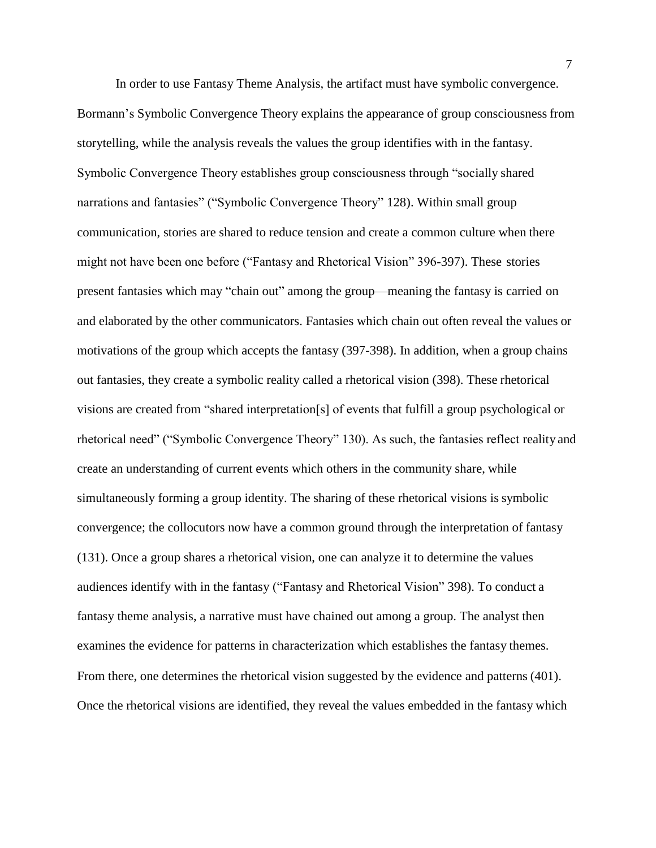In order to use Fantasy Theme Analysis, the artifact must have symbolic convergence. Bormann's Symbolic Convergence Theory explains the appearance of group consciousness from storytelling, while the analysis reveals the values the group identifies with in the fantasy. Symbolic Convergence Theory establishes group consciousness through "socially shared narrations and fantasies" ("Symbolic Convergence Theory" 128). Within small group communication, stories are shared to reduce tension and create a common culture when there might not have been one before ("Fantasy and Rhetorical Vision" 396-397). These stories present fantasies which may "chain out" among the group—meaning the fantasy is carried on and elaborated by the other communicators. Fantasies which chain out often reveal the values or motivations of the group which accepts the fantasy (397-398). In addition, when a group chains out fantasies, they create a symbolic reality called a rhetorical vision (398). These rhetorical visions are created from "shared interpretation[s] of events that fulfill a group psychological or rhetorical need" ("Symbolic Convergence Theory" 130). As such, the fantasies reflect reality and create an understanding of current events which others in the community share, while simultaneously forming a group identity. The sharing of these rhetorical visions is symbolic convergence; the collocutors now have a common ground through the interpretation of fantasy (131). Once a group shares a rhetorical vision, one can analyze it to determine the values audiences identify with in the fantasy ("Fantasy and Rhetorical Vision" 398). To conduct a fantasy theme analysis, a narrative must have chained out among a group. The analyst then examines the evidence for patterns in characterization which establishes the fantasy themes. From there, one determines the rhetorical vision suggested by the evidence and patterns (401). Once the rhetorical visions are identified, they reveal the values embedded in the fantasy which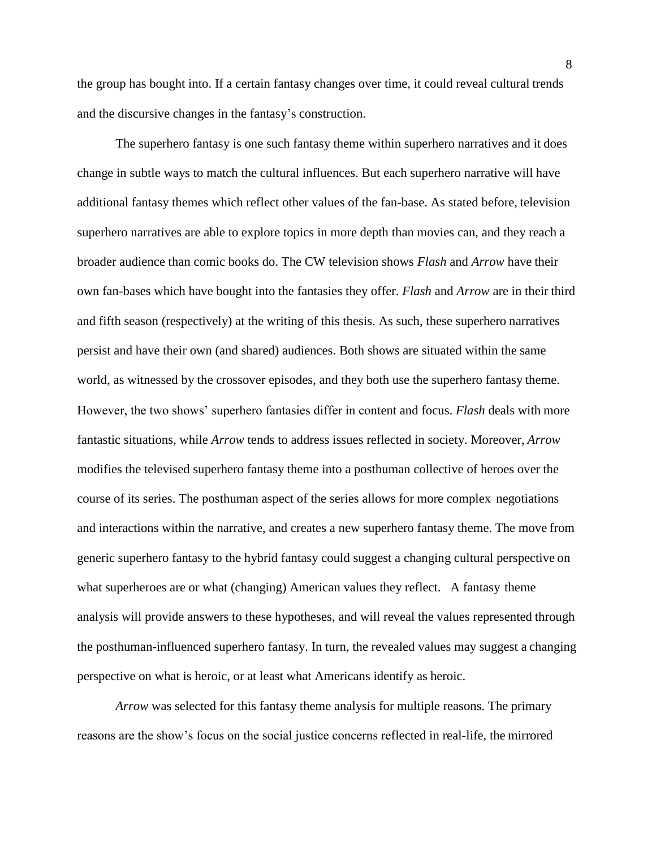the group has bought into. If a certain fantasy changes over time, it could reveal cultural trends and the discursive changes in the fantasy's construction.

The superhero fantasy is one such fantasy theme within superhero narratives and it does change in subtle ways to match the cultural influences. But each superhero narrative will have additional fantasy themes which reflect other values of the fan-base. As stated before, television superhero narratives are able to explore topics in more depth than movies can, and they reach a broader audience than comic books do. The CW television shows *Flash* and *Arrow* have their own fan-bases which have bought into the fantasies they offer. *Flash* and *Arrow* are in their third and fifth season (respectively) at the writing of this thesis. As such, these superhero narratives persist and have their own (and shared) audiences. Both shows are situated within the same world, as witnessed by the crossover episodes, and they both use the superhero fantasy theme. However, the two shows' superhero fantasies differ in content and focus. *Flash* deals with more fantastic situations, while *Arrow* tends to address issues reflected in society. Moreover, *Arrow*  modifies the televised superhero fantasy theme into a posthuman collective of heroes over the course of its series. The posthuman aspect of the series allows for more complex negotiations and interactions within the narrative, and creates a new superhero fantasy theme. The move from generic superhero fantasy to the hybrid fantasy could suggest a changing cultural perspective on what superheroes are or what (changing) American values they reflect. A fantasy theme analysis will provide answers to these hypotheses, and will reveal the values represented through the posthuman-influenced superhero fantasy. In turn, the revealed values may suggest a changing perspective on what is heroic, or at least what Americans identify as heroic.

*Arrow* was selected for this fantasy theme analysis for multiple reasons. The primary reasons are the show's focus on the social justice concerns reflected in real-life, the mirrored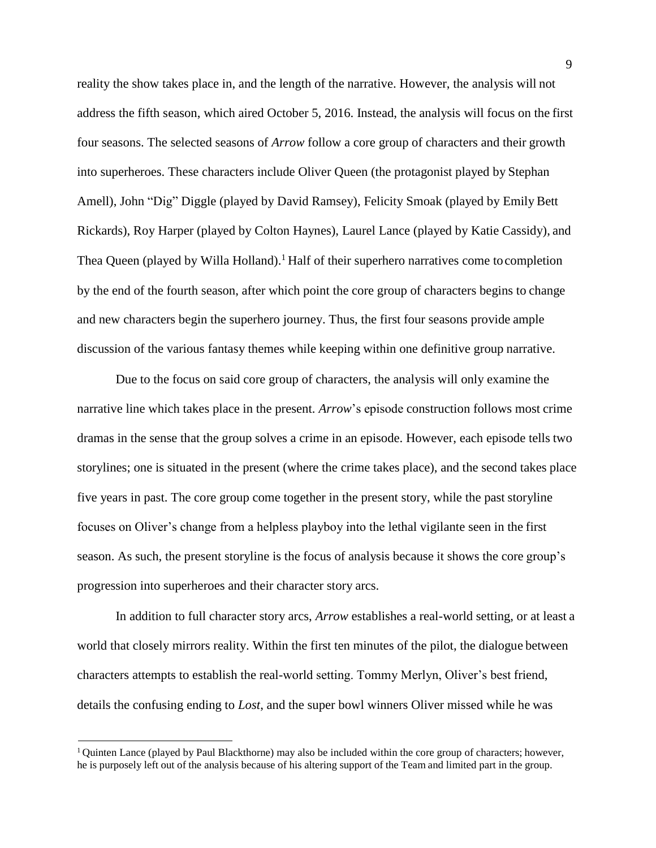reality the show takes place in, and the length of the narrative. However, the analysis will not address the fifth season, which aired October 5, 2016. Instead, the analysis will focus on the first four seasons. The selected seasons of *Arrow* follow a core group of characters and their growth into superheroes. These characters include Oliver Queen (the protagonist played by Stephan Amell), John "Dig" Diggle (played by David Ramsey), Felicity Smoak (played by Emily Bett Rickards), Roy Harper (played by Colton Haynes), Laurel Lance (played by Katie Cassidy), and Thea Queen (played by Willa Holland).<sup>1</sup> Half of their superhero narratives come to completion by the end of the fourth season, after which point the core group of characters begins to change and new characters begin the superhero journey. Thus, the first four seasons provide ample discussion of the various fantasy themes while keeping within one definitive group narrative.

Due to the focus on said core group of characters, the analysis will only examine the narrative line which takes place in the present. *Arrow*'s episode construction follows most crime dramas in the sense that the group solves a crime in an episode. However, each episode tells two storylines; one is situated in the present (where the crime takes place), and the second takes place five years in past. The core group come together in the present story, while the past storyline focuses on Oliver's change from a helpless playboy into the lethal vigilante seen in the first season. As such, the present storyline is the focus of analysis because it shows the core group's progression into superheroes and their character story arcs.

In addition to full character story arcs, *Arrow* establishes a real-world setting, or at least a world that closely mirrors reality. Within the first ten minutes of the pilot, the dialogue between characters attempts to establish the real-world setting. Tommy Merlyn, Oliver's best friend, details the confusing ending to *Lost*, and the super bowl winners Oliver missed while he was

<sup>&</sup>lt;sup>1</sup> Quinten Lance (played by Paul Blackthorne) may also be included within the core group of characters; however, he is purposely left out of the analysis because of his altering support of the Team and limited part in the group.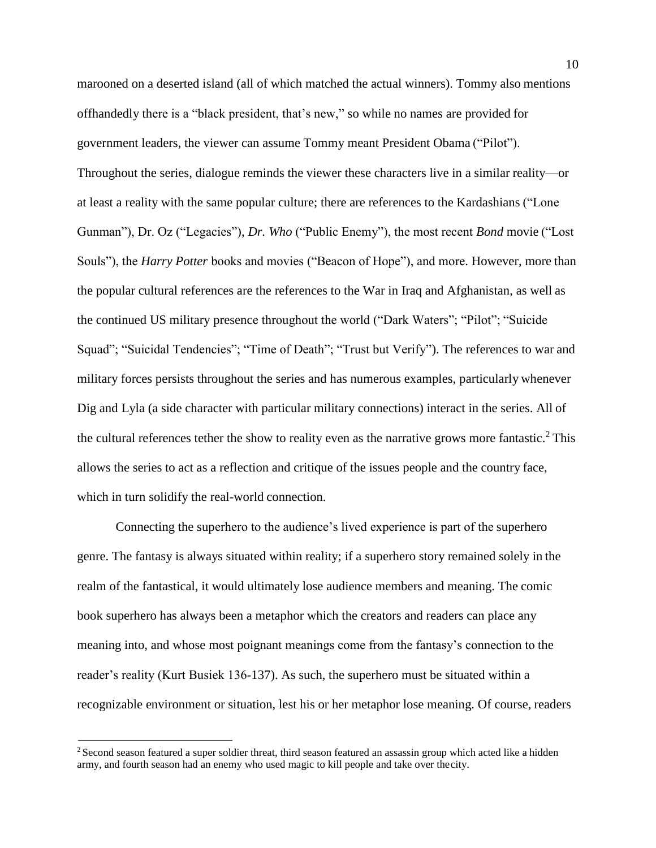marooned on a deserted island (all of which matched the actual winners). Tommy also mentions offhandedly there is a "black president, that's new," so while no names are provided for government leaders, the viewer can assume Tommy meant President Obama ("Pilot"). Throughout the series, dialogue reminds the viewer these characters live in a similar reality—or at least a reality with the same popular culture; there are references to the Kardashians ("Lone Gunman"), Dr. Oz ("Legacies"), *Dr. Who* ("Public Enemy"), the most recent *Bond* movie ("Lost Souls"), the *Harry Potter* books and movies ("Beacon of Hope"), and more. However, more than the popular cultural references are the references to the War in Iraq and Afghanistan, as well as the continued US military presence throughout the world ("Dark Waters"; "Pilot"; "Suicide Squad"; "Suicidal Tendencies"; "Time of Death"; "Trust but Verify"). The references to war and military forces persists throughout the series and has numerous examples, particularly whenever Dig and Lyla (a side character with particular military connections) interact in the series. All of the cultural references tether the show to reality even as the narrative grows more fantastic.<sup>2</sup> This allows the series to act as a reflection and critique of the issues people and the country face, which in turn solidify the real-world connection.

Connecting the superhero to the audience's lived experience is part of the superhero genre. The fantasy is always situated within reality; if a superhero story remained solely in the realm of the fantastical, it would ultimately lose audience members and meaning. The comic book superhero has always been a metaphor which the creators and readers can place any meaning into, and whose most poignant meanings come from the fantasy's connection to the reader's reality (Kurt Busiek 136-137). As such, the superhero must be situated within a recognizable environment or situation, lest his or her metaphor lose meaning. Of course, readers

<sup>&</sup>lt;sup>2</sup> Second season featured a super soldier threat, third season featured an assassin group which acted like a hidden army, and fourth season had an enemy who used magic to kill people and take over thecity.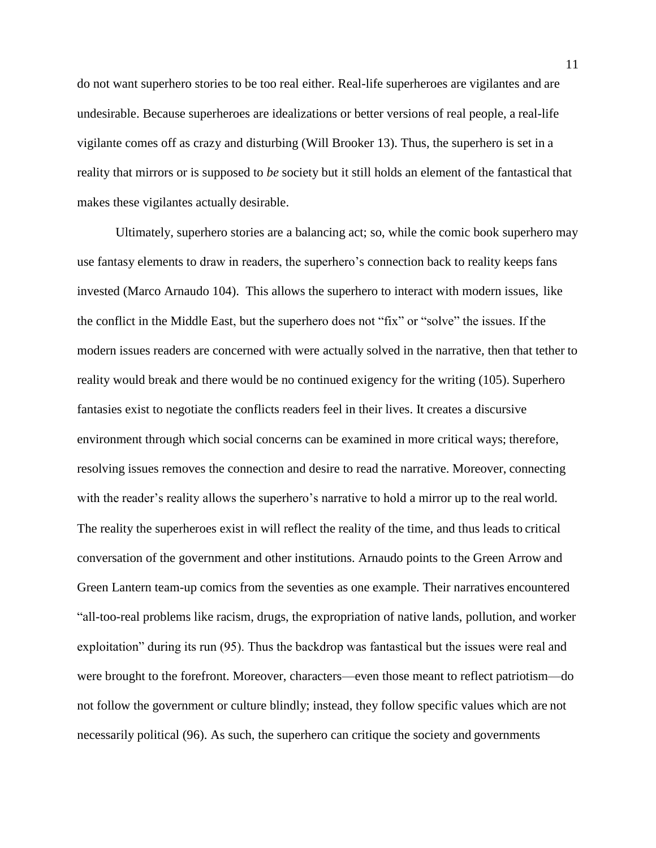do not want superhero stories to be too real either. Real-life superheroes are vigilantes and are undesirable. Because superheroes are idealizations or better versions of real people, a real-life vigilante comes off as crazy and disturbing (Will Brooker 13). Thus, the superhero is set in a reality that mirrors or is supposed to *be* society but it still holds an element of the fantastical that makes these vigilantes actually desirable.

Ultimately, superhero stories are a balancing act; so, while the comic book superhero may use fantasy elements to draw in readers, the superhero's connection back to reality keeps fans invested (Marco Arnaudo 104). This allows the superhero to interact with modern issues, like the conflict in the Middle East, but the superhero does not "fix" or "solve" the issues. If the modern issues readers are concerned with were actually solved in the narrative, then that tether to reality would break and there would be no continued exigency for the writing (105). Superhero fantasies exist to negotiate the conflicts readers feel in their lives. It creates a discursive environment through which social concerns can be examined in more critical ways; therefore, resolving issues removes the connection and desire to read the narrative. Moreover, connecting with the reader's reality allows the superhero's narrative to hold a mirror up to the real world. The reality the superheroes exist in will reflect the reality of the time, and thus leads to critical conversation of the government and other institutions. Arnaudo points to the Green Arrow and Green Lantern team-up comics from the seventies as one example. Their narratives encountered "all-too-real problems like racism, drugs, the expropriation of native lands, pollution, and worker exploitation" during its run (95). Thus the backdrop was fantastical but the issues were real and were brought to the forefront. Moreover, characters—even those meant to reflect patriotism—do not follow the government or culture blindly; instead, they follow specific values which are not necessarily political (96). As such, the superhero can critique the society and governments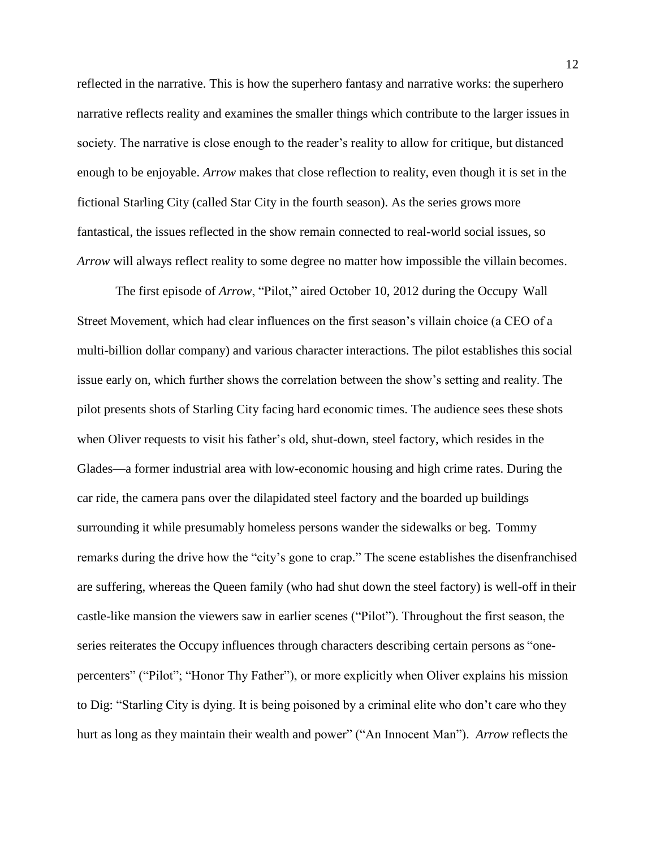reflected in the narrative. This is how the superhero fantasy and narrative works: the superhero narrative reflects reality and examines the smaller things which contribute to the larger issues in society. The narrative is close enough to the reader's reality to allow for critique, but distanced enough to be enjoyable. *Arrow* makes that close reflection to reality, even though it is set in the fictional Starling City (called Star City in the fourth season). As the series grows more fantastical, the issues reflected in the show remain connected to real-world social issues, so *Arrow* will always reflect reality to some degree no matter how impossible the villain becomes.

The first episode of *Arrow*, "Pilot," aired October 10, 2012 during the Occupy Wall Street Movement, which had clear influences on the first season's villain choice (a CEO of a multi-billion dollar company) and various character interactions. The pilot establishes this social issue early on, which further shows the correlation between the show's setting and reality. The pilot presents shots of Starling City facing hard economic times. The audience sees these shots when Oliver requests to visit his father's old, shut-down, steel factory, which resides in the Glades—a former industrial area with low-economic housing and high crime rates. During the car ride, the camera pans over the dilapidated steel factory and the boarded up buildings surrounding it while presumably homeless persons wander the sidewalks or beg. Tommy remarks during the drive how the "city's gone to crap." The scene establishes the disenfranchised are suffering, whereas the Queen family (who had shut down the steel factory) is well-off in their castle-like mansion the viewers saw in earlier scenes ("Pilot"). Throughout the first season, the series reiterates the Occupy influences through characters describing certain persons as "onepercenters" ("Pilot"; "Honor Thy Father"), or more explicitly when Oliver explains his mission to Dig: "Starling City is dying. It is being poisoned by a criminal elite who don't care who they hurt as long as they maintain their wealth and power" ("An Innocent Man"). *Arrow* reflects the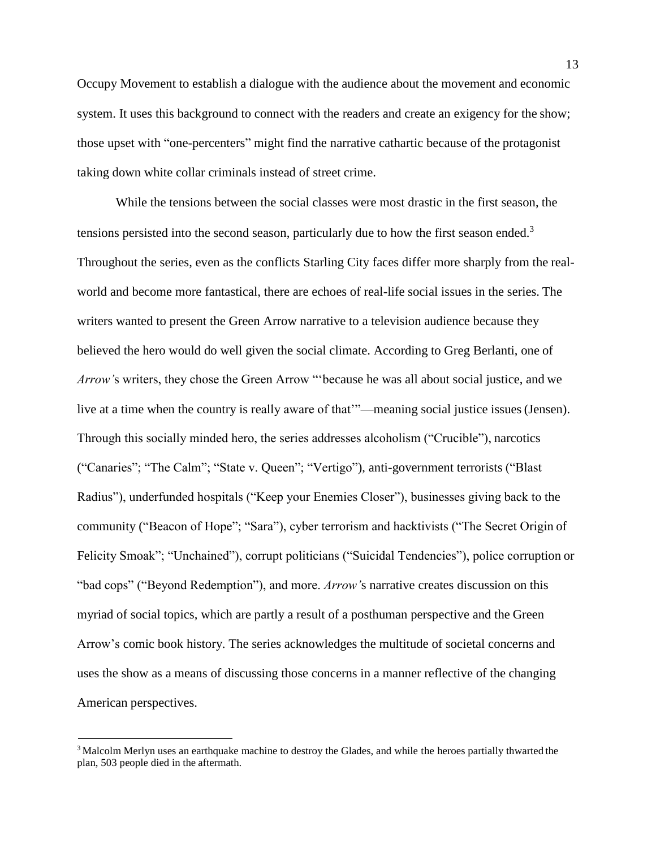Occupy Movement to establish a dialogue with the audience about the movement and economic system. It uses this background to connect with the readers and create an exigency for the show; those upset with "one-percenters" might find the narrative cathartic because of the protagonist taking down white collar criminals instead of street crime.

While the tensions between the social classes were most drastic in the first season, the tensions persisted into the second season, particularly due to how the first season ended.<sup>3</sup> Throughout the series, even as the conflicts Starling City faces differ more sharply from the realworld and become more fantastical, there are echoes of real-life social issues in the series. The writers wanted to present the Green Arrow narrative to a television audience because they believed the hero would do well given the social climate. According to Greg Berlanti, one of *Arrow'*s writers, they chose the Green Arrow "'because he was all about social justice, and we live at a time when the country is really aware of that'"—meaning social justice issues(Jensen). Through this socially minded hero, the series addresses alcoholism ("Crucible"), narcotics ("Canaries"; "The Calm"; "State v. Queen"; "Vertigo"), anti-government terrorists ("Blast Radius"), underfunded hospitals ("Keep your Enemies Closer"), businesses giving back to the community ("Beacon of Hope"; "Sara"), cyber terrorism and hacktivists ("The Secret Origin of Felicity Smoak"; "Unchained"), corrupt politicians ("Suicidal Tendencies"), police corruption or "bad cops" ("Beyond Redemption"), and more. *Arrow'*s narrative creates discussion on this myriad of social topics, which are partly a result of a posthuman perspective and the Green Arrow's comic book history. The series acknowledges the multitude of societal concerns and uses the show as a means of discussing those concerns in a manner reflective of the changing American perspectives.

<sup>&</sup>lt;sup>3</sup>Malcolm Merlyn uses an earthquake machine to destroy the Glades, and while the heroes partially thwarted the plan, 503 people died in the aftermath.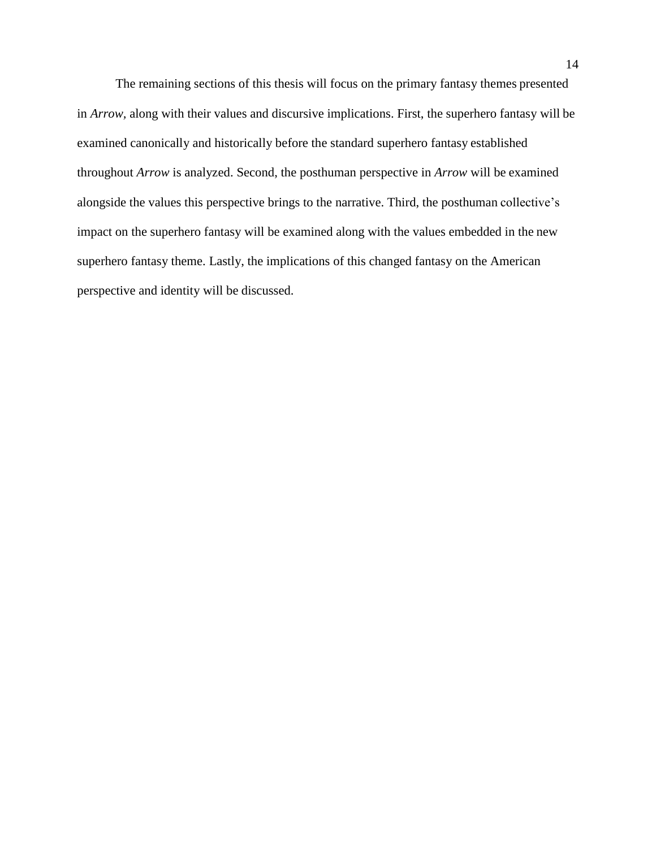The remaining sections of this thesis will focus on the primary fantasy themes presented in *Arrow,* along with their values and discursive implications. First, the superhero fantasy will be examined canonically and historically before the standard superhero fantasy established throughout *Arrow* is analyzed. Second, the posthuman perspective in *Arrow* will be examined alongside the values this perspective brings to the narrative. Third, the posthuman collective's impact on the superhero fantasy will be examined along with the values embedded in the new superhero fantasy theme. Lastly, the implications of this changed fantasy on the American perspective and identity will be discussed.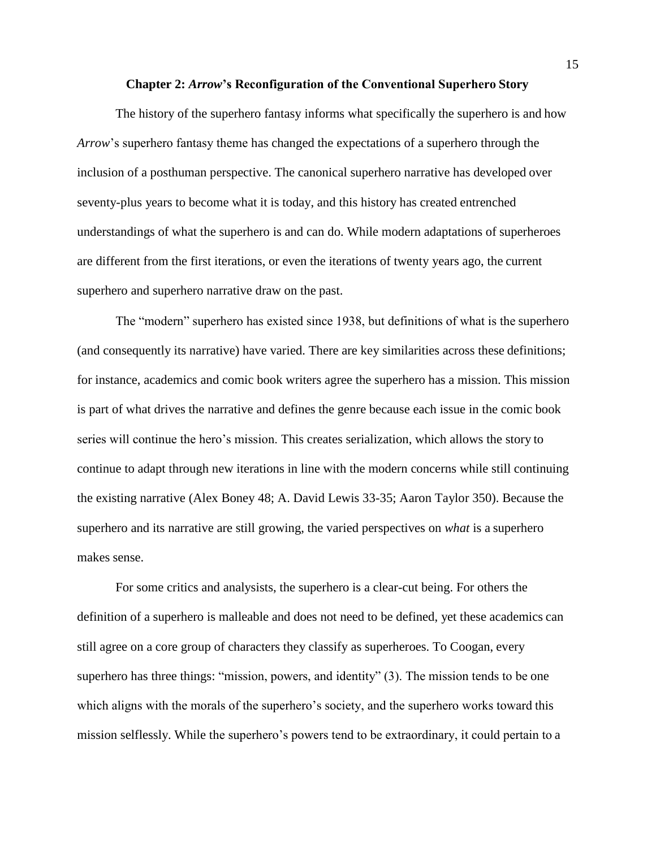#### **Chapter 2:** *Arrow***'s Reconfiguration of the Conventional Superhero Story**

<span id="page-15-0"></span>The history of the superhero fantasy informs what specifically the superhero is and how *Arrow*'s superhero fantasy theme has changed the expectations of a superhero through the inclusion of a posthuman perspective. The canonical superhero narrative has developed over seventy-plus years to become what it is today, and this history has created entrenched understandings of what the superhero is and can do. While modern adaptations of superheroes are different from the first iterations, or even the iterations of twenty years ago, the current superhero and superhero narrative draw on the past.

The "modern" superhero has existed since 1938, but definitions of what is the superhero (and consequently its narrative) have varied. There are key similarities across these definitions; for instance, academics and comic book writers agree the superhero has a mission. This mission is part of what drives the narrative and defines the genre because each issue in the comic book series will continue the hero's mission. This creates serialization, which allows the story to continue to adapt through new iterations in line with the modern concerns while still continuing the existing narrative (Alex Boney 48; A. David Lewis 33-35; Aaron Taylor 350). Because the superhero and its narrative are still growing, the varied perspectives on *what* is a superhero makes sense.

For some critics and analysists, the superhero is a clear-cut being. For others the definition of a superhero is malleable and does not need to be defined, yet these academics can still agree on a core group of characters they classify as superheroes. To Coogan, every superhero has three things: "mission, powers, and identity" (3). The mission tends to be one which aligns with the morals of the superhero's society, and the superhero works toward this mission selflessly. While the superhero's powers tend to be extraordinary, it could pertain to a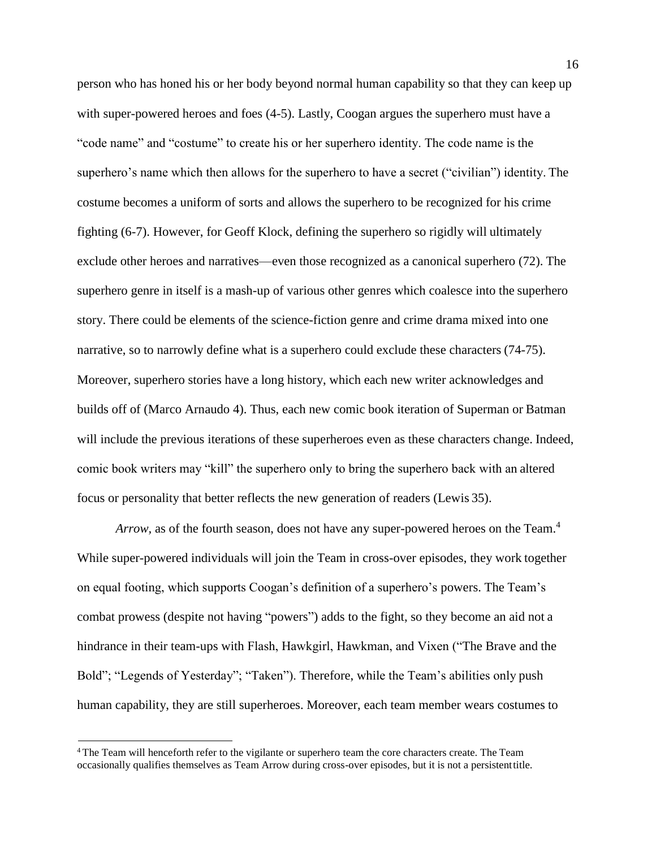person who has honed his or her body beyond normal human capability so that they can keep up with super-powered heroes and foes (4-5). Lastly, Coogan argues the superhero must have a "code name" and "costume" to create his or her superhero identity. The code name is the superhero's name which then allows for the superhero to have a secret ("civilian") identity. The costume becomes a uniform of sorts and allows the superhero to be recognized for his crime fighting (6-7). However, for Geoff Klock, defining the superhero so rigidly will ultimately exclude other heroes and narratives—even those recognized as a canonical superhero (72). The superhero genre in itself is a mash-up of various other genres which coalesce into the superhero story. There could be elements of the science-fiction genre and crime drama mixed into one narrative, so to narrowly define what is a superhero could exclude these characters (74-75). Moreover, superhero stories have a long history, which each new writer acknowledges and builds off of (Marco Arnaudo 4). Thus, each new comic book iteration of Superman or Batman will include the previous iterations of these superheroes even as these characters change. Indeed, comic book writers may "kill" the superhero only to bring the superhero back with an altered focus or personality that better reflects the new generation of readers (Lewis 35).

*Arrow*, as of the fourth season, does not have any super-powered heroes on the Team.<sup>4</sup> While super-powered individuals will join the Team in cross-over episodes, they work together on equal footing, which supports Coogan's definition of a superhero's powers. The Team's combat prowess (despite not having "powers") adds to the fight, so they become an aid not a hindrance in their team-ups with Flash, Hawkgirl, Hawkman, and Vixen ("The Brave and the Bold"; "Legends of Yesterday"; "Taken"). Therefore, while the Team's abilities only push human capability, they are still superheroes. Moreover, each team member wears costumes to

<sup>4</sup>The Team will henceforth refer to the vigilante or superhero team the core characters create. The Team occasionally qualifies themselves as Team Arrow during cross-over episodes, but it is not a persistenttitle.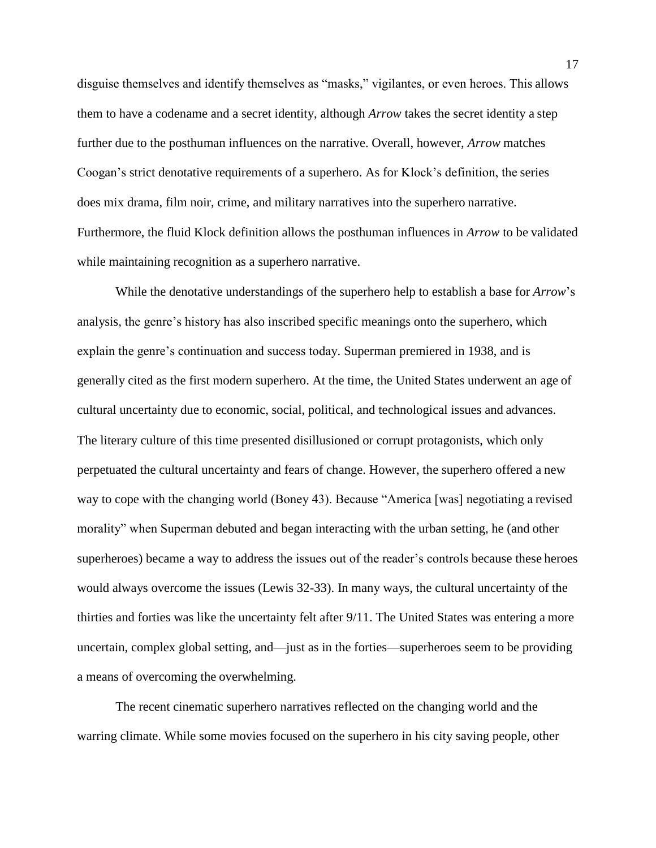disguise themselves and identify themselves as "masks," vigilantes, or even heroes. This allows them to have a codename and a secret identity, although *Arrow* takes the secret identity a step further due to the posthuman influences on the narrative. Overall, however, *Arrow* matches Coogan's strict denotative requirements of a superhero. As for Klock's definition, the series does mix drama, film noir, crime, and military narratives into the superhero narrative. Furthermore, the fluid Klock definition allows the posthuman influences in *Arrow* to be validated while maintaining recognition as a superhero narrative.

While the denotative understandings of the superhero help to establish a base for *Arrow*'s analysis, the genre's history has also inscribed specific meanings onto the superhero, which explain the genre's continuation and success today. Superman premiered in 1938, and is generally cited as the first modern superhero. At the time, the United States underwent an age of cultural uncertainty due to economic, social, political, and technological issues and advances. The literary culture of this time presented disillusioned or corrupt protagonists, which only perpetuated the cultural uncertainty and fears of change. However, the superhero offered a new way to cope with the changing world (Boney 43). Because "America [was] negotiating a revised morality" when Superman debuted and began interacting with the urban setting, he (and other superheroes) became a way to address the issues out of the reader's controls because these heroes would always overcome the issues (Lewis 32-33). In many ways, the cultural uncertainty of the thirties and forties was like the uncertainty felt after 9/11. The United States was entering a more uncertain, complex global setting, and—just as in the forties—superheroes seem to be providing a means of overcoming the overwhelming.

The recent cinematic superhero narratives reflected on the changing world and the warring climate. While some movies focused on the superhero in his city saving people, other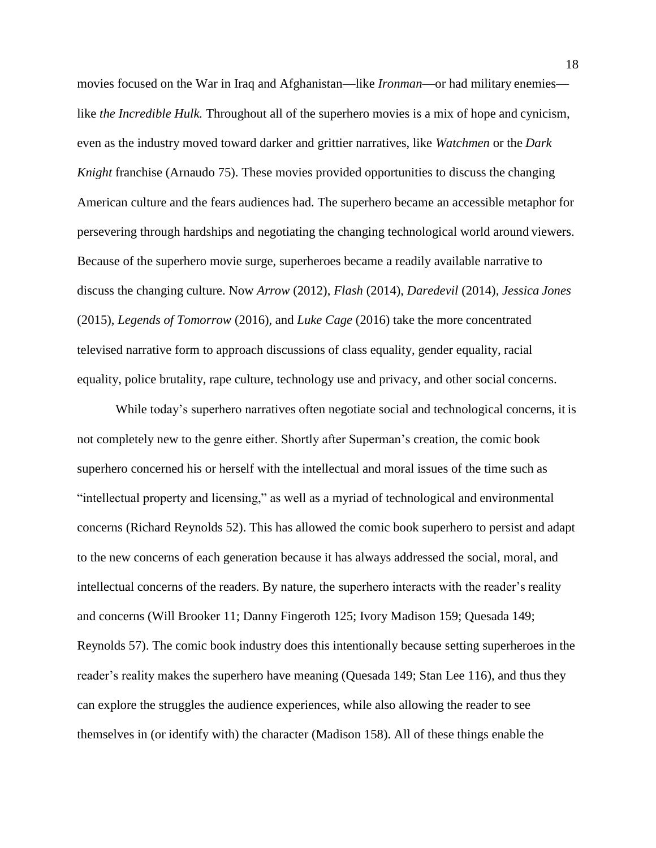movies focused on the War in Iraq and Afghanistan—like *Ironman*—or had military enemies like *the Incredible Hulk.* Throughout all of the superhero movies is a mix of hope and cynicism, even as the industry moved toward darker and grittier narratives, like *Watchmen* or the *Dark Knight franchise (Arnaudo 75). These movies provided opportunities to discuss the changing* American culture and the fears audiences had. The superhero became an accessible metaphor for persevering through hardships and negotiating the changing technological world around viewers. Because of the superhero movie surge, superheroes became a readily available narrative to discuss the changing culture. Now *Arrow* (2012), *Flash* (2014), *Daredevil* (2014)*, Jessica Jones*  (2015), *Legends of Tomorrow* (2016)*,* and *Luke Cage* (2016) take the more concentrated televised narrative form to approach discussions of class equality, gender equality, racial equality, police brutality, rape culture, technology use and privacy, and other social concerns.

While today's superhero narratives often negotiate social and technological concerns, it is not completely new to the genre either. Shortly after Superman's creation, the comic book superhero concerned his or herself with the intellectual and moral issues of the time such as "intellectual property and licensing," as well as a myriad of technological and environmental concerns (Richard Reynolds 52). This has allowed the comic book superhero to persist and adapt to the new concerns of each generation because it has always addressed the social, moral, and intellectual concerns of the readers. By nature, the superhero interacts with the reader's reality and concerns (Will Brooker 11; Danny Fingeroth 125; Ivory Madison 159; Quesada 149; Reynolds 57). The comic book industry does this intentionally because setting superheroes in the reader's reality makes the superhero have meaning (Quesada 149; Stan Lee 116), and thus they can explore the struggles the audience experiences, while also allowing the reader to see themselves in (or identify with) the character (Madison 158). All of these things enable the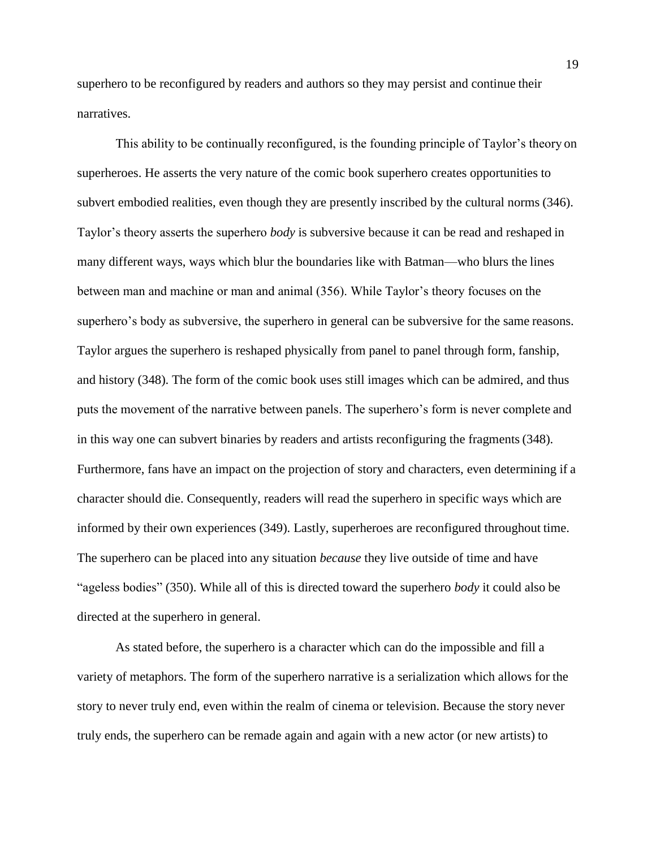superhero to be reconfigured by readers and authors so they may persist and continue their narratives.

This ability to be continually reconfigured, is the founding principle of Taylor's theory on superheroes. He asserts the very nature of the comic book superhero creates opportunities to subvert embodied realities, even though they are presently inscribed by the cultural norms (346). Taylor's theory asserts the superhero *body* is subversive because it can be read and reshaped in many different ways, ways which blur the boundaries like with Batman—who blurs the lines between man and machine or man and animal (356). While Taylor's theory focuses on the superhero's body as subversive, the superhero in general can be subversive for the same reasons. Taylor argues the superhero is reshaped physically from panel to panel through form, fanship, and history (348). The form of the comic book uses still images which can be admired, and thus puts the movement of the narrative between panels. The superhero's form is never complete and in this way one can subvert binaries by readers and artists reconfiguring the fragments(348). Furthermore, fans have an impact on the projection of story and characters, even determining if a character should die. Consequently, readers will read the superhero in specific ways which are informed by their own experiences (349). Lastly, superheroes are reconfigured throughout time. The superhero can be placed into any situation *because* they live outside of time and have "ageless bodies" (350). While all of this is directed toward the superhero *body* it could also be directed at the superhero in general.

As stated before, the superhero is a character which can do the impossible and fill a variety of metaphors. The form of the superhero narrative is a serialization which allows for the story to never truly end, even within the realm of cinema or television. Because the story never truly ends, the superhero can be remade again and again with a new actor (or new artists) to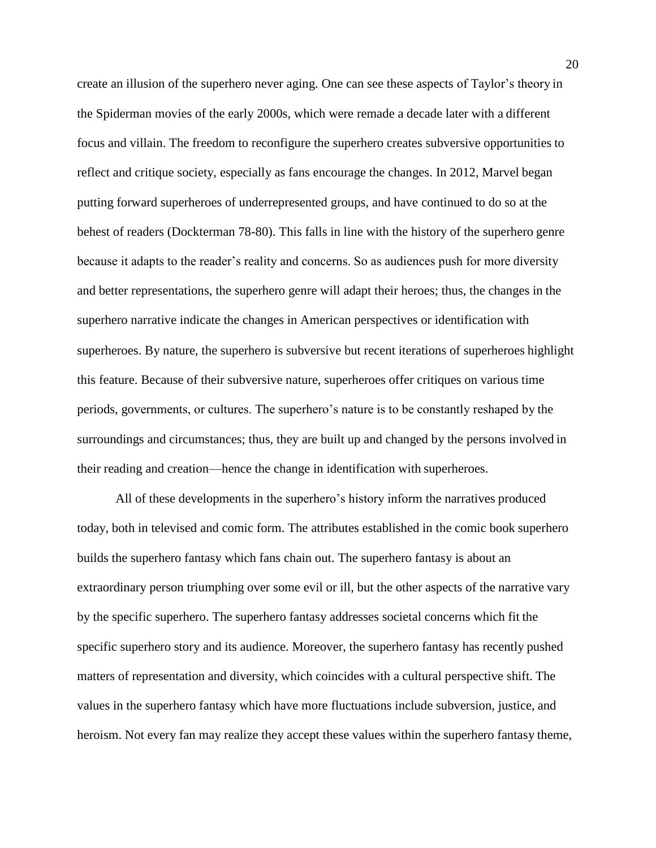create an illusion of the superhero never aging. One can see these aspects of Taylor's theory in the Spiderman movies of the early 2000s, which were remade a decade later with a different focus and villain. The freedom to reconfigure the superhero creates subversive opportunities to reflect and critique society, especially as fans encourage the changes. In 2012, Marvel began putting forward superheroes of underrepresented groups, and have continued to do so at the behest of readers (Dockterman 78-80). This falls in line with the history of the superhero genre because it adapts to the reader's reality and concerns. So as audiences push for more diversity and better representations, the superhero genre will adapt their heroes; thus, the changes in the superhero narrative indicate the changes in American perspectives or identification with superheroes. By nature, the superhero is subversive but recent iterations of superheroes highlight this feature. Because of their subversive nature, superheroes offer critiques on various time periods, governments, or cultures. The superhero's nature is to be constantly reshaped by the surroundings and circumstances; thus, they are built up and changed by the persons involved in their reading and creation—hence the change in identification with superheroes.

All of these developments in the superhero's history inform the narratives produced today, both in televised and comic form. The attributes established in the comic book superhero builds the superhero fantasy which fans chain out. The superhero fantasy is about an extraordinary person triumphing over some evil or ill, but the other aspects of the narrative vary by the specific superhero. The superhero fantasy addresses societal concerns which fit the specific superhero story and its audience. Moreover, the superhero fantasy has recently pushed matters of representation and diversity, which coincides with a cultural perspective shift. The values in the superhero fantasy which have more fluctuations include subversion, justice, and heroism. Not every fan may realize they accept these values within the superhero fantasy theme,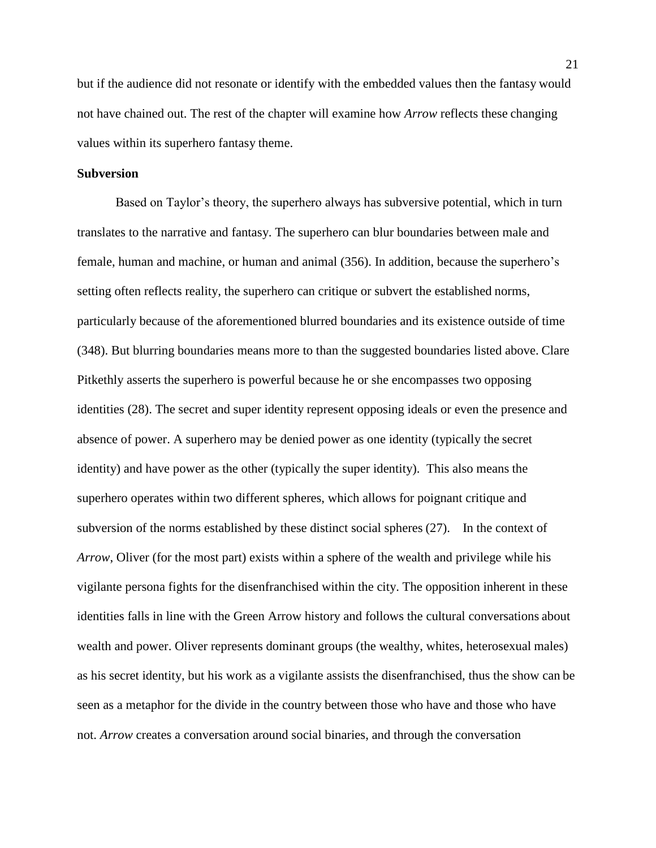but if the audience did not resonate or identify with the embedded values then the fantasy would not have chained out. The rest of the chapter will examine how *Arrow* reflects these changing values within its superhero fantasy theme.

#### <span id="page-21-0"></span>**Subversion**

Based on Taylor's theory, the superhero always has subversive potential, which in turn translates to the narrative and fantasy. The superhero can blur boundaries between male and female, human and machine, or human and animal (356). In addition, because the superhero's setting often reflects reality, the superhero can critique or subvert the established norms, particularly because of the aforementioned blurred boundaries and its existence outside of time (348). But blurring boundaries means more to than the suggested boundaries listed above. Clare Pitkethly asserts the superhero is powerful because he or she encompasses two opposing identities (28). The secret and super identity represent opposing ideals or even the presence and absence of power. A superhero may be denied power as one identity (typically the secret identity) and have power as the other (typically the super identity). This also means the superhero operates within two different spheres, which allows for poignant critique and subversion of the norms established by these distinct social spheres (27). In the context of *Arrow*, Oliver (for the most part) exists within a sphere of the wealth and privilege while his vigilante persona fights for the disenfranchised within the city. The opposition inherent in these identities falls in line with the Green Arrow history and follows the cultural conversations about wealth and power. Oliver represents dominant groups (the wealthy, whites, heterosexual males) as his secret identity, but his work as a vigilante assists the disenfranchised, thus the show can be seen as a metaphor for the divide in the country between those who have and those who have not. *Arrow* creates a conversation around social binaries, and through the conversation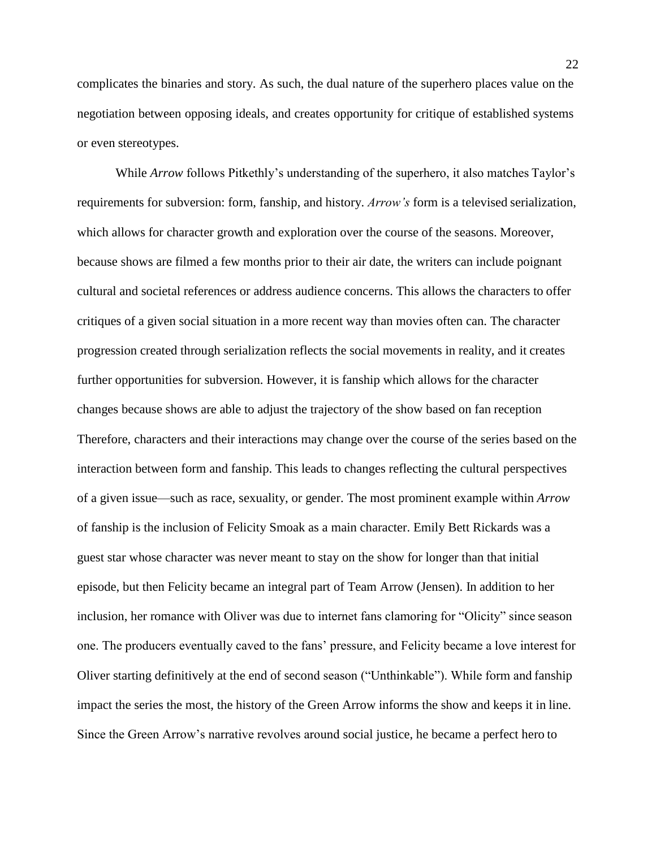complicates the binaries and story. As such, the dual nature of the superhero places value on the negotiation between opposing ideals, and creates opportunity for critique of established systems or even stereotypes.

While *Arrow* follows Pitkethly's understanding of the superhero, it also matches Taylor's requirements for subversion: form, fanship, and history. *Arrow's* form is a televised serialization, which allows for character growth and exploration over the course of the seasons. Moreover, because shows are filmed a few months prior to their air date, the writers can include poignant cultural and societal references or address audience concerns. This allows the characters to offer critiques of a given social situation in a more recent way than movies often can. The character progression created through serialization reflects the social movements in reality, and it creates further opportunities for subversion. However, it is fanship which allows for the character changes because shows are able to adjust the trajectory of the show based on fan reception Therefore, characters and their interactions may change over the course of the series based on the interaction between form and fanship. This leads to changes reflecting the cultural perspectives of a given issue—such as race, sexuality, or gender. The most prominent example within *Arrow*  of fanship is the inclusion of Felicity Smoak as a main character. Emily Bett Rickards was a guest star whose character was never meant to stay on the show for longer than that initial episode, but then Felicity became an integral part of Team Arrow (Jensen). In addition to her inclusion, her romance with Oliver was due to internet fans clamoring for "Olicity" since season one. The producers eventually caved to the fans' pressure, and Felicity became a love interest for Oliver starting definitively at the end of second season ("Unthinkable"). While form and fanship impact the series the most, the history of the Green Arrow informs the show and keeps it in line. Since the Green Arrow's narrative revolves around social justice, he became a perfect hero to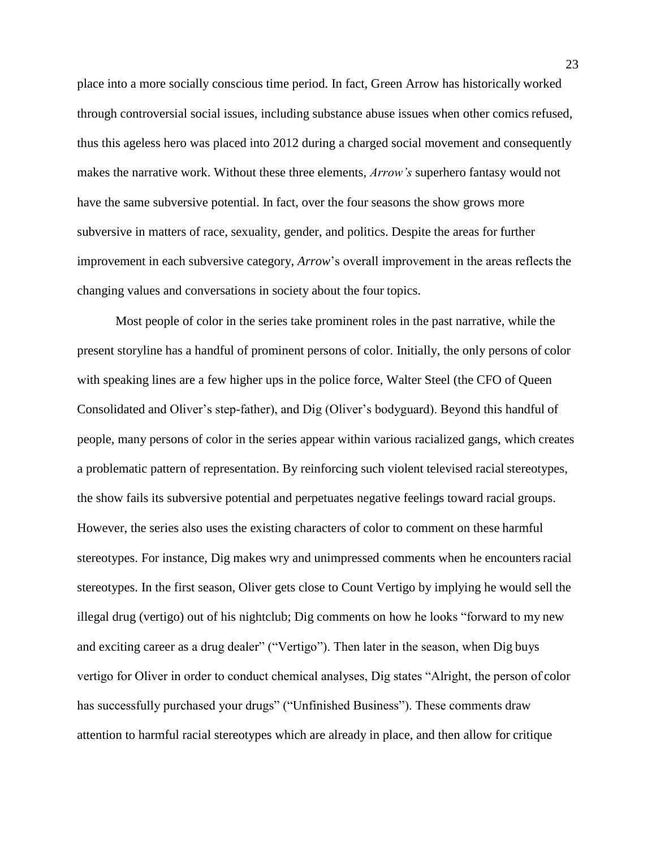place into a more socially conscious time period. In fact, Green Arrow has historically worked through controversial social issues, including substance abuse issues when other comics refused, thus this ageless hero was placed into 2012 during a charged social movement and consequently makes the narrative work. Without these three elements, *Arrow's* superhero fantasy would not have the same subversive potential. In fact, over the four seasons the show grows more subversive in matters of race, sexuality, gender, and politics. Despite the areas for further improvement in each subversive category, *Arrow*'s overall improvement in the areas reflects the changing values and conversations in society about the four topics.

Most people of color in the series take prominent roles in the past narrative, while the present storyline has a handful of prominent persons of color. Initially, the only persons of color with speaking lines are a few higher ups in the police force, Walter Steel (the CFO of Queen Consolidated and Oliver's step-father), and Dig (Oliver's bodyguard). Beyond this handful of people, many persons of color in the series appear within various racialized gangs, which creates a problematic pattern of representation. By reinforcing such violent televised racialstereotypes, the show fails its subversive potential and perpetuates negative feelings toward racial groups. However, the series also uses the existing characters of color to comment on these harmful stereotypes. For instance, Dig makes wry and unimpressed comments when he encounters racial stereotypes. In the first season, Oliver gets close to Count Vertigo by implying he would sell the illegal drug (vertigo) out of his nightclub; Dig comments on how he looks "forward to my new and exciting career as a drug dealer" ("Vertigo"). Then later in the season, when Dig buys vertigo for Oliver in order to conduct chemical analyses, Dig states "Alright, the person of color has successfully purchased your drugs" ("Unfinished Business"). These comments draw attention to harmful racial stereotypes which are already in place, and then allow for critique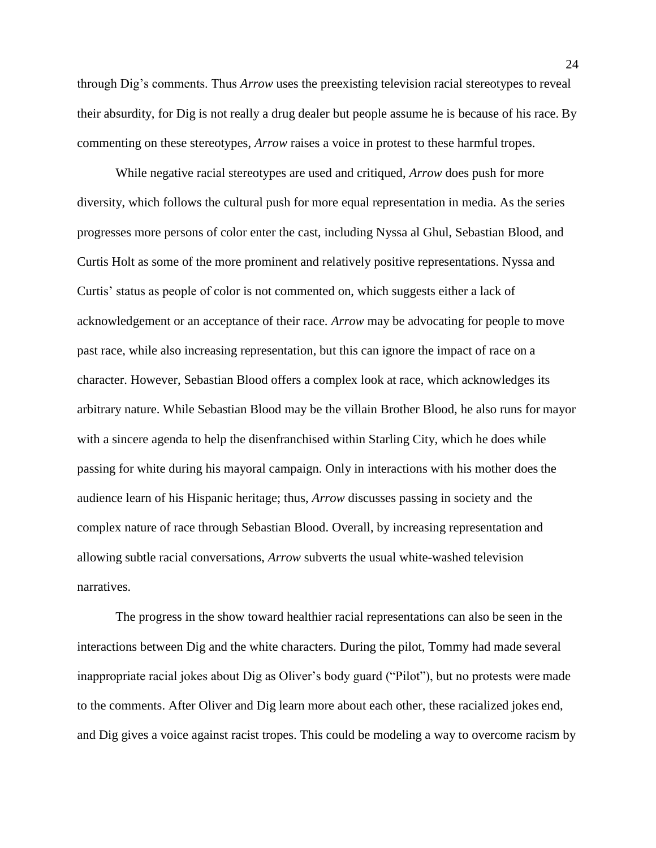through Dig's comments. Thus *Arrow* uses the preexisting television racial stereotypes to reveal their absurdity, for Dig is not really a drug dealer but people assume he is because of his race. By commenting on these stereotypes, *Arrow* raises a voice in protest to these harmful tropes.

While negative racial stereotypes are used and critiqued, *Arrow* does push for more diversity, which follows the cultural push for more equal representation in media. As the series progresses more persons of color enter the cast, including Nyssa al Ghul, Sebastian Blood, and Curtis Holt as some of the more prominent and relatively positive representations. Nyssa and Curtis' status as people of color is not commented on, which suggests either a lack of acknowledgement or an acceptance of their race. *Arrow* may be advocating for people to move past race, while also increasing representation, but this can ignore the impact of race on a character. However, Sebastian Blood offers a complex look at race, which acknowledges its arbitrary nature. While Sebastian Blood may be the villain Brother Blood, he also runs for mayor with a sincere agenda to help the disenfranchised within Starling City, which he does while passing for white during his mayoral campaign. Only in interactions with his mother does the audience learn of his Hispanic heritage; thus, *Arrow* discusses passing in society and the complex nature of race through Sebastian Blood. Overall, by increasing representation and allowing subtle racial conversations, *Arrow* subverts the usual white-washed television narratives.

The progress in the show toward healthier racial representations can also be seen in the interactions between Dig and the white characters. During the pilot, Tommy had made several inappropriate racial jokes about Dig as Oliver's body guard ("Pilot"), but no protests were made to the comments. After Oliver and Dig learn more about each other, these racialized jokes end, and Dig gives a voice against racist tropes. This could be modeling a way to overcome racism by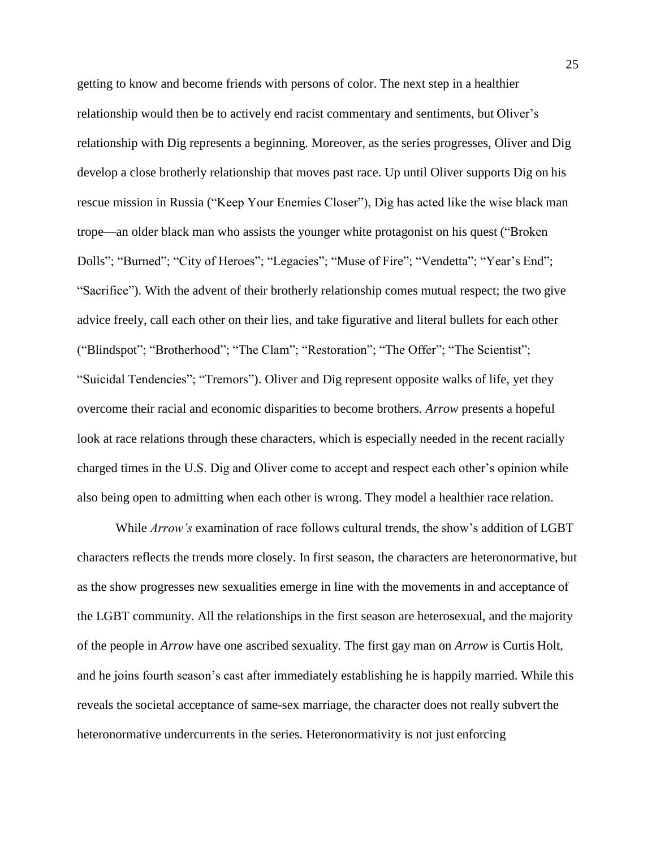getting to know and become friends with persons of color. The next step in a healthier relationship would then be to actively end racist commentary and sentiments, but Oliver's relationship with Dig represents a beginning. Moreover, as the series progresses, Oliver and Dig develop a close brotherly relationship that moves past race. Up until Oliver supports Dig on his rescue mission in Russia ("Keep Your Enemies Closer"), Dig has acted like the wise black man trope—an older black man who assists the younger white protagonist on his quest ("Broken Dolls"; "Burned"; "City of Heroes"; "Legacies"; "Muse of Fire"; "Vendetta"; "Year's End"; "Sacrifice"). With the advent of their brotherly relationship comes mutual respect; the two give advice freely, call each other on their lies, and take figurative and literal bullets for each other ("Blindspot"; "Brotherhood"; "The Clam"; "Restoration"; "The Offer"; "The Scientist"; "Suicidal Tendencies"; "Tremors"). Oliver and Dig represent opposite walks of life, yet they overcome their racial and economic disparities to become brothers. *Arrow* presents a hopeful look at race relations through these characters, which is especially needed in the recent racially charged times in the U.S. Dig and Oliver come to accept and respect each other's opinion while also being open to admitting when each other is wrong. They model a healthier race relation.

While *Arrow's* examination of race follows cultural trends, the show's addition of LGBT characters reflects the trends more closely. In first season, the characters are heteronormative, but as the show progresses new sexualities emerge in line with the movements in and acceptance of the LGBT community. All the relationships in the first season are heterosexual, and the majority of the people in *Arrow* have one ascribed sexuality. The first gay man on *Arrow* is Curtis Holt, and he joins fourth season's cast after immediately establishing he is happily married. While this reveals the societal acceptance of same-sex marriage, the character does not really subvert the heteronormative undercurrents in the series. Heteronormativity is not just enforcing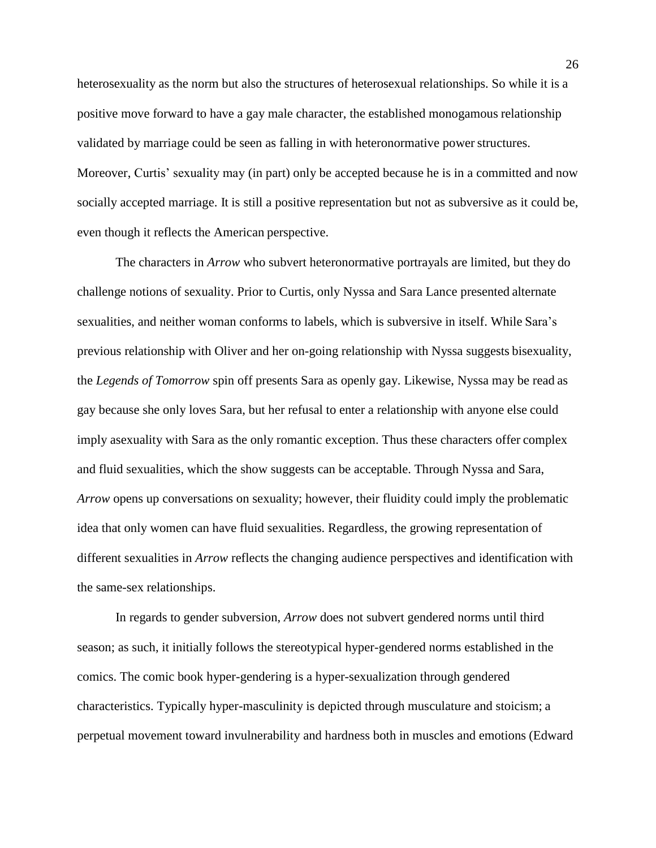heterosexuality as the norm but also the structures of heterosexual relationships. So while it is a positive move forward to have a gay male character, the established monogamous relationship validated by marriage could be seen as falling in with heteronormative power structures. Moreover, Curtis' sexuality may (in part) only be accepted because he is in a committed and now socially accepted marriage. It is still a positive representation but not as subversive as it could be, even though it reflects the American perspective.

The characters in *Arrow* who subvert heteronormative portrayals are limited, but they do challenge notions of sexuality. Prior to Curtis, only Nyssa and Sara Lance presented alternate sexualities, and neither woman conforms to labels, which is subversive in itself. While Sara's previous relationship with Oliver and her on-going relationship with Nyssa suggests bisexuality, the *Legends of Tomorrow* spin off presents Sara as openly gay. Likewise, Nyssa may be read as gay because she only loves Sara, but her refusal to enter a relationship with anyone else could imply asexuality with Sara as the only romantic exception. Thus these characters offer complex and fluid sexualities, which the show suggests can be acceptable. Through Nyssa and Sara, *Arrow* opens up conversations on sexuality; however, their fluidity could imply the problematic idea that only women can have fluid sexualities. Regardless, the growing representation of different sexualities in *Arrow* reflects the changing audience perspectives and identification with the same-sex relationships.

In regards to gender subversion, *Arrow* does not subvert gendered norms until third season; as such, it initially follows the stereotypical hyper-gendered norms established in the comics. The comic book hyper-gendering is a hyper-sexualization through gendered characteristics. Typically hyper-masculinity is depicted through musculature and stoicism; a perpetual movement toward invulnerability and hardness both in muscles and emotions (Edward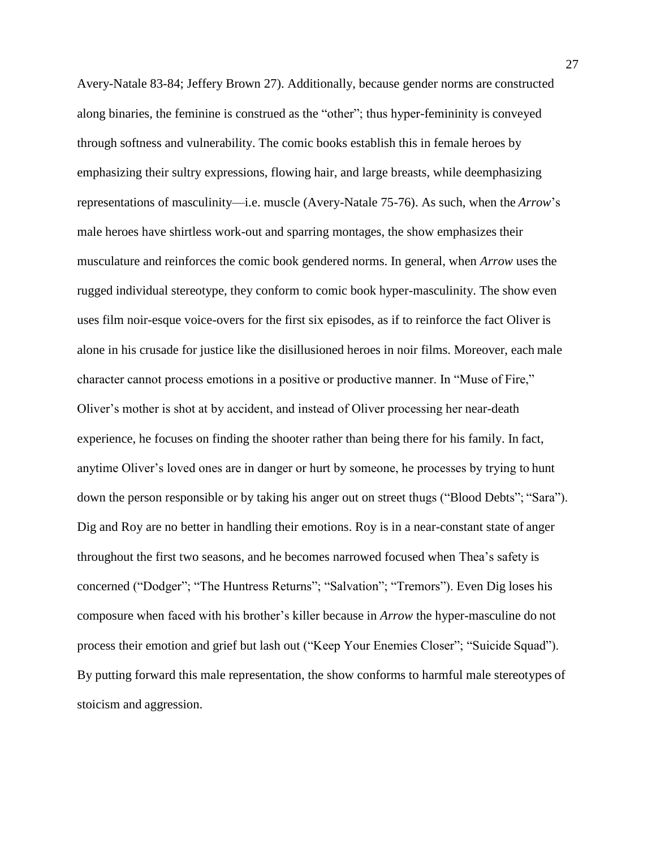Avery-Natale 83-84; Jeffery Brown 27). Additionally, because gender norms are constructed along binaries, the feminine is construed as the "other"; thus hyper-femininity is conveyed through softness and vulnerability. The comic books establish this in female heroes by emphasizing their sultry expressions, flowing hair, and large breasts, while deemphasizing representations of masculinity—i.e. muscle (Avery-Natale 75-76). As such, when the *Arrow*'s male heroes have shirtless work-out and sparring montages, the show emphasizes their musculature and reinforces the comic book gendered norms. In general, when *Arrow* uses the rugged individual stereotype, they conform to comic book hyper-masculinity. The show even uses film noir-esque voice-overs for the first six episodes, as if to reinforce the fact Oliver is alone in his crusade for justice like the disillusioned heroes in noir films. Moreover, each male character cannot process emotions in a positive or productive manner. In "Muse of Fire," Oliver's mother is shot at by accident, and instead of Oliver processing her near-death experience, he focuses on finding the shooter rather than being there for his family. In fact, anytime Oliver's loved ones are in danger or hurt by someone, he processes by trying to hunt down the person responsible or by taking his anger out on street thugs ("Blood Debts"; "Sara"). Dig and Roy are no better in handling their emotions. Roy is in a near-constant state of anger throughout the first two seasons, and he becomes narrowed focused when Thea's safety is concerned ("Dodger"; "The Huntress Returns"; "Salvation"; "Tremors"). Even Dig loses his composure when faced with his brother's killer because in *Arrow* the hyper-masculine do not process their emotion and grief but lash out ("Keep Your Enemies Closer"; "Suicide Squad"). By putting forward this male representation, the show conforms to harmful male stereotypes of stoicism and aggression.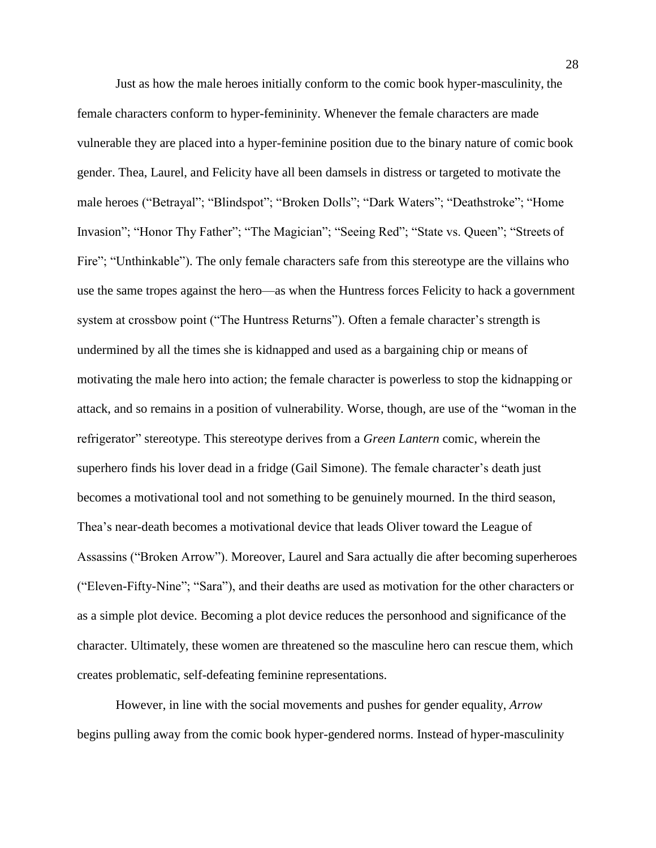Just as how the male heroes initially conform to the comic book hyper-masculinity, the female characters conform to hyper-femininity. Whenever the female characters are made vulnerable they are placed into a hyper-feminine position due to the binary nature of comic book gender. Thea, Laurel, and Felicity have all been damsels in distress or targeted to motivate the male heroes ("Betrayal"; "Blindspot"; "Broken Dolls"; "Dark Waters"; "Deathstroke"; "Home Invasion"; "Honor Thy Father"; "The Magician"; "Seeing Red"; "State vs. Queen"; "Streets of Fire"; "Unthinkable"). The only female characters safe from this stereotype are the villains who use the same tropes against the hero—as when the Huntress forces Felicity to hack a government system at crossbow point ("The Huntress Returns"). Often a female character's strength is undermined by all the times she is kidnapped and used as a bargaining chip or means of motivating the male hero into action; the female character is powerless to stop the kidnapping or attack, and so remains in a position of vulnerability. Worse, though, are use of the "woman in the refrigerator" stereotype. This stereotype derives from a *Green Lantern* comic, wherein the superhero finds his lover dead in a fridge (Gail Simone). The female character's death just becomes a motivational tool and not something to be genuinely mourned. In the third season, Thea's near-death becomes a motivational device that leads Oliver toward the League of Assassins ("Broken Arrow"). Moreover, Laurel and Sara actually die after becoming superheroes ("Eleven-Fifty-Nine"; "Sara"), and their deaths are used as motivation for the other characters or as a simple plot device. Becoming a plot device reduces the personhood and significance of the character. Ultimately, these women are threatened so the masculine hero can rescue them, which creates problematic, self-defeating feminine representations.

However, in line with the social movements and pushes for gender equality, *Arrow* begins pulling away from the comic book hyper-gendered norms. Instead of hyper-masculinity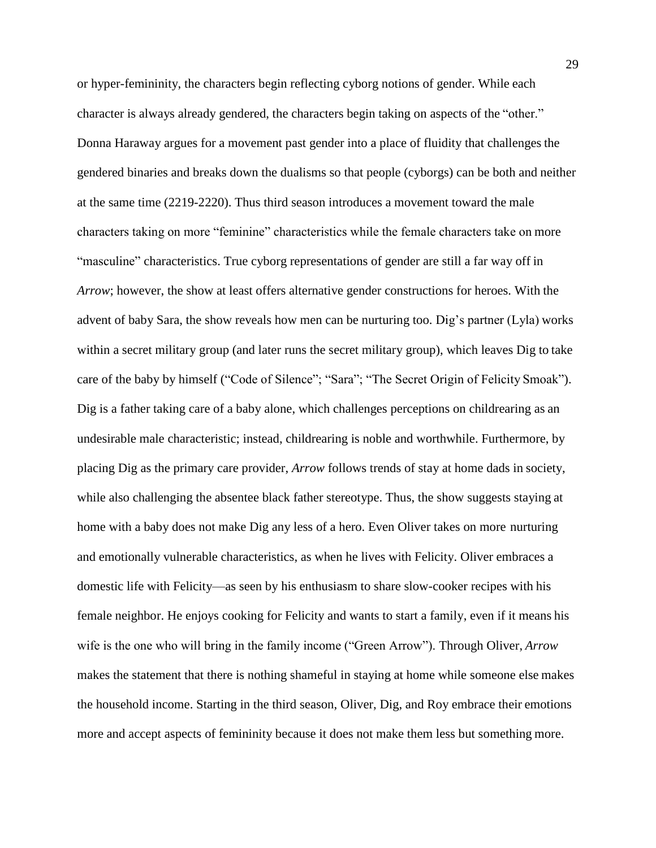or hyper-femininity, the characters begin reflecting cyborg notions of gender. While each character is always already gendered, the characters begin taking on aspects of the "other." Donna Haraway argues for a movement past gender into a place of fluidity that challenges the gendered binaries and breaks down the dualisms so that people (cyborgs) can be both and neither at the same time (2219-2220). Thus third season introduces a movement toward the male characters taking on more "feminine" characteristics while the female characters take on more "masculine" characteristics. True cyborg representations of gender are still a far way off in *Arrow*; however, the show at least offers alternative gender constructions for heroes. With the advent of baby Sara, the show reveals how men can be nurturing too. Dig's partner (Lyla) works within a secret military group (and later runs the secret military group), which leaves Dig to take care of the baby by himself ("Code of Silence"; "Sara"; "The Secret Origin of Felicity Smoak"). Dig is a father taking care of a baby alone, which challenges perceptions on childrearing as an undesirable male characteristic; instead, childrearing is noble and worthwhile. Furthermore, by placing Dig as the primary care provider, *Arrow* follows trends of stay at home dads in society, while also challenging the absentee black father stereotype. Thus, the show suggests staying at home with a baby does not make Dig any less of a hero. Even Oliver takes on more nurturing and emotionally vulnerable characteristics, as when he lives with Felicity. Oliver embraces a domestic life with Felicity—as seen by his enthusiasm to share slow-cooker recipes with his female neighbor. He enjoys cooking for Felicity and wants to start a family, even if it means his wife is the one who will bring in the family income ("Green Arrow"). Through Oliver, *Arrow*  makes the statement that there is nothing shameful in staying at home while someone else makes the household income. Starting in the third season, Oliver, Dig, and Roy embrace their emotions more and accept aspects of femininity because it does not make them less but something more.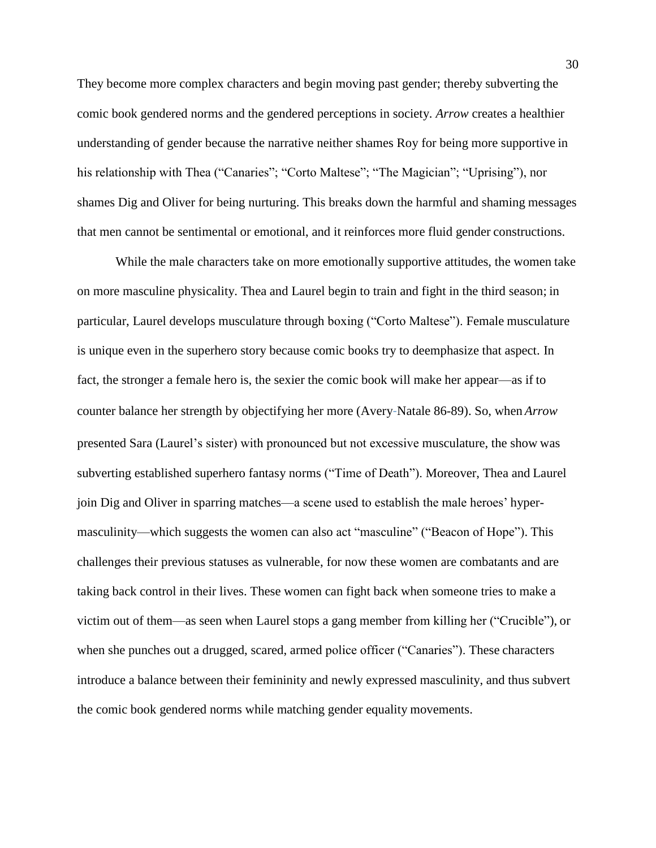They become more complex characters and begin moving past gender; thereby subverting the comic book gendered norms and the gendered perceptions in society. *Arrow* creates a healthier understanding of gender because the narrative neither shames Roy for being more supportive in his relationship with Thea ("Canaries"; "Corto Maltese"; "The Magician"; "Uprising"), nor shames Dig and Oliver for being nurturing. This breaks down the harmful and shaming messages that men cannot be sentimental or emotional, and it reinforces more fluid gender constructions.

While the male characters take on more emotionally supportive attitudes, the women take on more masculine physicality. Thea and Laurel begin to train and fight in the third season; in particular, Laurel develops musculature through boxing ("Corto Maltese"). Female musculature is unique even in the superhero story because comic books try to deemphasize that aspect. In fact, the stronger a female hero is, the sexier the comic book will make her appear—as if to counter balance her strength by objectifying her more (Avery-Natale 86-89). So, when *Arrow*  presented Sara (Laurel's sister) with pronounced but not excessive musculature, the show was subverting established superhero fantasy norms ("Time of Death"). Moreover, Thea and Laurel join Dig and Oliver in sparring matches—a scene used to establish the male heroes' hypermasculinity—which suggests the women can also act "masculine" ("Beacon of Hope"). This challenges their previous statuses as vulnerable, for now these women are combatants and are taking back control in their lives. These women can fight back when someone tries to make a victim out of them—as seen when Laurel stops a gang member from killing her ("Crucible"), or when she punches out a drugged, scared, armed police officer ("Canaries"). These characters introduce a balance between their femininity and newly expressed masculinity, and thus subvert the comic book gendered norms while matching gender equality movements.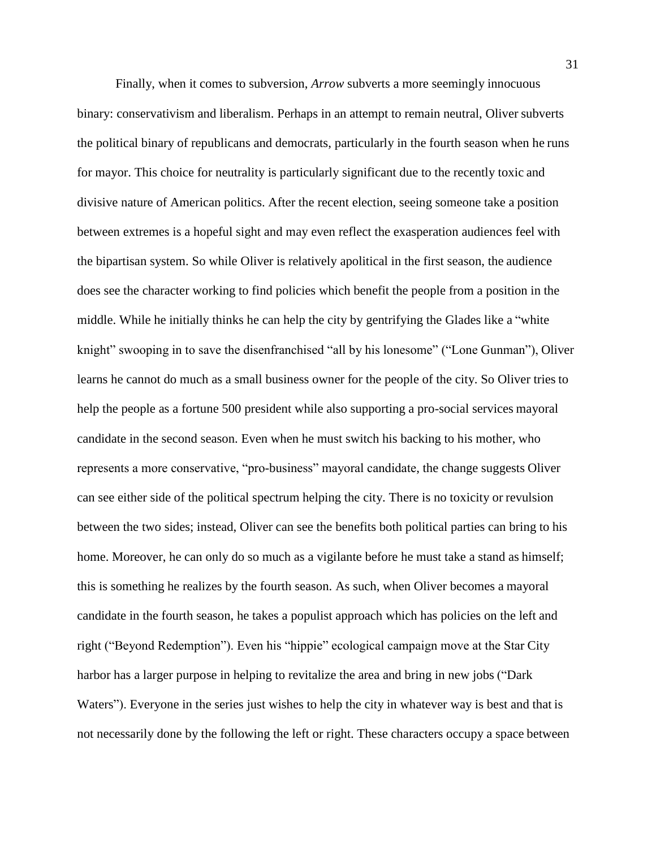Finally, when it comes to subversion, *Arrow* subverts a more seemingly innocuous binary: conservativism and liberalism. Perhaps in an attempt to remain neutral, Oliver subverts the political binary of republicans and democrats, particularly in the fourth season when he runs for mayor. This choice for neutrality is particularly significant due to the recently toxic and divisive nature of American politics. After the recent election, seeing someone take a position between extremes is a hopeful sight and may even reflect the exasperation audiences feel with the bipartisan system. So while Oliver is relatively apolitical in the first season, the audience does see the character working to find policies which benefit the people from a position in the middle. While he initially thinks he can help the city by gentrifying the Glades like a "white knight" swooping in to save the disenfranchised "all by his lonesome" ("Lone Gunman"), Oliver learns he cannot do much as a small business owner for the people of the city. So Oliver tries to help the people as a fortune 500 president while also supporting a pro-social services mayoral candidate in the second season. Even when he must switch his backing to his mother, who represents a more conservative, "pro-business" mayoral candidate, the change suggests Oliver can see either side of the political spectrum helping the city. There is no toxicity or revulsion between the two sides; instead, Oliver can see the benefits both political parties can bring to his home. Moreover, he can only do so much as a vigilante before he must take a stand as himself; this is something he realizes by the fourth season. As such, when Oliver becomes a mayoral candidate in the fourth season, he takes a populist approach which has policies on the left and right ("Beyond Redemption"). Even his "hippie" ecological campaign move at the Star City harbor has a larger purpose in helping to revitalize the area and bring in new jobs ("Dark Waters"). Everyone in the series just wishes to help the city in whatever way is best and that is not necessarily done by the following the left or right. These characters occupy a space between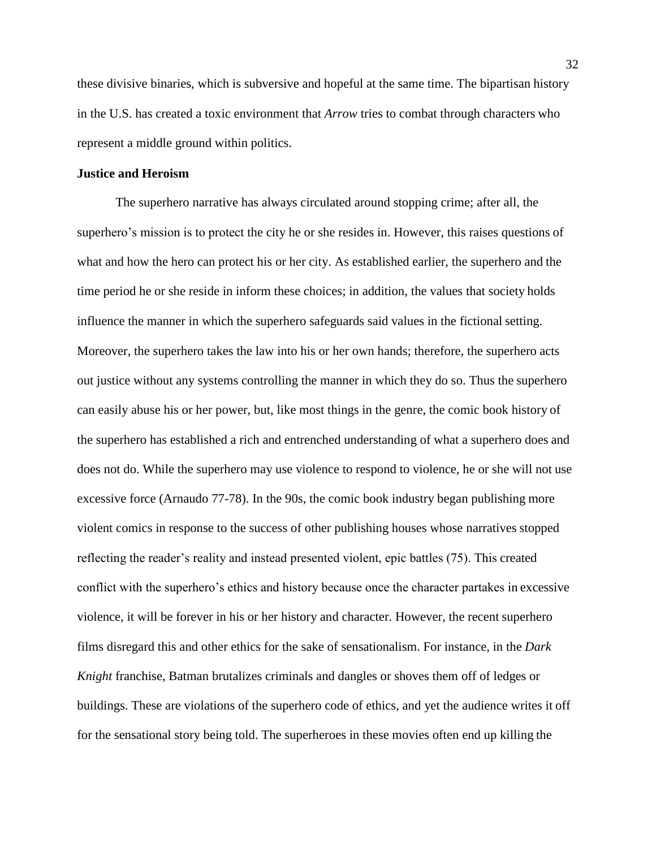these divisive binaries, which is subversive and hopeful at the same time. The bipartisan history in the U.S. has created a toxic environment that *Arrow* tries to combat through characters who represent a middle ground within politics.

### <span id="page-32-0"></span>**Justice and Heroism**

The superhero narrative has always circulated around stopping crime; after all, the superhero's mission is to protect the city he or she resides in. However, this raises questions of what and how the hero can protect his or her city. As established earlier, the superhero and the time period he or she reside in inform these choices; in addition, the values that society holds influence the manner in which the superhero safeguards said values in the fictional setting. Moreover, the superhero takes the law into his or her own hands; therefore, the superhero acts out justice without any systems controlling the manner in which they do so. Thus the superhero can easily abuse his or her power, but, like most things in the genre, the comic book history of the superhero has established a rich and entrenched understanding of what a superhero does and does not do. While the superhero may use violence to respond to violence, he or she will not use excessive force (Arnaudo 77-78). In the 90s, the comic book industry began publishing more violent comics in response to the success of other publishing houses whose narratives stopped reflecting the reader's reality and instead presented violent, epic battles (75). This created conflict with the superhero's ethics and history because once the character partakes in excessive violence, it will be forever in his or her history and character. However, the recent superhero films disregard this and other ethics for the sake of sensationalism. For instance, in the *Dark Knight* franchise, Batman brutalizes criminals and dangles or shoves them off of ledges or buildings. These are violations of the superhero code of ethics, and yet the audience writes it off for the sensational story being told. The superheroes in these movies often end up killing the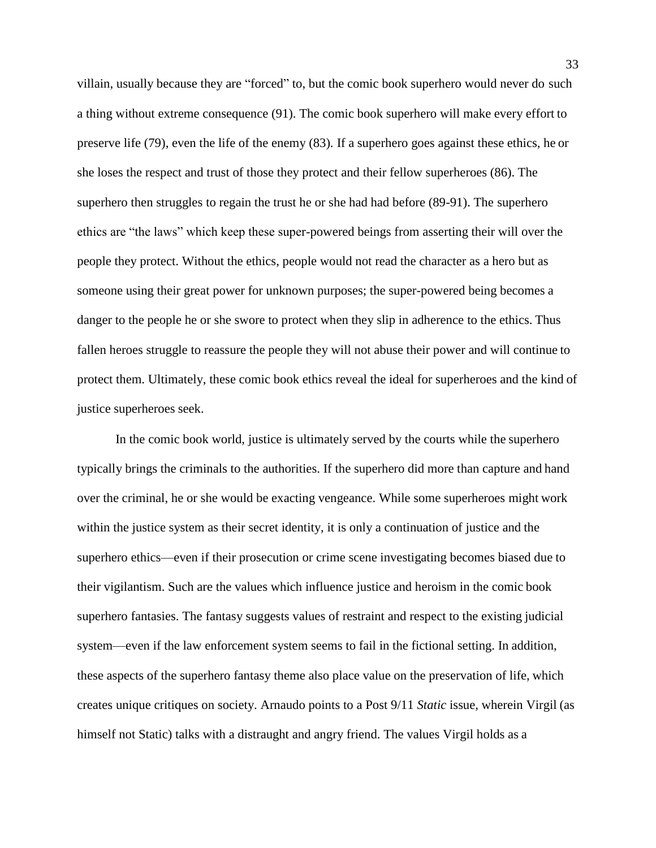villain, usually because they are "forced" to, but the comic book superhero would never do such a thing without extreme consequence (91). The comic book superhero will make every effort to preserve life (79), even the life of the enemy (83). If a superhero goes against these ethics, he or she loses the respect and trust of those they protect and their fellow superheroes (86). The superhero then struggles to regain the trust he or she had had before (89-91). The superhero ethics are "the laws" which keep these super-powered beings from asserting their will over the people they protect. Without the ethics, people would not read the character as a hero but as someone using their great power for unknown purposes; the super-powered being becomes a danger to the people he or she swore to protect when they slip in adherence to the ethics. Thus fallen heroes struggle to reassure the people they will not abuse their power and will continue to protect them. Ultimately, these comic book ethics reveal the ideal for superheroes and the kind of justice superheroes seek.

In the comic book world, justice is ultimately served by the courts while the superhero typically brings the criminals to the authorities. If the superhero did more than capture and hand over the criminal, he or she would be exacting vengeance. While some superheroes might work within the justice system as their secret identity, it is only a continuation of justice and the superhero ethics—even if their prosecution or crime scene investigating becomes biased due to their vigilantism. Such are the values which influence justice and heroism in the comic book superhero fantasies. The fantasy suggests values of restraint and respect to the existing judicial system—even if the law enforcement system seems to fail in the fictional setting. In addition, these aspects of the superhero fantasy theme also place value on the preservation of life, which creates unique critiques on society. Arnaudo points to a Post 9/11 *Static* issue, wherein Virgil (as himself not Static) talks with a distraught and angry friend. The values Virgil holds as a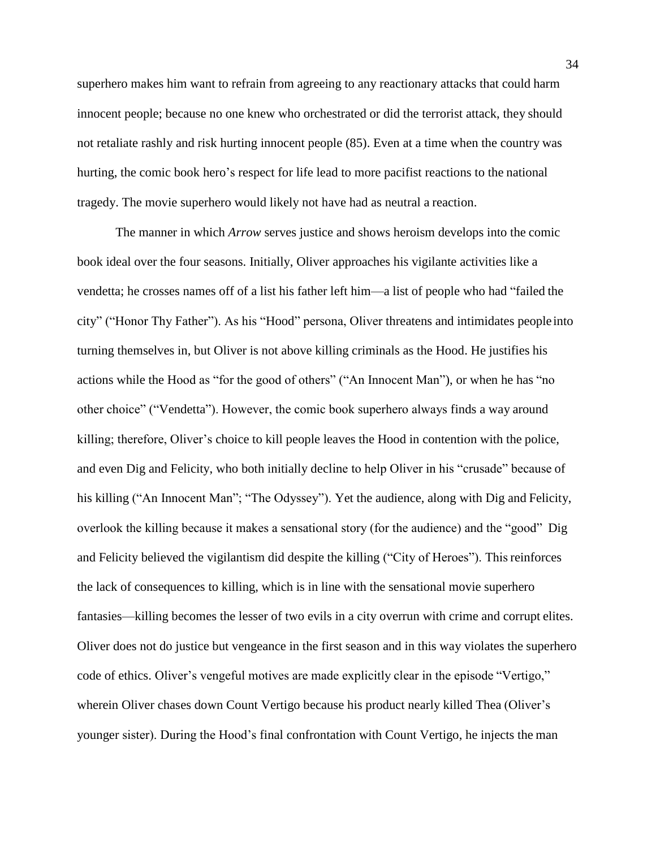superhero makes him want to refrain from agreeing to any reactionary attacks that could harm innocent people; because no one knew who orchestrated or did the terrorist attack, they should not retaliate rashly and risk hurting innocent people (85). Even at a time when the country was hurting, the comic book hero's respect for life lead to more pacifist reactions to the national tragedy. The movie superhero would likely not have had as neutral a reaction.

The manner in which *Arrow* serves justice and shows heroism develops into the comic book ideal over the four seasons. Initially, Oliver approaches his vigilante activities like a vendetta; he crosses names off of a list his father left him—a list of people who had "failed the city" ("Honor Thy Father"). As his "Hood" persona, Oliver threatens and intimidates people into turning themselves in, but Oliver is not above killing criminals as the Hood. He justifies his actions while the Hood as "for the good of others" ("An Innocent Man"), or when he has "no other choice" ("Vendetta"). However, the comic book superhero always finds a way around killing; therefore, Oliver's choice to kill people leaves the Hood in contention with the police, and even Dig and Felicity, who both initially decline to help Oliver in his "crusade" because of his killing ("An Innocent Man"; "The Odyssey"). Yet the audience, along with Dig and Felicity, overlook the killing because it makes a sensational story (for the audience) and the "good" Dig and Felicity believed the vigilantism did despite the killing ("City of Heroes"). Thisreinforces the lack of consequences to killing, which is in line with the sensational movie superhero fantasies—killing becomes the lesser of two evils in a city overrun with crime and corrupt elites. Oliver does not do justice but vengeance in the first season and in this way violates the superhero code of ethics. Oliver's vengeful motives are made explicitly clear in the episode "Vertigo," wherein Oliver chases down Count Vertigo because his product nearly killed Thea (Oliver's younger sister). During the Hood's final confrontation with Count Vertigo, he injects the man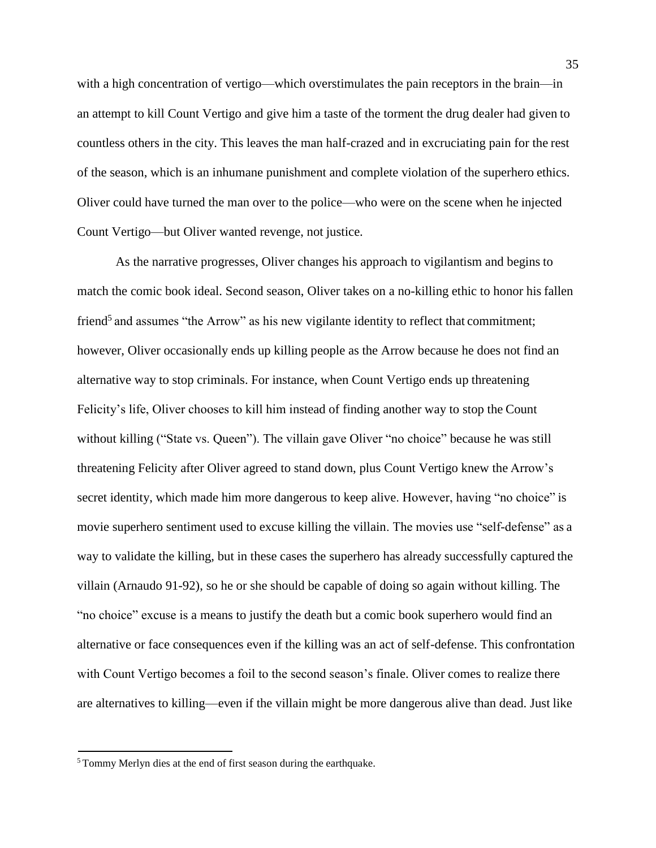with a high concentration of vertigo—which overstimulates the pain receptors in the brain—in an attempt to kill Count Vertigo and give him a taste of the torment the drug dealer had given to countless others in the city. This leaves the man half-crazed and in excruciating pain for the rest of the season, which is an inhumane punishment and complete violation of the superhero ethics. Oliver could have turned the man over to the police—who were on the scene when he injected Count Vertigo—but Oliver wanted revenge, not justice.

As the narrative progresses, Oliver changes his approach to vigilantism and begins to match the comic book ideal. Second season, Oliver takes on a no-killing ethic to honor his fallen friend<sup>5</sup> and assumes "the Arrow" as his new vigilante identity to reflect that commitment; however, Oliver occasionally ends up killing people as the Arrow because he does not find an alternative way to stop criminals. For instance, when Count Vertigo ends up threatening Felicity's life, Oliver chooses to kill him instead of finding another way to stop the Count without killing ("State vs. Queen"). The villain gave Oliver "no choice" because he was still threatening Felicity after Oliver agreed to stand down, plus Count Vertigo knew the Arrow's secret identity, which made him more dangerous to keep alive. However, having "no choice" is movie superhero sentiment used to excuse killing the villain. The movies use "self-defense" as a way to validate the killing, but in these cases the superhero has already successfully captured the villain (Arnaudo 91-92), so he or she should be capable of doing so again without killing. The "no choice" excuse is a means to justify the death but a comic book superhero would find an alternative or face consequences even if the killing was an act of self-defense. This confrontation with Count Vertigo becomes a foil to the second season's finale. Oliver comes to realize there are alternatives to killing—even if the villain might be more dangerous alive than dead. Just like

<sup>5</sup>Tommy Merlyn dies at the end of first season during the earthquake.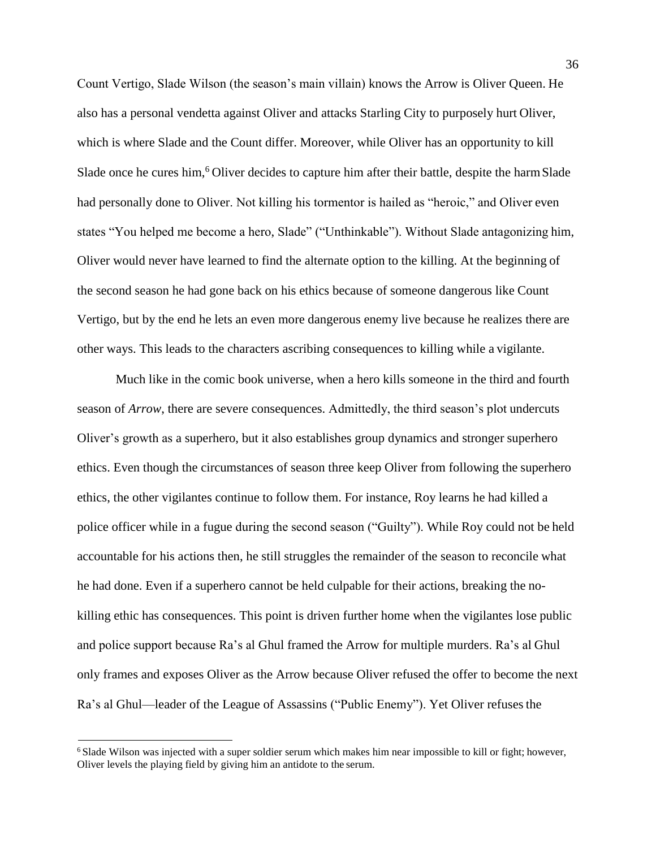Count Vertigo, Slade Wilson (the season's main villain) knows the Arrow is Oliver Queen. He also has a personal vendetta against Oliver and attacks Starling City to purposely hurt Oliver, which is where Slade and the Count differ. Moreover, while Oliver has an opportunity to kill Slade once he cures him,<sup>6</sup> Oliver decides to capture him after their battle, despite the harm Slade had personally done to Oliver. Not killing his tormentor is hailed as "heroic," and Oliver even states "You helped me become a hero, Slade" ("Unthinkable"). Without Slade antagonizing him, Oliver would never have learned to find the alternate option to the killing. At the beginning of the second season he had gone back on his ethics because of someone dangerous like Count Vertigo, but by the end he lets an even more dangerous enemy live because he realizes there are other ways. This leads to the characters ascribing consequences to killing while a vigilante.

Much like in the comic book universe, when a hero kills someone in the third and fourth season of *Arrow*, there are severe consequences. Admittedly, the third season's plot undercuts Oliver's growth as a superhero, but it also establishes group dynamics and stronger superhero ethics. Even though the circumstances of season three keep Oliver from following the superhero ethics, the other vigilantes continue to follow them. For instance, Roy learns he had killed a police officer while in a fugue during the second season ("Guilty"). While Roy could not be held accountable for his actions then, he still struggles the remainder of the season to reconcile what he had done. Even if a superhero cannot be held culpable for their actions, breaking the nokilling ethic has consequences. This point is driven further home when the vigilantes lose public and police support because Ra's al Ghul framed the Arrow for multiple murders. Ra's al Ghul only frames and exposes Oliver as the Arrow because Oliver refused the offer to become the next Ra's al Ghul—leader of the League of Assassins ("Public Enemy"). Yet Oliver refuses the

<sup>&</sup>lt;sup>6</sup>Slade Wilson was injected with a super soldier serum which makes him near impossible to kill or fight; however, Oliver levels the playing field by giving him an antidote to the serum.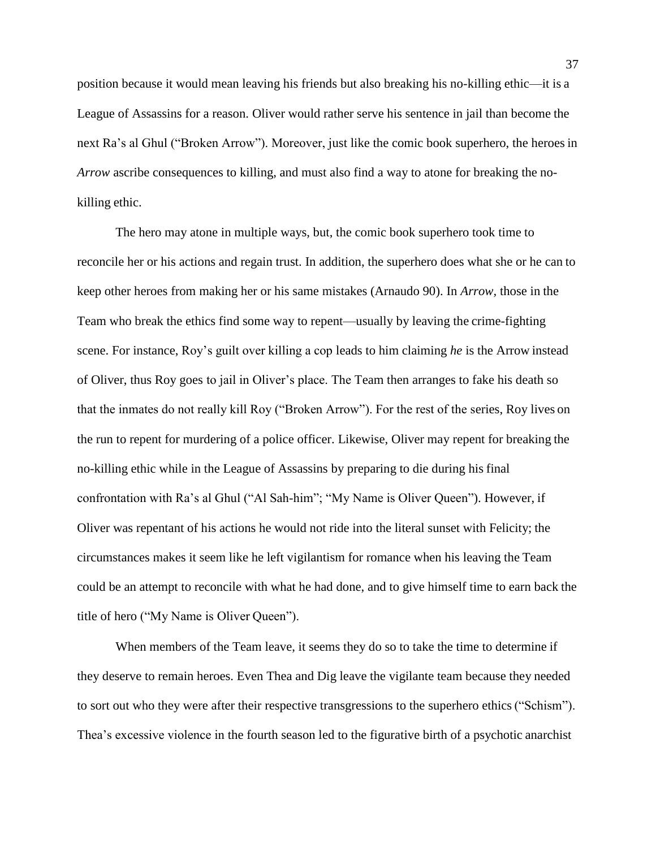position because it would mean leaving his friends but also breaking his no-killing ethic—it is a League of Assassins for a reason. Oliver would rather serve his sentence in jail than become the next Ra's al Ghul ("Broken Arrow"). Moreover, just like the comic book superhero, the heroes in *Arrow* ascribe consequences to killing, and must also find a way to atone for breaking the nokilling ethic.

The hero may atone in multiple ways, but, the comic book superhero took time to reconcile her or his actions and regain trust. In addition, the superhero does what she or he can to keep other heroes from making her or his same mistakes (Arnaudo 90). In *Arrow,* those in the Team who break the ethics find some way to repent—usually by leaving the crime-fighting scene. For instance, Roy's guilt over killing a cop leads to him claiming *he* is the Arrow instead of Oliver, thus Roy goes to jail in Oliver's place. The Team then arranges to fake his death so that the inmates do not really kill Roy ("Broken Arrow"). For the rest of the series, Roy lives on the run to repent for murdering of a police officer. Likewise, Oliver may repent for breaking the no-killing ethic while in the League of Assassins by preparing to die during his final confrontation with Ra's al Ghul ("Al Sah-him"; "My Name is Oliver Queen"). However, if Oliver was repentant of his actions he would not ride into the literal sunset with Felicity; the circumstances makes it seem like he left vigilantism for romance when his leaving the Team could be an attempt to reconcile with what he had done, and to give himself time to earn back the title of hero ("My Name is Oliver Queen").

When members of the Team leave, it seems they do so to take the time to determine if they deserve to remain heroes. Even Thea and Dig leave the vigilante team because they needed to sort out who they were after their respective transgressions to the superhero ethics("Schism"). Thea's excessive violence in the fourth season led to the figurative birth of a psychotic anarchist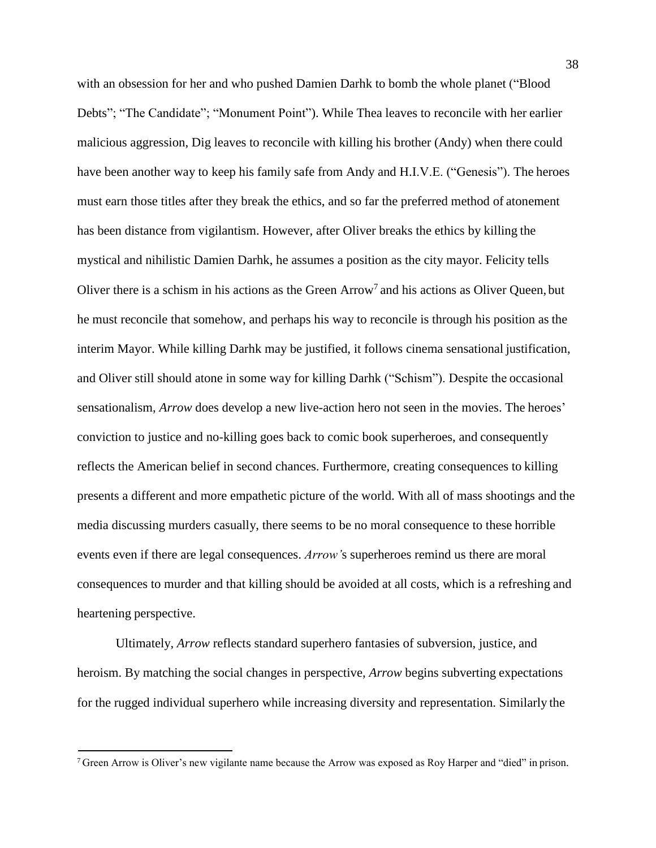with an obsession for her and who pushed Damien Darhk to bomb the whole planet ("Blood Debts"; "The Candidate"; "Monument Point"). While Thea leaves to reconcile with her earlier malicious aggression, Dig leaves to reconcile with killing his brother (Andy) when there could have been another way to keep his family safe from Andy and H.I.V.E. ("Genesis"). The heroes must earn those titles after they break the ethics, and so far the preferred method of atonement has been distance from vigilantism. However, after Oliver breaks the ethics by killing the mystical and nihilistic Damien Darhk, he assumes a position as the city mayor. Felicity tells Oliver there is a schism in his actions as the Green Arrow<sup>7</sup> and his actions as Oliver Queen, but he must reconcile that somehow, and perhaps his way to reconcile is through his position as the interim Mayor. While killing Darhk may be justified, it follows cinema sensational justification, and Oliver still should atone in some way for killing Darhk ("Schism"). Despite the occasional sensationalism, *Arrow* does develop a new live-action hero not seen in the movies. The heroes' conviction to justice and no-killing goes back to comic book superheroes, and consequently reflects the American belief in second chances. Furthermore, creating consequences to killing presents a different and more empathetic picture of the world. With all of mass shootings and the media discussing murders casually, there seems to be no moral consequence to these horrible events even if there are legal consequences. *Arrow'*s superheroes remind us there are moral consequences to murder and that killing should be avoided at all costs, which is a refreshing and heartening perspective.

Ultimately, *Arrow* reflects standard superhero fantasies of subversion, justice, and heroism. By matching the social changes in perspective, *Arrow* begins subverting expectations for the rugged individual superhero while increasing diversity and representation. Similarly the

<sup>7</sup>Green Arrow is Oliver's new vigilante name because the Arrow was exposed as Roy Harper and "died" in prison.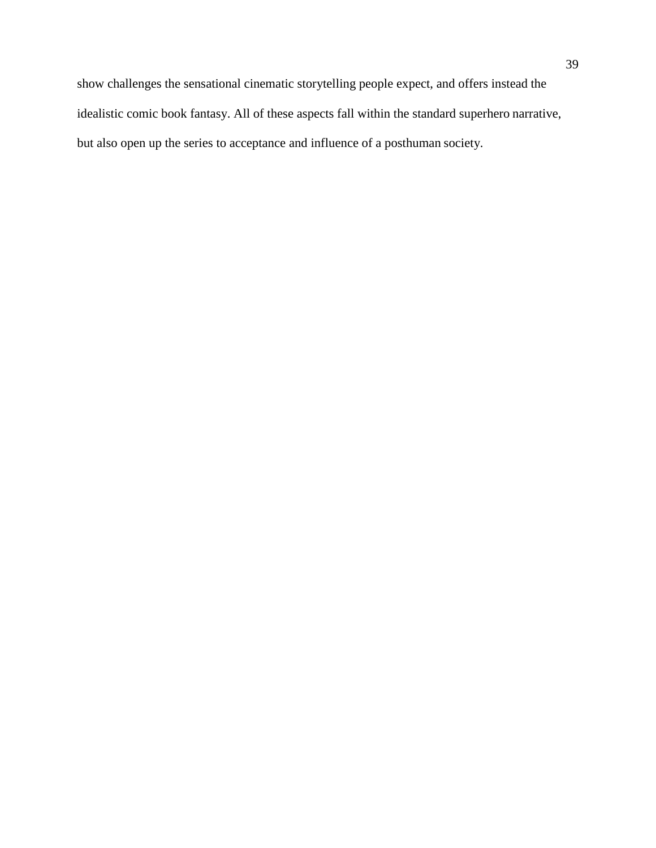show challenges the sensational cinematic storytelling people expect, and offers instead the idealistic comic book fantasy. All of these aspects fall within the standard superhero narrative, but also open up the series to acceptance and influence of a posthuman society.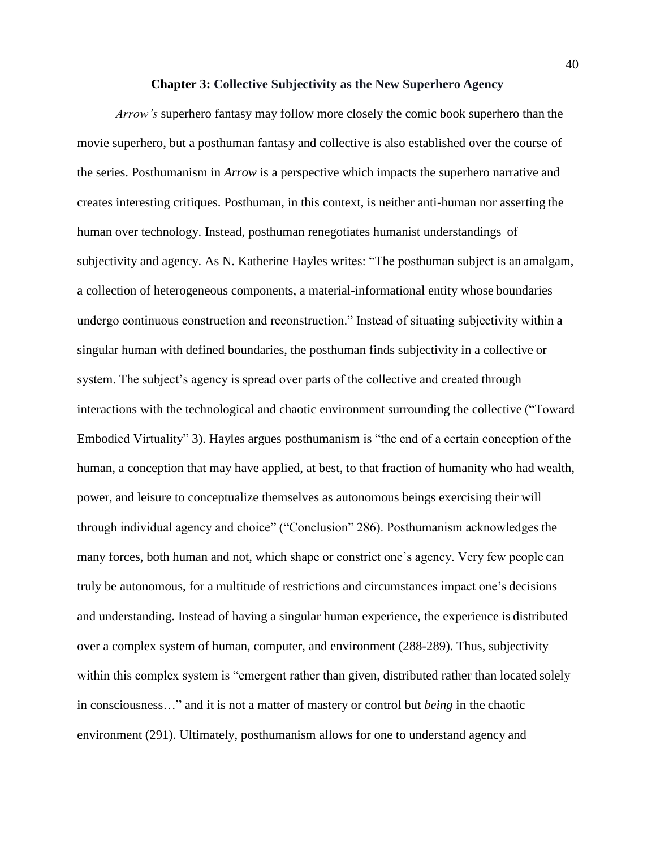### **Chapter 3: Collective Subjectivity as the New Superhero Agency**

*Arrow's* superhero fantasy may follow more closely the comic book superhero than the movie superhero, but a posthuman fantasy and collective is also established over the course of the series. Posthumanism in *Arrow* is a perspective which impacts the superhero narrative and creates interesting critiques. Posthuman, in this context, is neither anti-human nor asserting the human over technology. Instead, posthuman renegotiates humanist understandings of subjectivity and agency. As N. Katherine Hayles writes: "The posthuman subject is an amalgam, a collection of heterogeneous components, a material-informational entity whose boundaries undergo continuous construction and reconstruction." Instead of situating subjectivity within a singular human with defined boundaries, the posthuman finds subjectivity in a collective or system. The subject's agency is spread over parts of the collective and created through interactions with the technological and chaotic environment surrounding the collective ("Toward Embodied Virtuality" 3). Hayles argues posthumanism is "the end of a certain conception of the human, a conception that may have applied, at best, to that fraction of humanity who had wealth, power, and leisure to conceptualize themselves as autonomous beings exercising their will through individual agency and choice" ("Conclusion" 286). Posthumanism acknowledges the many forces, both human and not, which shape or constrict one's agency. Very few people can truly be autonomous, for a multitude of restrictions and circumstances impact one's decisions and understanding. Instead of having a singular human experience, the experience is distributed over a complex system of human, computer, and environment (288-289). Thus, subjectivity within this complex system is "emergent rather than given, distributed rather than located solely in consciousness…" and it is not a matter of mastery or control but *being* in the chaotic environment (291). Ultimately, posthumanism allows for one to understand agency and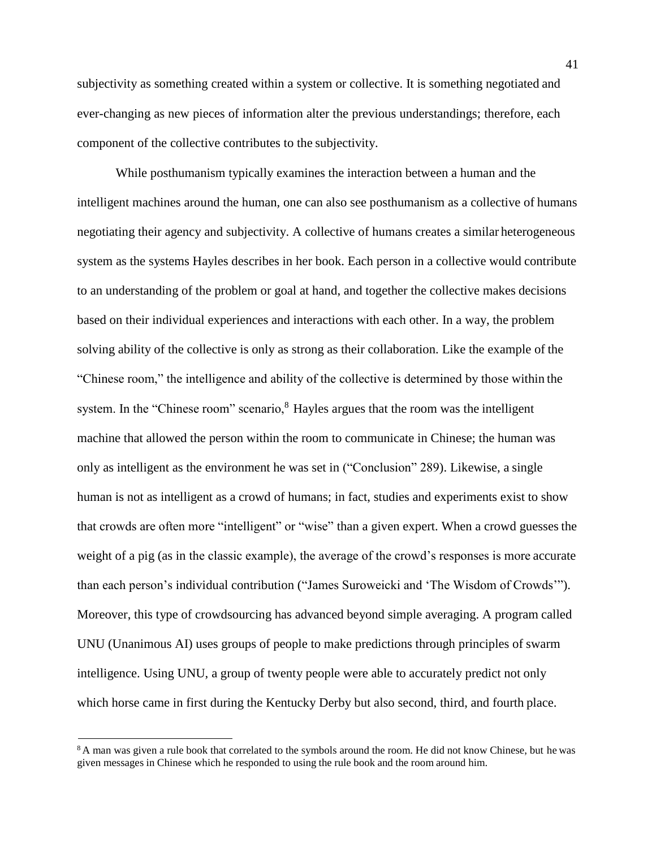subjectivity as something created within a system or collective. It is something negotiated and ever-changing as new pieces of information alter the previous understandings; therefore, each component of the collective contributes to the subjectivity.

While posthumanism typically examines the interaction between a human and the intelligent machines around the human, one can also see posthumanism as a collective of humans negotiating their agency and subjectivity. A collective of humans creates a similar heterogeneous system as the systems Hayles describes in her book. Each person in a collective would contribute to an understanding of the problem or goal at hand, and together the collective makes decisions based on their individual experiences and interactions with each other. In a way, the problem solving ability of the collective is only as strong as their collaboration. Like the example of the "Chinese room," the intelligence and ability of the collective is determined by those within the system. In the "Chinese room" scenario, $8$  Hayles argues that the room was the intelligent machine that allowed the person within the room to communicate in Chinese; the human was only as intelligent as the environment he was set in ("Conclusion" 289). Likewise, a single human is not as intelligent as a crowd of humans; in fact, studies and experiments exist to show that crowds are often more "intelligent" or "wise" than a given expert. When a crowd guesses the weight of a pig (as in the classic example), the average of the crowd's responses is more accurate than each person's individual contribution ("James Suroweicki and 'The Wisdom of Crowds'"). Moreover, this type of crowdsourcing has advanced beyond simple averaging. A program called UNU (Unanimous AI) uses groups of people to make predictions through principles of swarm intelligence. Using UNU, a group of twenty people were able to accurately predict not only which horse came in first during the Kentucky Derby but also second, third, and fourth place.

<sup>&</sup>lt;sup>8</sup>A man was given a rule book that correlated to the symbols around the room. He did not know Chinese, but he was given messages in Chinese which he responded to using the rule book and the room around him.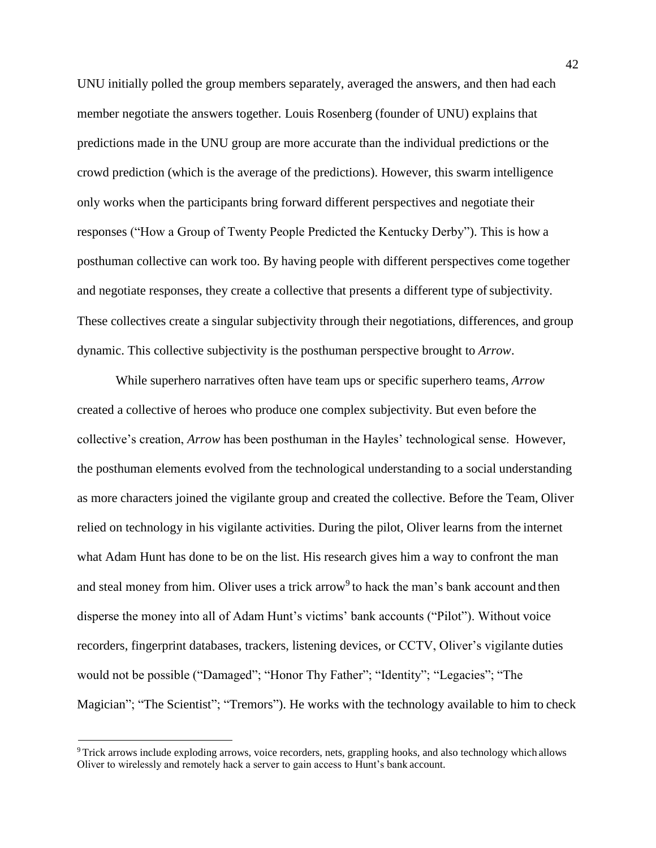UNU initially polled the group members separately, averaged the answers, and then had each member negotiate the answers together. Louis Rosenberg (founder of UNU) explains that predictions made in the UNU group are more accurate than the individual predictions or the crowd prediction (which is the average of the predictions). However, this swarm intelligence only works when the participants bring forward different perspectives and negotiate their responses ("How a Group of Twenty People Predicted the Kentucky Derby"). This is how a posthuman collective can work too. By having people with different perspectives come together and negotiate responses, they create a collective that presents a different type of subjectivity. These collectives create a singular subjectivity through their negotiations, differences, and group dynamic. This collective subjectivity is the posthuman perspective brought to *Arrow*.

While superhero narratives often have team ups or specific superhero teams, *Arrow*  created a collective of heroes who produce one complex subjectivity. But even before the collective's creation, *Arrow* has been posthuman in the Hayles' technological sense. However, the posthuman elements evolved from the technological understanding to a social understanding as more characters joined the vigilante group and created the collective. Before the Team, Oliver relied on technology in his vigilante activities. During the pilot, Oliver learns from the internet what Adam Hunt has done to be on the list. His research gives him a way to confront the man and steal money from him. Oliver uses a trick arrow<sup>9</sup> to hack the man's bank account and then disperse the money into all of Adam Hunt's victims' bank accounts ("Pilot"). Without voice recorders, fingerprint databases, trackers, listening devices, or CCTV, Oliver's vigilante duties would not be possible ("Damaged"; "Honor Thy Father"; "Identity"; "Legacies"; "The Magician"; "The Scientist"; "Tremors"). He works with the technology available to him to check

<sup>9</sup>Trick arrows include exploding arrows, voice recorders, nets, grappling hooks, and also technology which allows Oliver to wirelessly and remotely hack a server to gain access to Hunt's bank account.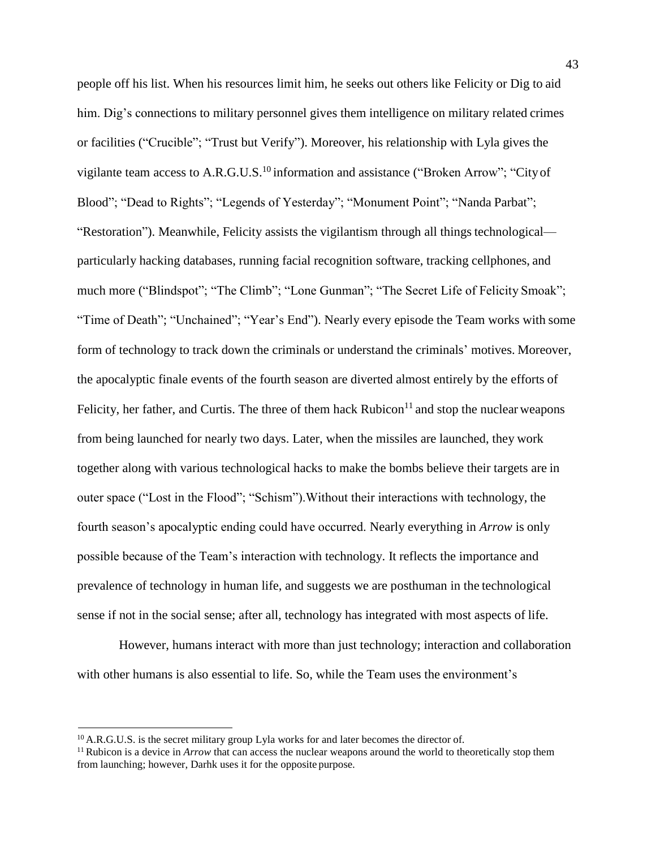people off his list. When his resources limit him, he seeks out others like Felicity or Dig to aid him. Dig's connections to military personnel gives them intelligence on military related crimes or facilities ("Crucible"; "Trust but Verify"). Moreover, his relationship with Lyla gives the vigilante team access to  $A.R.G.U.S.<sup>10</sup>$  information and assistance ("Broken Arrow"; "City of Blood"; "Dead to Rights"; "Legends of Yesterday"; "Monument Point"; "Nanda Parbat"; "Restoration"). Meanwhile, Felicity assists the vigilantism through all things technological particularly hacking databases, running facial recognition software, tracking cellphones, and much more ("Blindspot"; "The Climb"; "Lone Gunman"; "The Secret Life of Felicity Smoak"; "Time of Death"; "Unchained"; "Year's End"). Nearly every episode the Team works with some form of technology to track down the criminals or understand the criminals' motives. Moreover, the apocalyptic finale events of the fourth season are diverted almost entirely by the efforts of Felicity, her father, and Curtis. The three of them hack Rubicon<sup>11</sup> and stop the nuclear weapons from being launched for nearly two days. Later, when the missiles are launched, they work together along with various technological hacks to make the bombs believe their targets are in outer space ("Lost in the Flood"; "Schism").Without their interactions with technology, the fourth season's apocalyptic ending could have occurred. Nearly everything in *Arrow* is only possible because of the Team's interaction with technology. It reflects the importance and prevalence of technology in human life, and suggests we are posthuman in the technological sense if not in the social sense; after all, technology has integrated with most aspects of life.

However, humans interact with more than just technology; interaction and collaboration with other humans is also essential to life. So, while the Team uses the environment's

<sup>&</sup>lt;sup>10</sup> A.R.G.U.S. is the secret military group Lyla works for and later becomes the director of.

<sup>&</sup>lt;sup>11</sup> Rubicon is a device in *Arrow* that can access the nuclear weapons around the world to theoretically stop them from launching; however, Darhk uses it for the opposite purpose.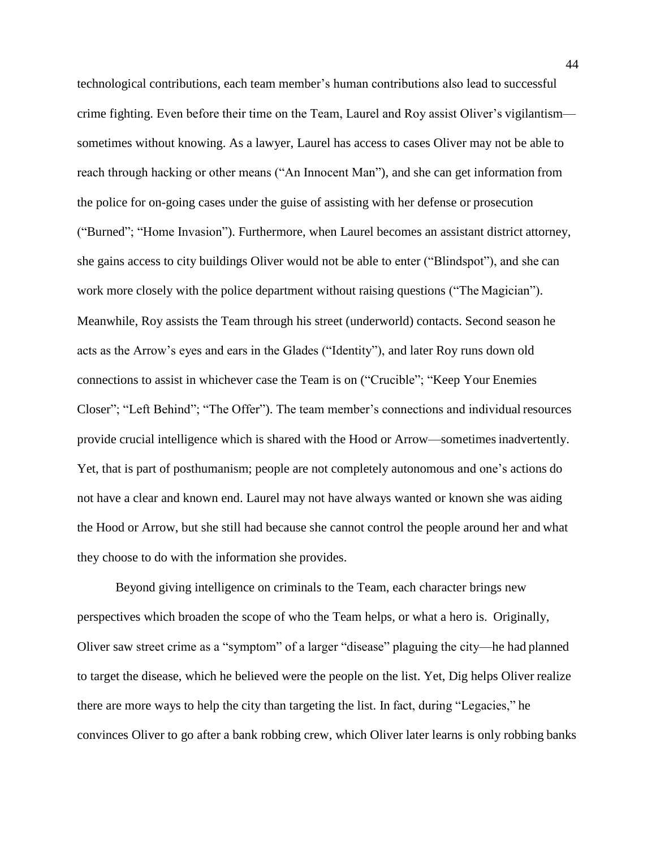technological contributions, each team member's human contributions also lead to successful crime fighting. Even before their time on the Team, Laurel and Roy assist Oliver's vigilantism sometimes without knowing. As a lawyer, Laurel has access to cases Oliver may not be able to reach through hacking or other means ("An Innocent Man"), and she can get information from the police for on-going cases under the guise of assisting with her defense or prosecution ("Burned"; "Home Invasion"). Furthermore, when Laurel becomes an assistant district attorney, she gains access to city buildings Oliver would not be able to enter ("Blindspot"), and she can work more closely with the police department without raising questions ("The Magician"). Meanwhile, Roy assists the Team through his street (underworld) contacts. Second season he acts as the Arrow's eyes and ears in the Glades ("Identity"), and later Roy runs down old connections to assist in whichever case the Team is on ("Crucible"; "Keep Your Enemies Closer"; "Left Behind"; "The Offer"). The team member's connections and individual resources provide crucial intelligence which is shared with the Hood or Arrow—sometimes inadvertently. Yet, that is part of posthumanism; people are not completely autonomous and one's actions do not have a clear and known end. Laurel may not have always wanted or known she was aiding the Hood or Arrow, but she still had because she cannot control the people around her and what they choose to do with the information she provides.

Beyond giving intelligence on criminals to the Team, each character brings new perspectives which broaden the scope of who the Team helps, or what a hero is. Originally, Oliver saw street crime as a "symptom" of a larger "disease" plaguing the city—he had planned to target the disease, which he believed were the people on the list. Yet, Dig helps Oliver realize there are more ways to help the city than targeting the list. In fact, during "Legacies," he convinces Oliver to go after a bank robbing crew, which Oliver later learns is only robbing banks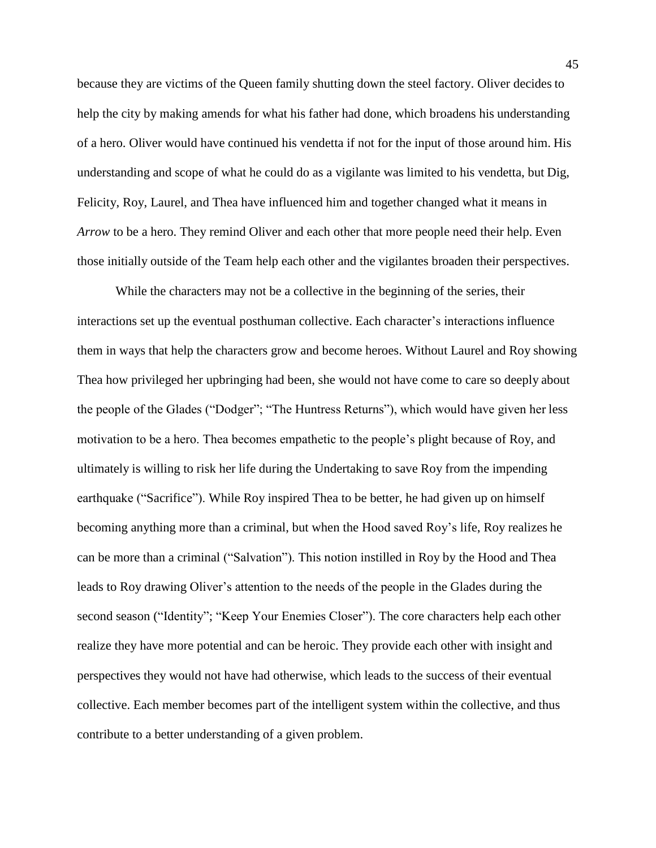because they are victims of the Queen family shutting down the steel factory. Oliver decides to help the city by making amends for what his father had done, which broadens his understanding of a hero. Oliver would have continued his vendetta if not for the input of those around him. His understanding and scope of what he could do as a vigilante was limited to his vendetta, but Dig, Felicity, Roy, Laurel, and Thea have influenced him and together changed what it means in *Arrow* to be a hero. They remind Oliver and each other that more people need their help. Even those initially outside of the Team help each other and the vigilantes broaden their perspectives.

While the characters may not be a collective in the beginning of the series, their interactions set up the eventual posthuman collective. Each character's interactions influence them in ways that help the characters grow and become heroes. Without Laurel and Roy showing Thea how privileged her upbringing had been, she would not have come to care so deeply about the people of the Glades ("Dodger"; "The Huntress Returns"), which would have given her less motivation to be a hero. Thea becomes empathetic to the people's plight because of Roy, and ultimately is willing to risk her life during the Undertaking to save Roy from the impending earthquake ("Sacrifice"). While Roy inspired Thea to be better, he had given up on himself becoming anything more than a criminal, but when the Hood saved Roy's life, Roy realizes he can be more than a criminal ("Salvation"). This notion instilled in Roy by the Hood and Thea leads to Roy drawing Oliver's attention to the needs of the people in the Glades during the second season ("Identity"; "Keep Your Enemies Closer"). The core characters help each other realize they have more potential and can be heroic. They provide each other with insight and perspectives they would not have had otherwise, which leads to the success of their eventual collective. Each member becomes part of the intelligent system within the collective, and thus contribute to a better understanding of a given problem.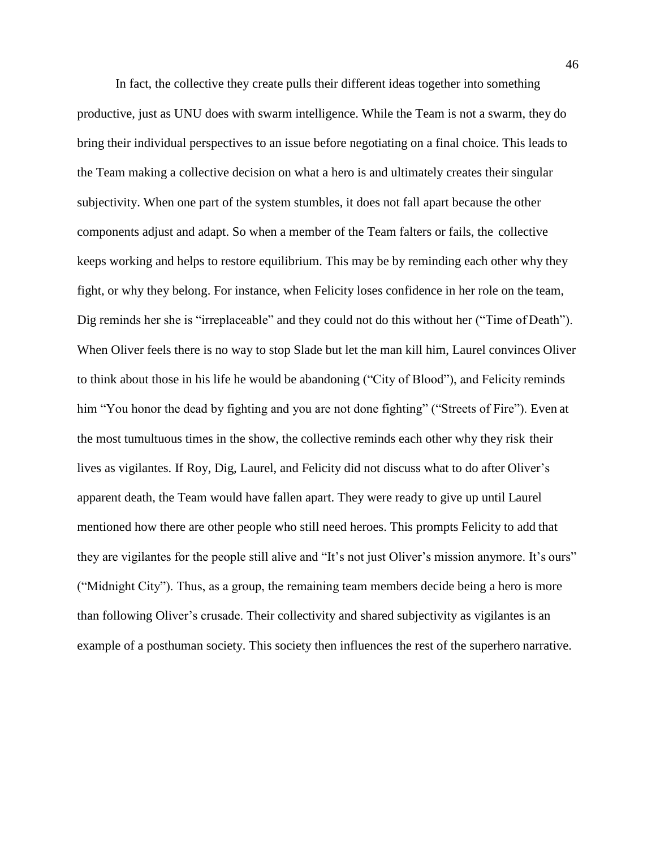In fact, the collective they create pulls their different ideas together into something productive, just as UNU does with swarm intelligence. While the Team is not a swarm, they do bring their individual perspectives to an issue before negotiating on a final choice. This leads to the Team making a collective decision on what a hero is and ultimately creates their singular subjectivity. When one part of the system stumbles, it does not fall apart because the other components adjust and adapt. So when a member of the Team falters or fails, the collective keeps working and helps to restore equilibrium. This may be by reminding each other why they fight, or why they belong. For instance, when Felicity loses confidence in her role on the team, Dig reminds her she is "irreplaceable" and they could not do this without her ("Time of Death"). When Oliver feels there is no way to stop Slade but let the man kill him, Laurel convinces Oliver to think about those in his life he would be abandoning ("City of Blood"), and Felicity reminds him "You honor the dead by fighting and you are not done fighting" ("Streets of Fire"). Even at the most tumultuous times in the show, the collective reminds each other why they risk their lives as vigilantes. If Roy, Dig, Laurel, and Felicity did not discuss what to do after Oliver's apparent death, the Team would have fallen apart. They were ready to give up until Laurel mentioned how there are other people who still need heroes. This prompts Felicity to add that they are vigilantes for the people still alive and "It's not just Oliver's mission anymore. It's ours" ("Midnight City"). Thus, as a group, the remaining team members decide being a hero is more than following Oliver's crusade. Their collectivity and shared subjectivity as vigilantes is an example of a posthuman society. This society then influences the rest of the superhero narrative.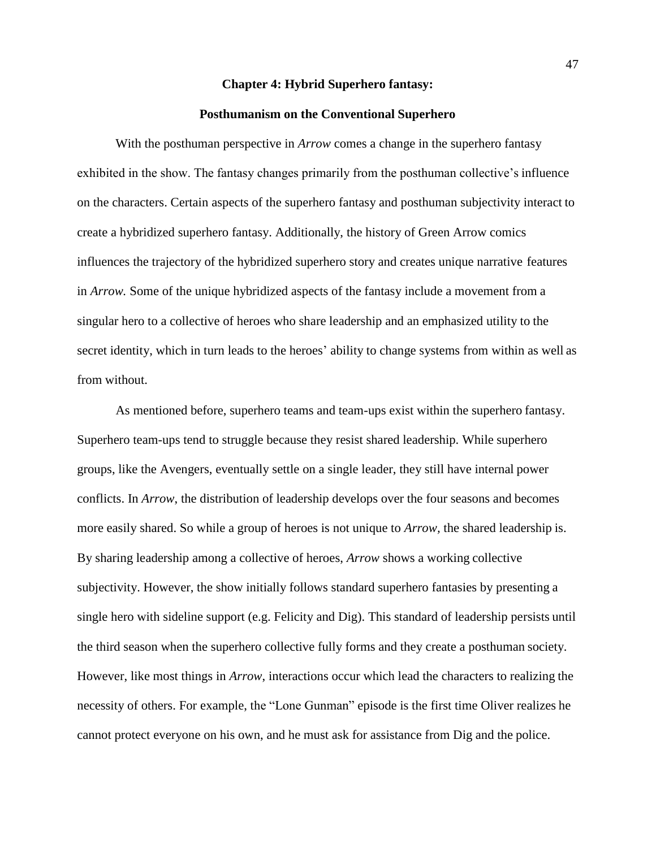# **Chapter 4: Hybrid Superhero fantasy:**

## **Posthumanism on the Conventional Superhero**

With the posthuman perspective in *Arrow* comes a change in the superhero fantasy exhibited in the show. The fantasy changes primarily from the posthuman collective's influence on the characters. Certain aspects of the superhero fantasy and posthuman subjectivity interact to create a hybridized superhero fantasy. Additionally, the history of Green Arrow comics influences the trajectory of the hybridized superhero story and creates unique narrative features in *Arrow.* Some of the unique hybridized aspects of the fantasy include a movement from a singular hero to a collective of heroes who share leadership and an emphasized utility to the secret identity, which in turn leads to the heroes' ability to change systems from within as well as from without.

As mentioned before, superhero teams and team-ups exist within the superhero fantasy. Superhero team-ups tend to struggle because they resist shared leadership. While superhero groups, like the Avengers, eventually settle on a single leader, they still have internal power conflicts. In *Arrow*, the distribution of leadership develops over the four seasons and becomes more easily shared. So while a group of heroes is not unique to *Arrow,* the shared leadership is. By sharing leadership among a collective of heroes, *Arrow* shows a working collective subjectivity. However, the show initially follows standard superhero fantasies by presenting a single hero with sideline support (e.g. Felicity and Dig). This standard of leadership persists until the third season when the superhero collective fully forms and they create a posthuman society. However, like most things in *Arrow*, interactions occur which lead the characters to realizing the necessity of others. For example, the "Lone Gunman" episode is the first time Oliver realizes he cannot protect everyone on his own, and he must ask for assistance from Dig and the police.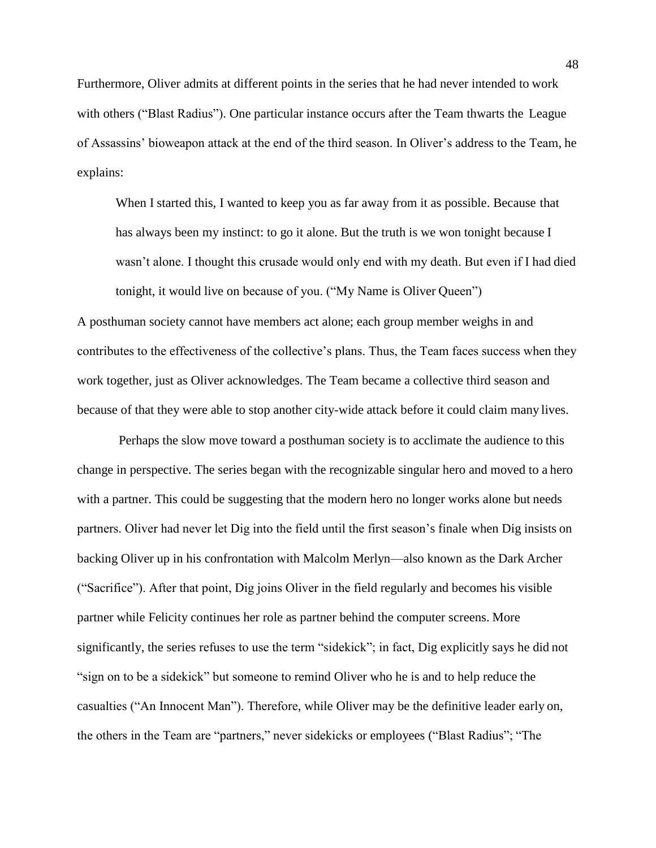Furthermore, Oliver admits at different points in the series that he had never intended to work with others ("Blast Radius"). One particular instance occurs after the Team thwarts the League of Assassins' bioweapon attack at the end of the third season. In Oliver's address to the Team, he explains:

When I started this, I wanted to keep you as far away from it as possible. Because that has always been my instinct: to go it alone. But the truth is we won tonight because I wasn't alone. I thought this crusade would only end with my death. But even if I had died tonight, it would live on because of you. ("My Name is Oliver Queen")

A posthuman society cannot have members act alone; each group member weighs in and contributes to the effectiveness of the collective's plans. Thus, the Team faces success when they work together, just as Oliver acknowledges. The Team became a collective third season and because of that they were able to stop another city-wide attack before it could claim many lives.

Perhaps the slow move toward a posthuman society is to acclimate the audience to this change in perspective. The series began with the recognizable singular hero and moved to a hero with a partner. This could be suggesting that the modern hero no longer works alone but needs partners. Oliver had never let Dig into the field until the first season's finale when Dig insists on backing Oliver up in his confrontation with Malcolm Merlyn—also known as the Dark Archer ("Sacrifice"). After that point, Dig joins Oliver in the field regularly and becomes his visible partner while Felicity continues her role as partner behind the computer screens. More significantly, the series refuses to use the term "sidekick"; in fact, Dig explicitly says he did not "sign on to be a sidekick" but someone to remind Oliver who he is and to help reduce the casualties ("An Innocent Man"). Therefore, while Oliver may be the definitive leader early on, the others in the Team are "partners," never sidekicks or employees ("Blast Radius"; "The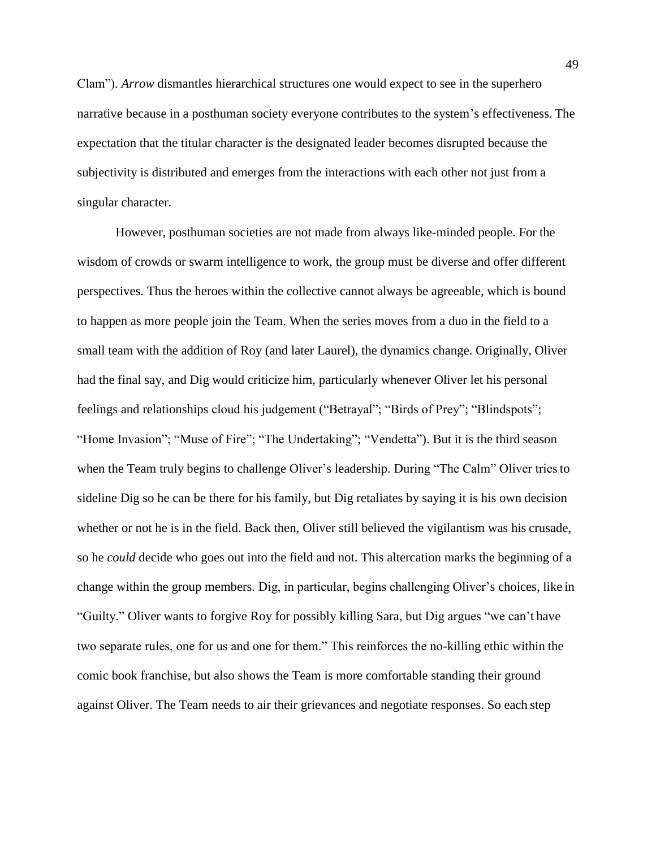Clam"). *Arrow* dismantles hierarchical structures one would expect to see in the superhero narrative because in a posthuman society everyone contributes to the system's effectiveness. The expectation that the titular character is the designated leader becomes disrupted because the subjectivity is distributed and emerges from the interactions with each other not just from a singular character.

However, posthuman societies are not made from always like-minded people. For the wisdom of crowds or swarm intelligence to work, the group must be diverse and offer different perspectives. Thus the heroes within the collective cannot always be agreeable, which is bound to happen as more people join the Team. When the series moves from a duo in the field to a small team with the addition of Roy (and later Laurel), the dynamics change. Originally, Oliver had the final say, and Dig would criticize him, particularly whenever Oliver let his personal feelings and relationships cloud his judgement ("Betrayal"; "Birds of Prey"; "Blindspots"; "Home Invasion"; "Muse of Fire"; "The Undertaking"; "Vendetta"). But it is the third season when the Team truly begins to challenge Oliver's leadership. During "The Calm" Oliver triesto sideline Dig so he can be there for his family, but Dig retaliates by saying it is his own decision whether or not he is in the field. Back then, Oliver still believed the vigilantism was his crusade, so he *could* decide who goes out into the field and not. This altercation marks the beginning of a change within the group members. Dig, in particular, begins challenging Oliver's choices, like in "Guilty." Oliver wants to forgive Roy for possibly killing Sara, but Dig argues "we can't have two separate rules, one for us and one for them." This reinforces the no-killing ethic within the comic book franchise, but also shows the Team is more comfortable standing their ground against Oliver. The Team needs to air their grievances and negotiate responses. So each step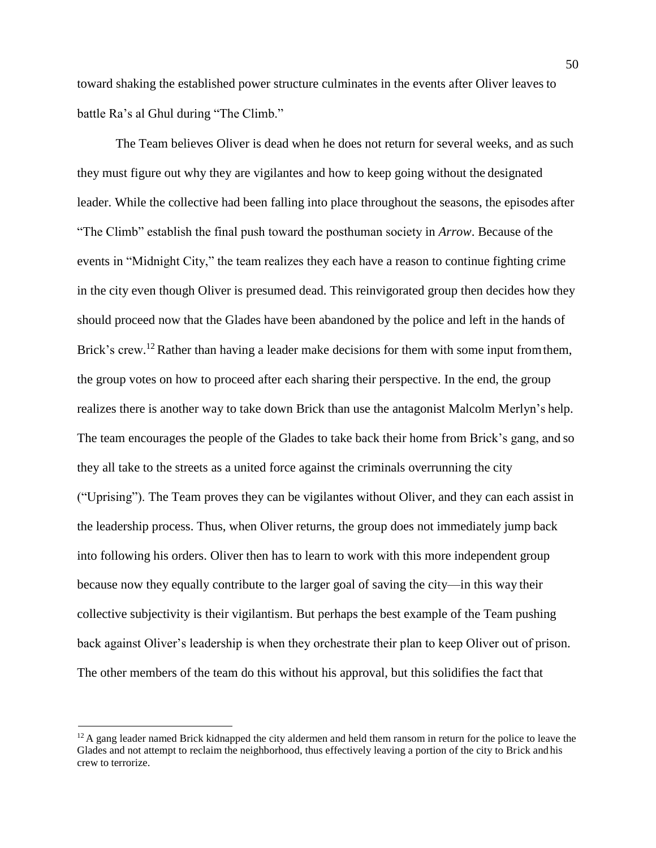toward shaking the established power structure culminates in the events after Oliver leaves to battle Ra's al Ghul during "The Climb."

The Team believes Oliver is dead when he does not return for several weeks, and as such they must figure out why they are vigilantes and how to keep going without the designated leader. While the collective had been falling into place throughout the seasons, the episodes after "The Climb" establish the final push toward the posthuman society in *Arrow*. Because of the events in "Midnight City," the team realizes they each have a reason to continue fighting crime in the city even though Oliver is presumed dead. This reinvigorated group then decides how they should proceed now that the Glades have been abandoned by the police and left in the hands of Brick's crew.<sup>12</sup> Rather than having a leader make decisions for them with some input from them, the group votes on how to proceed after each sharing their perspective. In the end, the group realizes there is another way to take down Brick than use the antagonist Malcolm Merlyn's help. The team encourages the people of the Glades to take back their home from Brick's gang, and so they all take to the streets as a united force against the criminals overrunning the city ("Uprising"). The Team proves they can be vigilantes without Oliver, and they can each assist in the leadership process. Thus, when Oliver returns, the group does not immediately jump back into following his orders. Oliver then has to learn to work with this more independent group because now they equally contribute to the larger goal of saving the city—in this way their collective subjectivity is their vigilantism. But perhaps the best example of the Team pushing back against Oliver's leadership is when they orchestrate their plan to keep Oliver out of prison. The other members of the team do this without his approval, but this solidifies the fact that

 $12A$  gang leader named Brick kidnapped the city aldermen and held them ransom in return for the police to leave the Glades and not attempt to reclaim the neighborhood, thus effectively leaving a portion of the city to Brick and his crew to terrorize.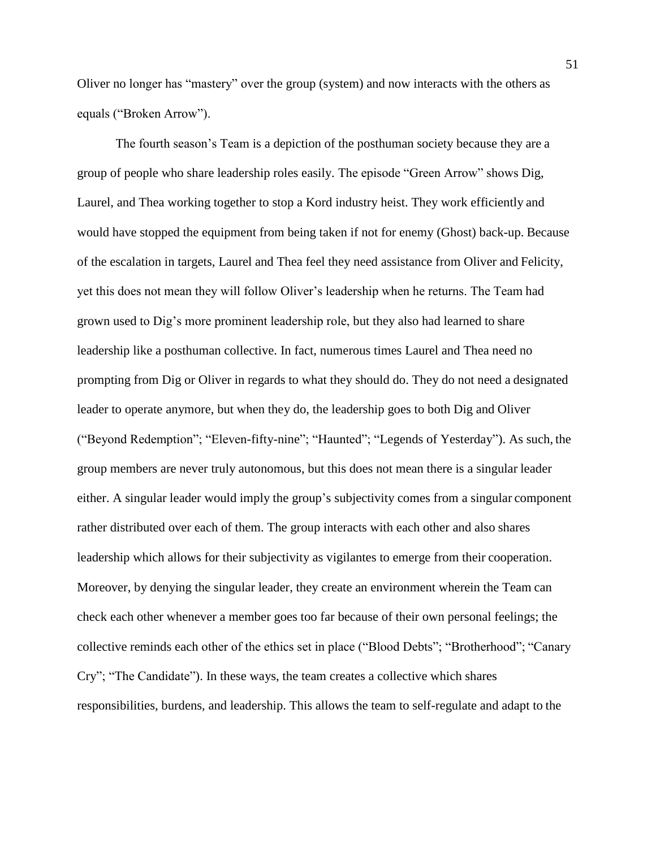Oliver no longer has "mastery" over the group (system) and now interacts with the others as equals ("Broken Arrow").

The fourth season's Team is a depiction of the posthuman society because they are a group of people who share leadership roles easily. The episode "Green Arrow" shows Dig, Laurel, and Thea working together to stop a Kord industry heist. They work efficiently and would have stopped the equipment from being taken if not for enemy (Ghost) back-up. Because of the escalation in targets, Laurel and Thea feel they need assistance from Oliver and Felicity, yet this does not mean they will follow Oliver's leadership when he returns. The Team had grown used to Dig's more prominent leadership role, but they also had learned to share leadership like a posthuman collective. In fact, numerous times Laurel and Thea need no prompting from Dig or Oliver in regards to what they should do. They do not need a designated leader to operate anymore, but when they do, the leadership goes to both Dig and Oliver ("Beyond Redemption"; "Eleven-fifty-nine"; "Haunted"; "Legends of Yesterday"). As such, the group members are never truly autonomous, but this does not mean there is a singular leader either. A singular leader would imply the group's subjectivity comes from a singular component rather distributed over each of them. The group interacts with each other and also shares leadership which allows for their subjectivity as vigilantes to emerge from their cooperation. Moreover, by denying the singular leader, they create an environment wherein the Team can check each other whenever a member goes too far because of their own personal feelings; the collective reminds each other of the ethics set in place ("Blood Debts"; "Brotherhood"; "Canary Cry"; "The Candidate"). In these ways, the team creates a collective which shares responsibilities, burdens, and leadership. This allows the team to self-regulate and adapt to the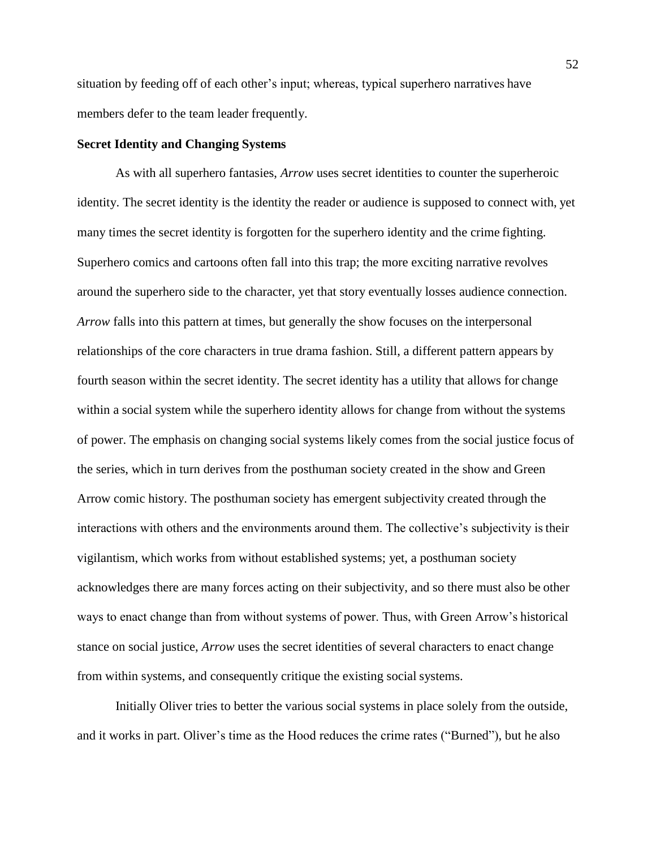situation by feeding off of each other's input; whereas, typical superhero narratives have members defer to the team leader frequently.

# **Secret Identity and Changing Systems**

As with all superhero fantasies, *Arrow* uses secret identities to counter the superheroic identity. The secret identity is the identity the reader or audience is supposed to connect with, yet many times the secret identity is forgotten for the superhero identity and the crime fighting. Superhero comics and cartoons often fall into this trap; the more exciting narrative revolves around the superhero side to the character, yet that story eventually losses audience connection. *Arrow* falls into this pattern at times, but generally the show focuses on the interpersonal relationships of the core characters in true drama fashion. Still, a different pattern appears by fourth season within the secret identity. The secret identity has a utility that allows for change within a social system while the superhero identity allows for change from without the systems of power. The emphasis on changing social systems likely comes from the social justice focus of the series, which in turn derives from the posthuman society created in the show and Green Arrow comic history. The posthuman society has emergent subjectivity created through the interactions with others and the environments around them. The collective's subjectivity is their vigilantism, which works from without established systems; yet, a posthuman society acknowledges there are many forces acting on their subjectivity, and so there must also be other ways to enact change than from without systems of power. Thus, with Green Arrow's historical stance on social justice, *Arrow* uses the secret identities of several characters to enact change from within systems, and consequently critique the existing social systems.

Initially Oliver tries to better the various social systems in place solely from the outside, and it works in part. Oliver's time as the Hood reduces the crime rates ("Burned"), but he also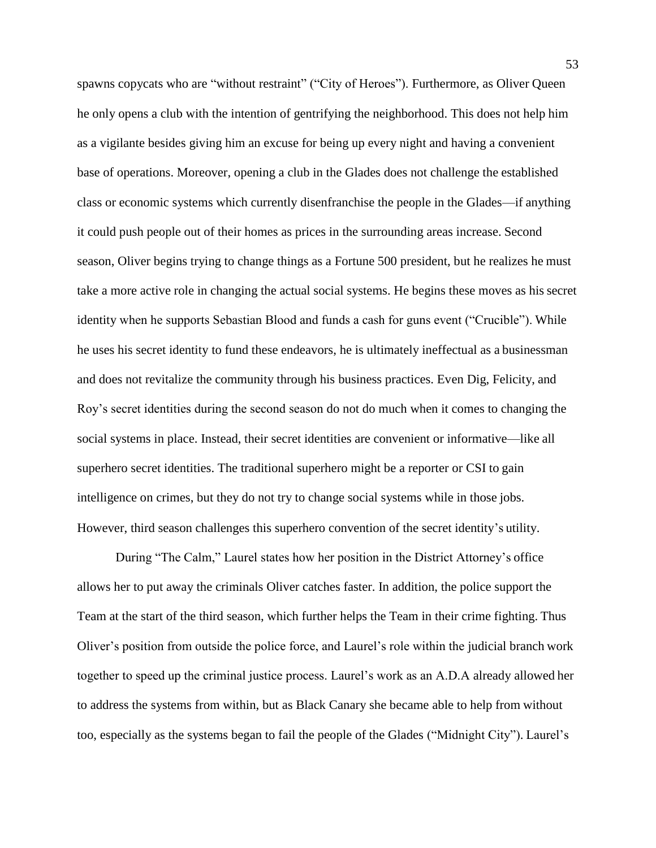spawns copycats who are "without restraint" ("City of Heroes"). Furthermore, as Oliver Queen he only opens a club with the intention of gentrifying the neighborhood. This does not help him as a vigilante besides giving him an excuse for being up every night and having a convenient base of operations. Moreover, opening a club in the Glades does not challenge the established class or economic systems which currently disenfranchise the people in the Glades—if anything it could push people out of their homes as prices in the surrounding areas increase. Second season, Oliver begins trying to change things as a Fortune 500 president, but he realizes he must take a more active role in changing the actual social systems. He begins these moves as his secret identity when he supports Sebastian Blood and funds a cash for guns event ("Crucible"). While he uses his secret identity to fund these endeavors, he is ultimately ineffectual as a businessman and does not revitalize the community through his business practices. Even Dig, Felicity, and Roy's secret identities during the second season do not do much when it comes to changing the social systems in place. Instead, their secret identities are convenient or informative—like all superhero secret identities. The traditional superhero might be a reporter or CSI to gain intelligence on crimes, but they do not try to change social systems while in those jobs. However, third season challenges this superhero convention of the secret identity's utility.

During "The Calm," Laurel states how her position in the District Attorney's office allows her to put away the criminals Oliver catches faster. In addition, the police support the Team at the start of the third season, which further helps the Team in their crime fighting. Thus Oliver's position from outside the police force, and Laurel's role within the judicial branch work together to speed up the criminal justice process. Laurel's work as an A.D.A already allowed her to address the systems from within, but as Black Canary she became able to help from without too, especially as the systems began to fail the people of the Glades ("Midnight City"). Laurel's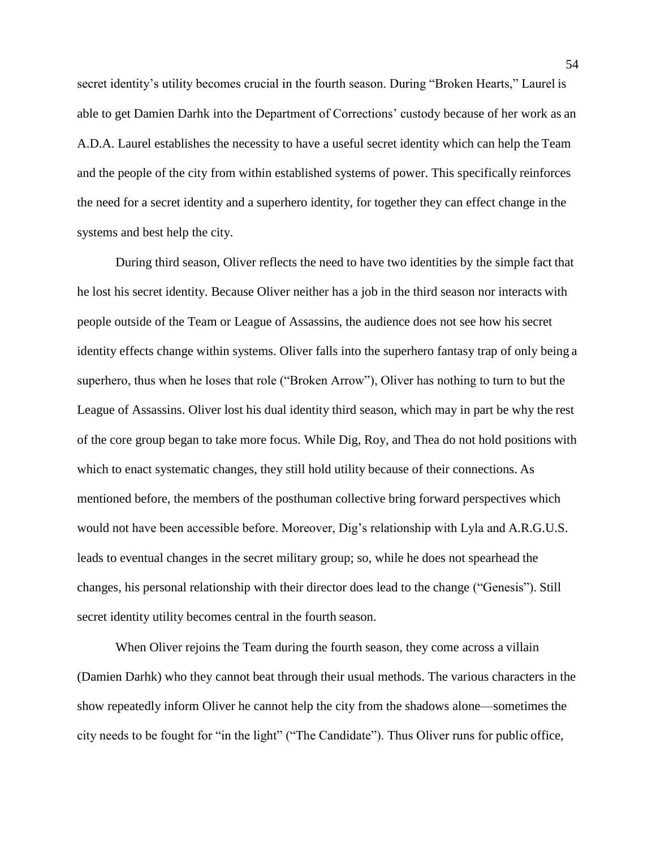secret identity's utility becomes crucial in the fourth season. During "Broken Hearts," Laurel is able to get Damien Darhk into the Department of Corrections' custody because of her work as an A.D.A. Laurel establishes the necessity to have a useful secret identity which can help the Team and the people of the city from within established systems of power. This specifically reinforces the need for a secret identity and a superhero identity, for together they can effect change in the systems and best help the city.

During third season, Oliver reflects the need to have two identities by the simple fact that he lost his secret identity. Because Oliver neither has a job in the third season nor interacts with people outside of the Team or League of Assassins, the audience does not see how his secret identity effects change within systems. Oliver falls into the superhero fantasy trap of only being a superhero, thus when he loses that role ("Broken Arrow"), Oliver has nothing to turn to but the League of Assassins. Oliver lost his dual identity third season, which may in part be why the rest of the core group began to take more focus. While Dig, Roy, and Thea do not hold positions with which to enact systematic changes, they still hold utility because of their connections. As mentioned before, the members of the posthuman collective bring forward perspectives which would not have been accessible before. Moreover, Dig's relationship with Lyla and A.R.G.U.S. leads to eventual changes in the secret military group; so, while he does not spearhead the changes, his personal relationship with their director does lead to the change ("Genesis"). Still secret identity utility becomes central in the fourth season.

When Oliver rejoins the Team during the fourth season, they come across a villain (Damien Darhk) who they cannot beat through their usual methods. The various characters in the show repeatedly inform Oliver he cannot help the city from the shadows alone—sometimes the city needs to be fought for "in the light" ("The Candidate"). Thus Oliver runs for public office,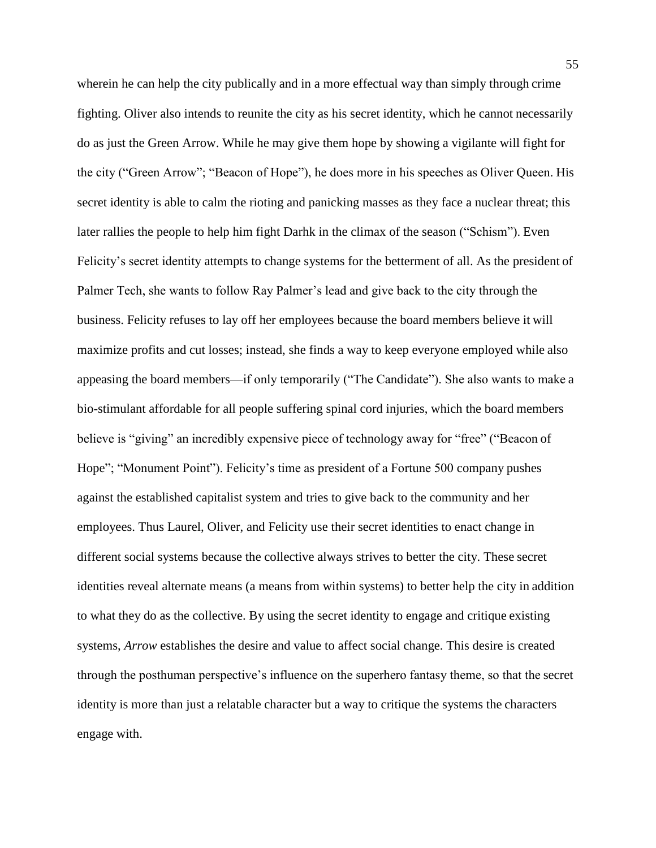wherein he can help the city publically and in a more effectual way than simply through crime fighting. Oliver also intends to reunite the city as his secret identity, which he cannot necessarily do as just the Green Arrow. While he may give them hope by showing a vigilante will fight for the city ("Green Arrow"; "Beacon of Hope"), he does more in his speeches as Oliver Queen. His secret identity is able to calm the rioting and panicking masses as they face a nuclear threat; this later rallies the people to help him fight Darhk in the climax of the season ("Schism"). Even Felicity's secret identity attempts to change systems for the betterment of all. As the president of Palmer Tech, she wants to follow Ray Palmer's lead and give back to the city through the business. Felicity refuses to lay off her employees because the board members believe it will maximize profits and cut losses; instead, she finds a way to keep everyone employed while also appeasing the board members—if only temporarily ("The Candidate"). She also wants to make a bio-stimulant affordable for all people suffering spinal cord injuries, which the board members believe is "giving" an incredibly expensive piece of technology away for "free" ("Beacon of Hope"; "Monument Point"). Felicity's time as president of a Fortune 500 company pushes against the established capitalist system and tries to give back to the community and her employees. Thus Laurel, Oliver, and Felicity use their secret identities to enact change in different social systems because the collective always strives to better the city. These secret identities reveal alternate means (a means from within systems) to better help the city in addition to what they do as the collective. By using the secret identity to engage and critique existing systems, *Arrow* establishes the desire and value to affect social change. This desire is created through the posthuman perspective's influence on the superhero fantasy theme, so that the secret identity is more than just a relatable character but a way to critique the systems the characters engage with.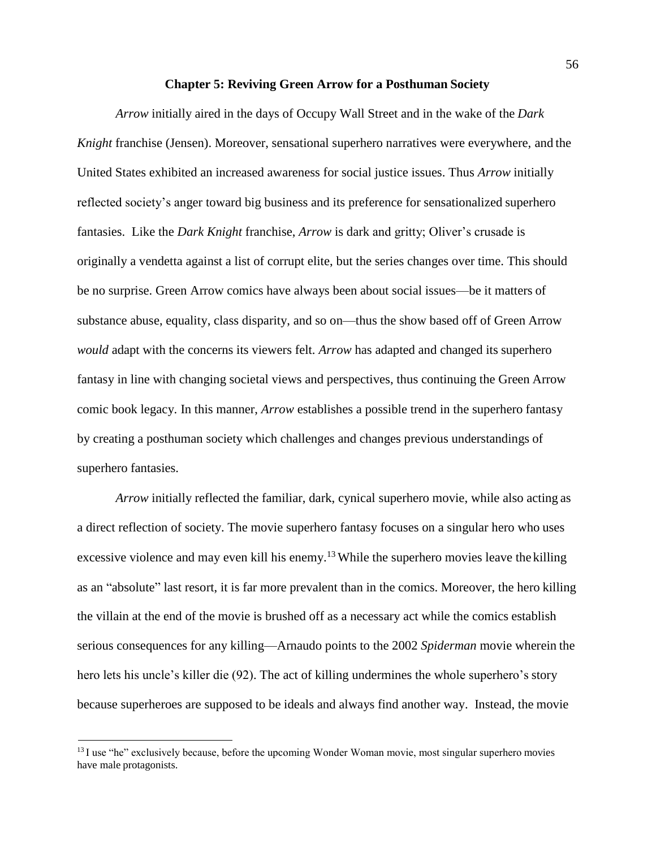### **Chapter 5: Reviving Green Arrow for a Posthuman Society**

*Arrow* initially aired in the days of Occupy Wall Street and in the wake of the *Dark Knight* franchise (Jensen). Moreover, sensational superhero narratives were everywhere, and the United States exhibited an increased awareness for social justice issues. Thus *Arrow* initially reflected society's anger toward big business and its preference for sensationalized superhero fantasies. Like the *Dark Knight* franchise, *Arrow* is dark and gritty; Oliver's crusade is originally a vendetta against a list of corrupt elite, but the series changes over time. This should be no surprise. Green Arrow comics have always been about social issues—be it matters of substance abuse, equality, class disparity, and so on—thus the show based off of Green Arrow *would* adapt with the concerns its viewers felt. *Arrow* has adapted and changed its superhero fantasy in line with changing societal views and perspectives, thus continuing the Green Arrow comic book legacy. In this manner, *Arrow* establishes a possible trend in the superhero fantasy by creating a posthuman society which challenges and changes previous understandings of superhero fantasies.

*Arrow* initially reflected the familiar, dark, cynical superhero movie, while also acting as a direct reflection of society. The movie superhero fantasy focuses on a singular hero who uses excessive violence and may even kill his enemy.<sup>13</sup> While the superhero movies leave the killing as an "absolute" last resort, it is far more prevalent than in the comics. Moreover, the hero killing the villain at the end of the movie is brushed off as a necessary act while the comics establish serious consequences for any killing—Arnaudo points to the 2002 *Spiderman* movie wherein the hero lets his uncle's killer die (92). The act of killing undermines the whole superhero's story because superheroes are supposed to be ideals and always find another way. Instead, the movie

<sup>&</sup>lt;sup>13</sup> I use "he" exclusively because, before the upcoming Wonder Woman movie, most singular superhero movies have male protagonists.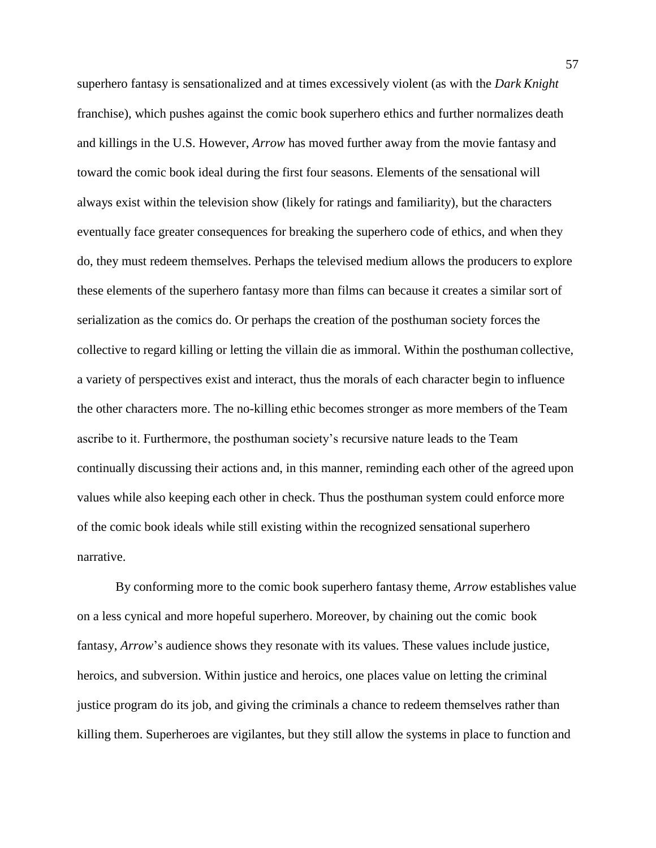superhero fantasy is sensationalized and at times excessively violent (as with the *Dark Knight*  franchise), which pushes against the comic book superhero ethics and further normalizes death and killings in the U.S. However, *Arrow* has moved further away from the movie fantasy and toward the comic book ideal during the first four seasons. Elements of the sensational will always exist within the television show (likely for ratings and familiarity), but the characters eventually face greater consequences for breaking the superhero code of ethics, and when they do, they must redeem themselves. Perhaps the televised medium allows the producers to explore these elements of the superhero fantasy more than films can because it creates a similar sort of serialization as the comics do. Or perhaps the creation of the posthuman society forces the collective to regard killing or letting the villain die as immoral. Within the posthuman collective, a variety of perspectives exist and interact, thus the morals of each character begin to influence the other characters more. The no-killing ethic becomes stronger as more members of the Team ascribe to it. Furthermore, the posthuman society's recursive nature leads to the Team continually discussing their actions and, in this manner, reminding each other of the agreed upon values while also keeping each other in check. Thus the posthuman system could enforce more of the comic book ideals while still existing within the recognized sensational superhero narrative.

By conforming more to the comic book superhero fantasy theme, *Arrow* establishes value on a less cynical and more hopeful superhero. Moreover, by chaining out the comic book fantasy, *Arrow*'s audience shows they resonate with its values. These values include justice, heroics, and subversion. Within justice and heroics, one places value on letting the criminal justice program do its job, and giving the criminals a chance to redeem themselves rather than killing them. Superheroes are vigilantes, but they still allow the systems in place to function and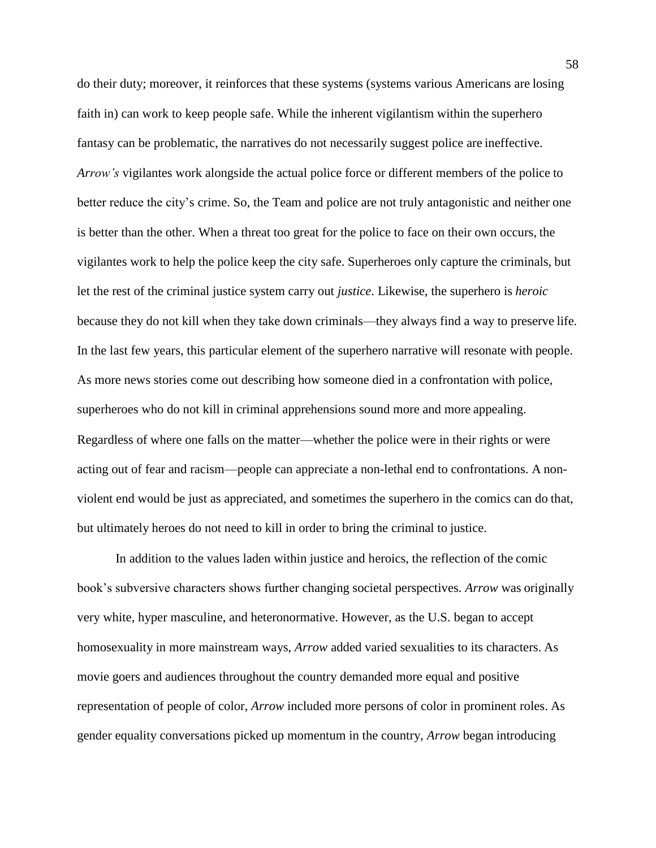do their duty; moreover, it reinforces that these systems (systems various Americans are losing faith in) can work to keep people safe. While the inherent vigilantism within the superhero fantasy can be problematic, the narratives do not necessarily suggest police are ineffective. *Arrow's* vigilantes work alongside the actual police force or different members of the police to better reduce the city's crime. So, the Team and police are not truly antagonistic and neither one is better than the other. When a threat too great for the police to face on their own occurs, the vigilantes work to help the police keep the city safe. Superheroes only capture the criminals, but let the rest of the criminal justice system carry out *justice*. Likewise, the superhero is *heroic*  because they do not kill when they take down criminals—they always find a way to preserve life. In the last few years, this particular element of the superhero narrative will resonate with people. As more news stories come out describing how someone died in a confrontation with police, superheroes who do not kill in criminal apprehensions sound more and more appealing. Regardless of where one falls on the matter—whether the police were in their rights or were acting out of fear and racism—people can appreciate a non-lethal end to confrontations. A nonviolent end would be just as appreciated, and sometimes the superhero in the comics can do that, but ultimately heroes do not need to kill in order to bring the criminal to justice.

In addition to the values laden within justice and heroics, the reflection of the comic book's subversive characters shows further changing societal perspectives. *Arrow* was originally very white, hyper masculine, and heteronormative. However, as the U.S. began to accept homosexuality in more mainstream ways, *Arrow* added varied sexualities to its characters. As movie goers and audiences throughout the country demanded more equal and positive representation of people of color, *Arrow* included more persons of color in prominent roles. As gender equality conversations picked up momentum in the country, *Arrow* began introducing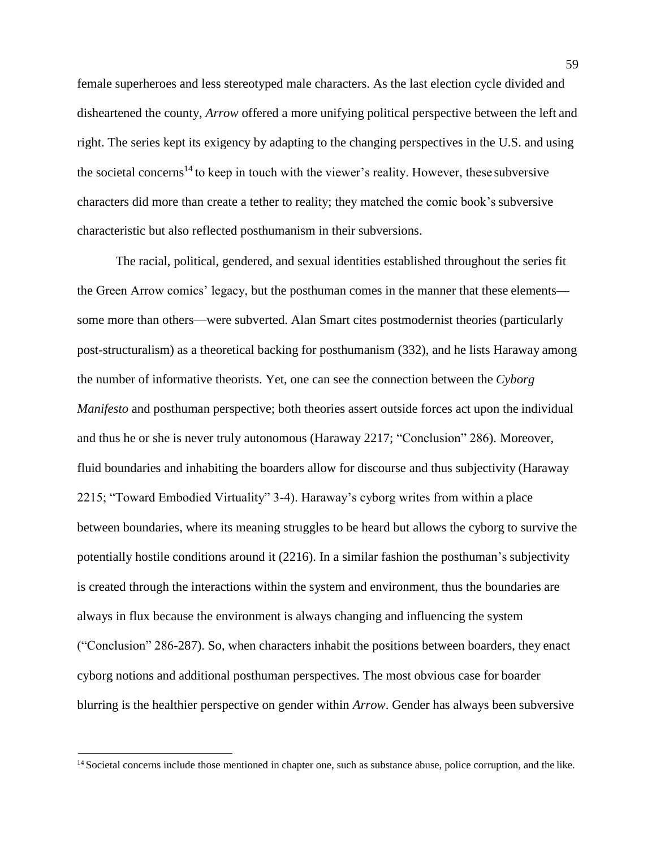female superheroes and less stereotyped male characters. As the last election cycle divided and disheartened the county, *Arrow* offered a more unifying political perspective between the left and right. The series kept its exigency by adapting to the changing perspectives in the U.S. and using the societal concerns<sup>14</sup> to keep in touch with the viewer's reality. However, these subversive characters did more than create a tether to reality; they matched the comic book's subversive characteristic but also reflected posthumanism in their subversions.

The racial, political, gendered, and sexual identities established throughout the series fit the Green Arrow comics' legacy, but the posthuman comes in the manner that these elements some more than others—were subverted. Alan Smart cites postmodernist theories (particularly post-structuralism) as a theoretical backing for posthumanism (332), and he lists Haraway among the number of informative theorists. Yet, one can see the connection between the *Cyborg Manifesto* and posthuman perspective; both theories assert outside forces act upon the individual and thus he or she is never truly autonomous (Haraway 2217; "Conclusion" 286). Moreover, fluid boundaries and inhabiting the boarders allow for discourse and thus subjectivity (Haraway 2215; "Toward Embodied Virtuality" 3-4). Haraway's cyborg writes from within a place between boundaries, where its meaning struggles to be heard but allows the cyborg to survive the potentially hostile conditions around it (2216). In a similar fashion the posthuman's subjectivity is created through the interactions within the system and environment, thus the boundaries are always in flux because the environment is always changing and influencing the system ("Conclusion" 286-287). So, when characters inhabit the positions between boarders, they enact cyborg notions and additional posthuman perspectives. The most obvious case for boarder blurring is the healthier perspective on gender within *Arrow*. Gender has always been subversive

<sup>&</sup>lt;sup>14</sup> Societal concerns include those mentioned in chapter one, such as substance abuse, police corruption, and the like.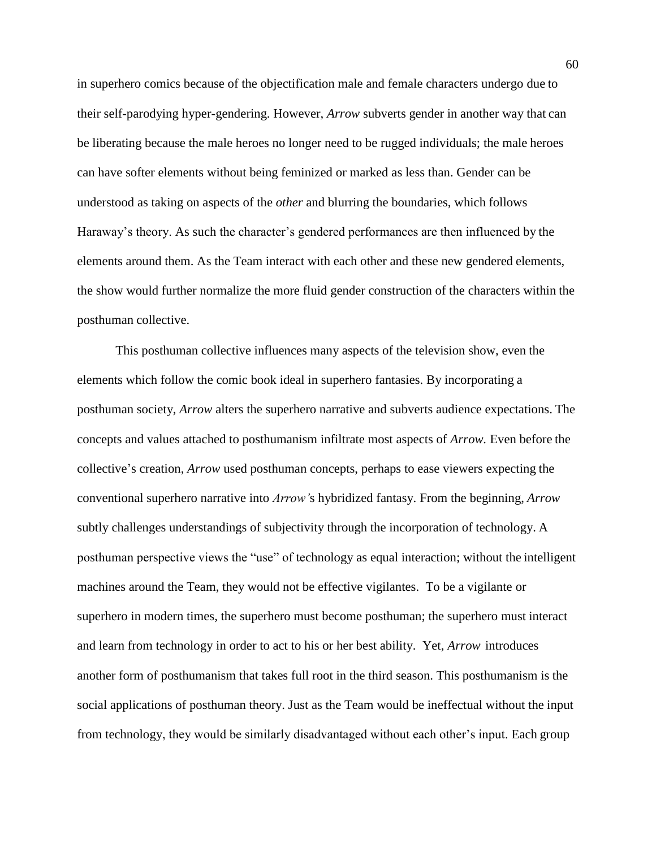in superhero comics because of the objectification male and female characters undergo due to their self-parodying hyper-gendering. However, *Arrow* subverts gender in another way that can be liberating because the male heroes no longer need to be rugged individuals; the male heroes can have softer elements without being feminized or marked as less than. Gender can be understood as taking on aspects of the *other* and blurring the boundaries, which follows Haraway's theory. As such the character's gendered performances are then influenced by the elements around them. As the Team interact with each other and these new gendered elements, the show would further normalize the more fluid gender construction of the characters within the posthuman collective.

This posthuman collective influences many aspects of the television show, even the elements which follow the comic book ideal in superhero fantasies. By incorporating a posthuman society, *Arrow* alters the superhero narrative and subverts audience expectations. The concepts and values attached to posthumanism infiltrate most aspects of *Arrow.* Even before the collective's creation, *Arrow* used posthuman concepts, perhaps to ease viewers expecting the conventional superhero narrative into *Arrow'*s hybridized fantasy. From the beginning, *Arrow*  subtly challenges understandings of subjectivity through the incorporation of technology. A posthuman perspective views the "use" of technology as equal interaction; without the intelligent machines around the Team, they would not be effective vigilantes. To be a vigilante or superhero in modern times, the superhero must become posthuman; the superhero must interact and learn from technology in order to act to his or her best ability. Yet, *Arrow* introduces another form of posthumanism that takes full root in the third season. This posthumanism is the social applications of posthuman theory. Just as the Team would be ineffectual without the input from technology, they would be similarly disadvantaged without each other's input. Each group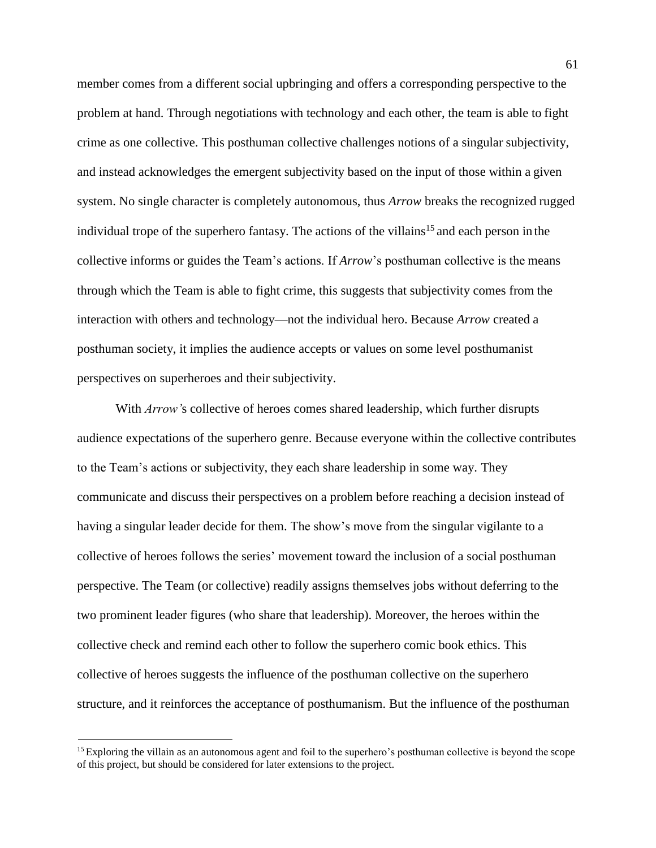member comes from a different social upbringing and offers a corresponding perspective to the problem at hand. Through negotiations with technology and each other, the team is able to fight crime as one collective. This posthuman collective challenges notions of a singular subjectivity, and instead acknowledges the emergent subjectivity based on the input of those within a given system. No single character is completely autonomous, thus *Arrow* breaks the recognized rugged individual trope of the superhero fantasy. The actions of the villains<sup>15</sup> and each person in the collective informs or guides the Team's actions. If *Arrow*'s posthuman collective is the means through which the Team is able to fight crime, this suggests that subjectivity comes from the interaction with others and technology—not the individual hero. Because *Arrow* created a posthuman society, it implies the audience accepts or values on some level posthumanist perspectives on superheroes and their subjectivity.

With *Arrow'*s collective of heroes comes shared leadership, which further disrupts audience expectations of the superhero genre. Because everyone within the collective contributes to the Team's actions or subjectivity, they each share leadership in some way. They communicate and discuss their perspectives on a problem before reaching a decision instead of having a singular leader decide for them. The show's move from the singular vigilante to a collective of heroes follows the series' movement toward the inclusion of a social posthuman perspective. The Team (or collective) readily assigns themselves jobs without deferring to the two prominent leader figures (who share that leadership). Moreover, the heroes within the collective check and remind each other to follow the superhero comic book ethics. This collective of heroes suggests the influence of the posthuman collective on the superhero structure, and it reinforces the acceptance of posthumanism. But the influence of the posthuman

<sup>&</sup>lt;sup>15</sup> Exploring the villain as an autonomous agent and foil to the superhero's posthuman collective is beyond the scope of this project, but should be considered for later extensions to the project.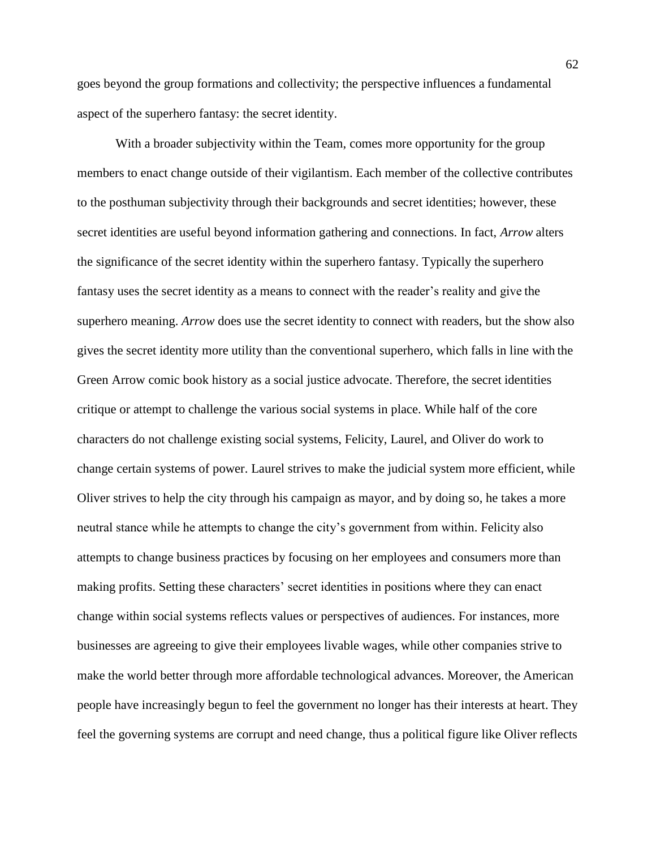goes beyond the group formations and collectivity; the perspective influences a fundamental aspect of the superhero fantasy: the secret identity.

With a broader subjectivity within the Team, comes more opportunity for the group members to enact change outside of their vigilantism. Each member of the collective contributes to the posthuman subjectivity through their backgrounds and secret identities; however, these secret identities are useful beyond information gathering and connections. In fact, *Arrow* alters the significance of the secret identity within the superhero fantasy. Typically the superhero fantasy uses the secret identity as a means to connect with the reader's reality and give the superhero meaning. *Arrow* does use the secret identity to connect with readers, but the show also gives the secret identity more utility than the conventional superhero, which falls in line with the Green Arrow comic book history as a social justice advocate. Therefore, the secret identities critique or attempt to challenge the various social systems in place. While half of the core characters do not challenge existing social systems, Felicity, Laurel, and Oliver do work to change certain systems of power. Laurel strives to make the judicial system more efficient, while Oliver strives to help the city through his campaign as mayor, and by doing so, he takes a more neutral stance while he attempts to change the city's government from within. Felicity also attempts to change business practices by focusing on her employees and consumers more than making profits. Setting these characters' secret identities in positions where they can enact change within social systems reflects values or perspectives of audiences. For instances, more businesses are agreeing to give their employees livable wages, while other companies strive to make the world better through more affordable technological advances. Moreover, the American people have increasingly begun to feel the government no longer has their interests at heart. They feel the governing systems are corrupt and need change, thus a political figure like Oliver reflects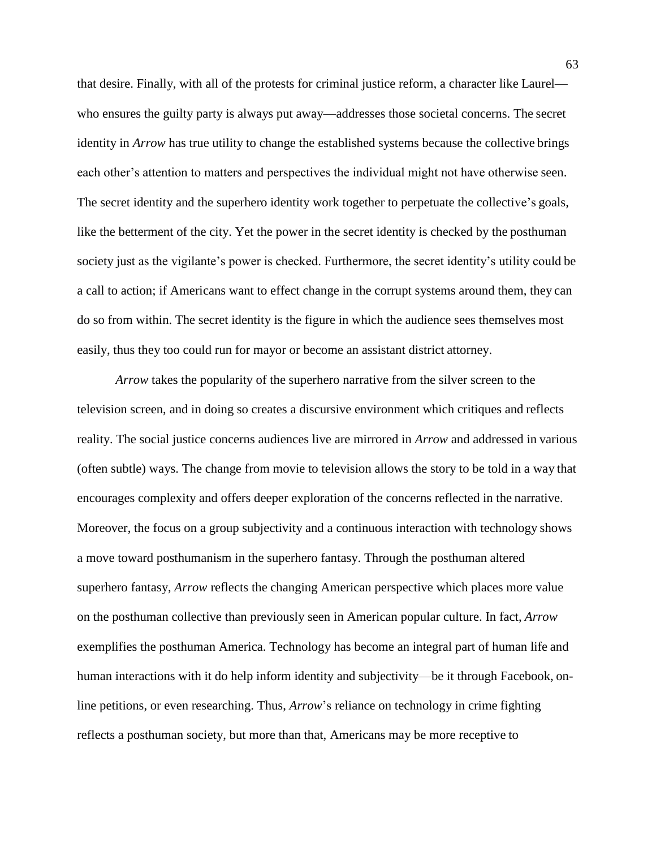that desire. Finally, with all of the protests for criminal justice reform, a character like Laurel who ensures the guilty party is always put away—addresses those societal concerns. The secret identity in *Arrow* has true utility to change the established systems because the collective brings each other's attention to matters and perspectives the individual might not have otherwise seen. The secret identity and the superhero identity work together to perpetuate the collective's goals, like the betterment of the city. Yet the power in the secret identity is checked by the posthuman society just as the vigilante's power is checked. Furthermore, the secret identity's utility could be a call to action; if Americans want to effect change in the corrupt systems around them, they can do so from within. The secret identity is the figure in which the audience sees themselves most easily, thus they too could run for mayor or become an assistant district attorney.

*Arrow* takes the popularity of the superhero narrative from the silver screen to the television screen, and in doing so creates a discursive environment which critiques and reflects reality. The social justice concerns audiences live are mirrored in *Arrow* and addressed in various (often subtle) ways. The change from movie to television allows the story to be told in a way that encourages complexity and offers deeper exploration of the concerns reflected in the narrative. Moreover, the focus on a group subjectivity and a continuous interaction with technology shows a move toward posthumanism in the superhero fantasy. Through the posthuman altered superhero fantasy, *Arrow* reflects the changing American perspective which places more value on the posthuman collective than previously seen in American popular culture. In fact, *Arrow*  exemplifies the posthuman America. Technology has become an integral part of human life and human interactions with it do help inform identity and subjectivity—be it through Facebook, online petitions, or even researching. Thus, *Arrow*'s reliance on technology in crime fighting reflects a posthuman society, but more than that, Americans may be more receptive to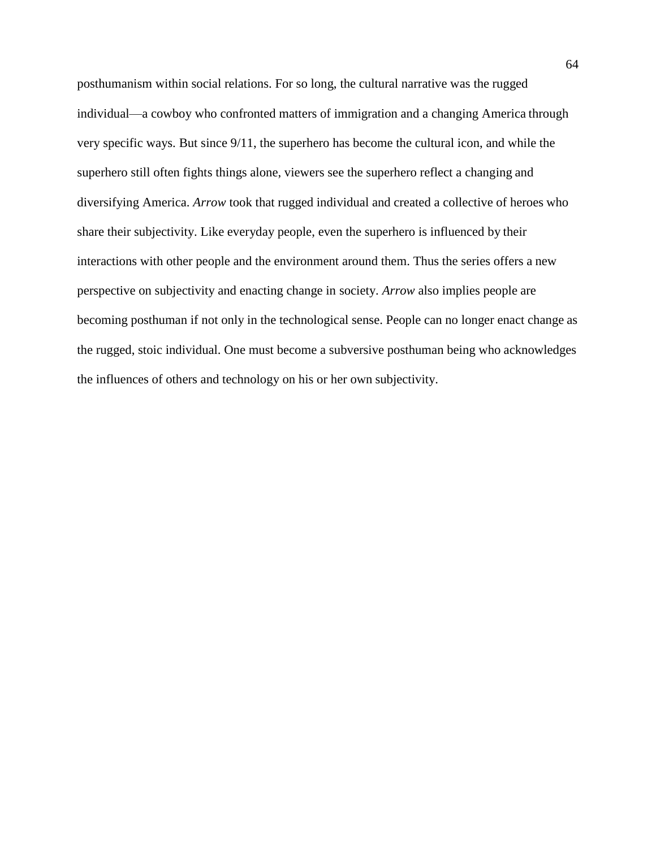posthumanism within social relations. For so long, the cultural narrative was the rugged individual—a cowboy who confronted matters of immigration and a changing America through very specific ways. But since 9/11, the superhero has become the cultural icon, and while the superhero still often fights things alone, viewers see the superhero reflect a changing and diversifying America. *Arrow* took that rugged individual and created a collective of heroes who share their subjectivity. Like everyday people, even the superhero is influenced by their interactions with other people and the environment around them. Thus the series offers a new perspective on subjectivity and enacting change in society. *Arrow* also implies people are becoming posthuman if not only in the technological sense. People can no longer enact change as the rugged, stoic individual. One must become a subversive posthuman being who acknowledges the influences of others and technology on his or her own subjectivity.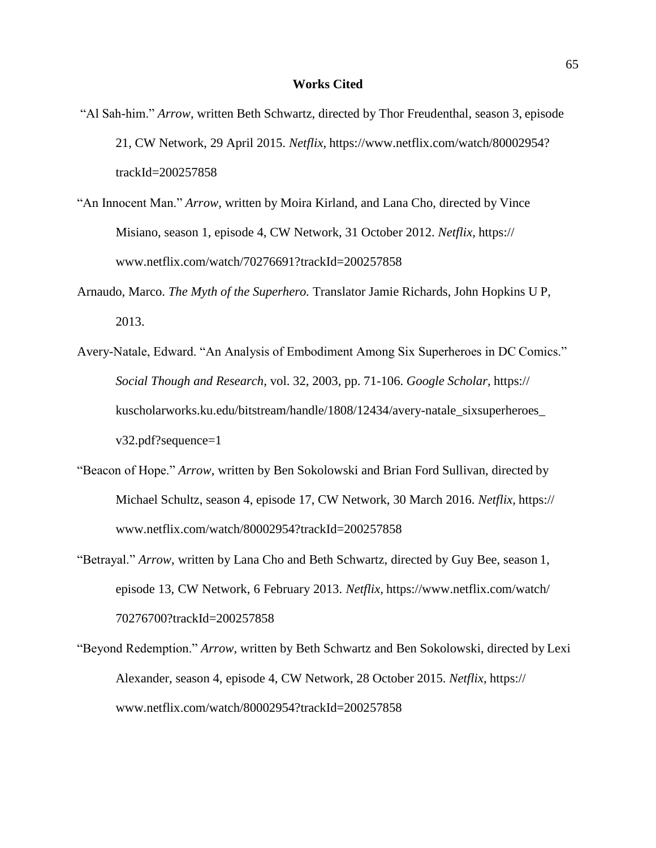- "Al Sah-him." *Arrow*, written Beth Schwartz, directed by Thor Freudenthal, season 3, episode 21, CW Network, 29 April 2015. *Netflix,* https[://www.netflix.com/watch/80002954?](http://www.netflix.com/watch/80002954) trackId=200257858
- "An Innocent Man." *Arrow,* written by Moira Kirland, and Lana Cho, directed by Vince Misiano, season 1, episode 4, CW Network, 31 October 2012. *Netflix,* https:/[/](http://www.netflix.com/watch/70276691?trackId=200257858) [www.netflix.com/watch/70276691?trackId=200257858](http://www.netflix.com/watch/70276691?trackId=200257858)
- Arnaudo, Marco. *The Myth of the Superhero.* Translator Jamie Richards, John Hopkins U P, 2013.
- Avery-Natale, Edward. "An Analysis of Embodiment Among Six Superheroes in DC Comics." *Social Though and Research,* vol. 32, 2003, pp. 71-106. *Google Scholar,* https:// kuscholarworks.ku.edu/bitstream/handle/1808/12434/avery-natale\_sixsuperheroes\_ v32.pdf?sequence=1
- "Beacon of Hope." *Arrow*, written by Ben Sokolowski and Brian Ford Sullivan, directed by Michael Schultz, season 4, episode 17, CW Network, 30 March 2016. *Netflix,* https:/[/](http://www.netflix.com/watch/80002954?trackId=200257858) [www.netflix.com/watch/80002954?trackId=200257858](http://www.netflix.com/watch/80002954?trackId=200257858)
- "Betrayal." *Arrow*, written by Lana Cho and Beth Schwartz, directed by Guy Bee, season 1, episode 13, CW Network, 6 February 2013. *Netflix,* [https://www.netflix.com/watch/](http://www.netflix.com/watch/) 70276700?trackId=200257858
- "Beyond Redemption." *Arrow,* written by Beth Schwartz and Ben Sokolowski, directed by Lexi Alexander, season 4, episode 4, CW Network, 28 October 2015. *Netflix,* https:/[/](http://www.netflix.com/watch/80002954?trackId=200257858) [www.netflix.com/watch/80002954?trackId=200257858](http://www.netflix.com/watch/80002954?trackId=200257858)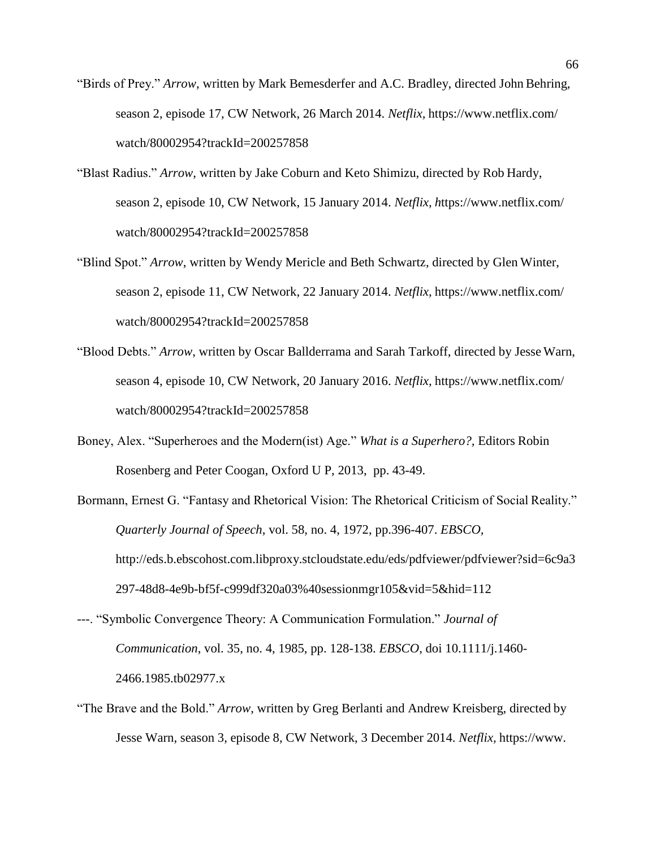- "Birds of Prey." *Arrow*, written by Mark Bemesderfer and A.C. Bradley, directed John Behring, season 2, episode 17, CW Network, 26 March 2014. *Netflix,* https:[//www.netflix.com/](http://www.netflix.com/) watch/80002954?trackId=200257858
- "Blast Radius." *Arrow*, written by Jake Coburn and Keto Shimizu, directed by Rob Hardy, season 2, episode 10, CW Network, 15 January 2014. *Netflix, h*ttps:[//www.netflix.com/](http://www.netflix.com/) watch/80002954?trackId=200257858
- "Blind Spot." *Arrow*, written by Wendy Mericle and Beth Schwartz, directed by Glen Winter, season 2, episode 11, CW Network, 22 January 2014. *Netflix,* https:[//www.netflix.com/](http://www.netflix.com/) watch/80002954?trackId=200257858
- "Blood Debts." *Arrow*, written by Oscar Ballderrama and Sarah Tarkoff, directed by Jesse Warn, season 4, episode 10, CW Network, 20 January 2016. *Netflix,* https:[//www.netflix.com/](http://www.netflix.com/) watch/80002954?trackId=200257858
- Boney, Alex. "Superheroes and the Modern(ist) Age." *What is a Superhero?,* Editors Robin Rosenberg and Peter Coogan, Oxford U P, 2013, pp. 43-49.
- Bormann, Ernest G. "Fantasy and Rhetorical Vision: The Rhetorical Criticism of Social Reality." *Quarterly Journal of Speech*, vol. 58, no. 4, 1972, pp.396-407. *EBSCO,*  <http://eds.b.ebscohost.com.libproxy.stcloudstate.edu/eds/pdfviewer/pdfviewer?sid=6c9a3> 297-48d8-4e9b-bf5f-c999df320a03%40sessionmgr105&vid=5&hid=112
- ---. "Symbolic Convergence Theory: A Communication Formulation." *Journal of Communication*, vol. 35, no. 4, 1985, pp. 128-138. *EBSCO*, doi 10.1111/j.1460- 2466.1985.tb02977.x
- "The Brave and the Bold." *Arrow*, written by Greg Berlanti and Andrew Kreisberg, directed by Jesse Warn, season 3, episode 8, CW Network, 3 December 2014. *Netflix,* [https://www.](http://www/)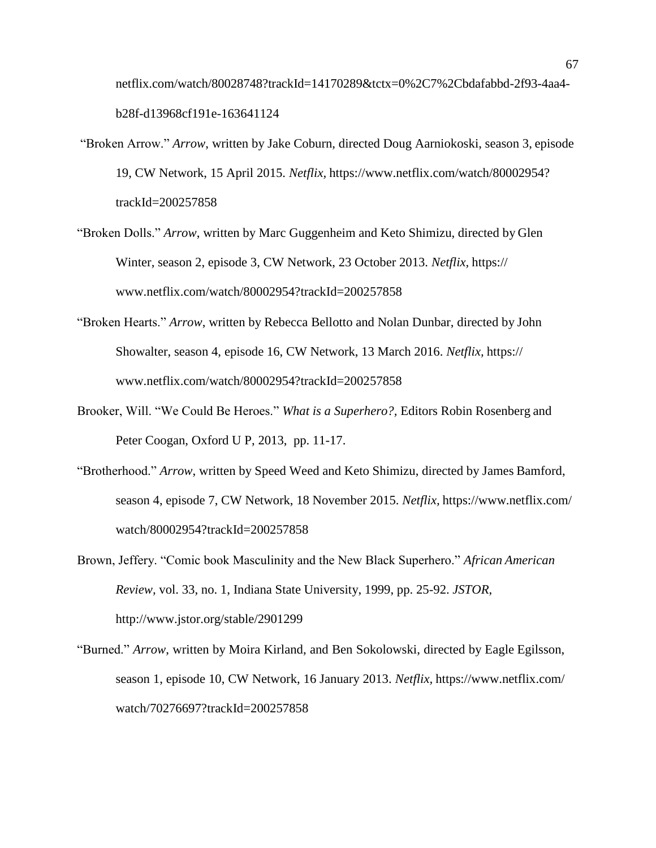netflix.com/watch/80028748?trackId=14170289&tctx=0%2C7%2Cbdafabbd-2f93-4aa4 b28f-d13968cf191e-163641124

- "Broken Arrow." *Arrow*, written by Jake Coburn, directed Doug Aarniokoski, season 3, episode 19, CW Network, 15 April 2015. *Netflix,* https[://www.netflix.com/watch/80002954?](http://www.netflix.com/watch/80002954) trackId=200257858
- "Broken Dolls." *Arrow*, written by Marc Guggenheim and Keto Shimizu, directed by Glen Winter, season 2, episode 3, CW Network, 23 October 2013. *Netflix,* https:/[/](http://www.netflix.com/watch/80002954?trackId=200257858) [www.netflix.com/watch/80002954?trackId=200257858](http://www.netflix.com/watch/80002954?trackId=200257858)
- "Broken Hearts." *Arrow*, written by Rebecca Bellotto and Nolan Dunbar, directed by John Showalter, season 4, episode 16, CW Network, 13 March 2016. *Netflix,* https:/[/](http://www.netflix.com/watch/80002954?trackId=200257858) [www.netflix.com/watch/80002954?trackId=200257858](http://www.netflix.com/watch/80002954?trackId=200257858)
- Brooker, Will. "We Could Be Heroes." *What is a Superhero?,* Editors Robin Rosenberg and Peter Coogan, Oxford U P, 2013, pp. 11-17.
- "Brotherhood." *Arrow*, written by Speed Weed and Keto Shimizu, directed by James Bamford, season 4, episode 7, CW Network, 18 November 2015. *Netflix,* https:[//www.netflix.com/](http://www.netflix.com/) watch/80002954?trackId=200257858
- Brown, Jeffery. "Comic book Masculinity and the New Black Superhero." *African American Review,* vol. 33, no. 1, Indiana State University, 1999, pp. 25-92. *JSTOR*[,](http://www.jstor.org/stable/2901299) <http://www.jstor.org/stable/2901299>
- "Burned." *Arrow*, written by Moira Kirland, and Ben Sokolowski, directed by Eagle Egilsson, season 1, episode 10, CW Network, 16 January 2013. *Netflix,* https:[//www.netflix.com/](http://www.netflix.com/) watch/70276697?trackId=200257858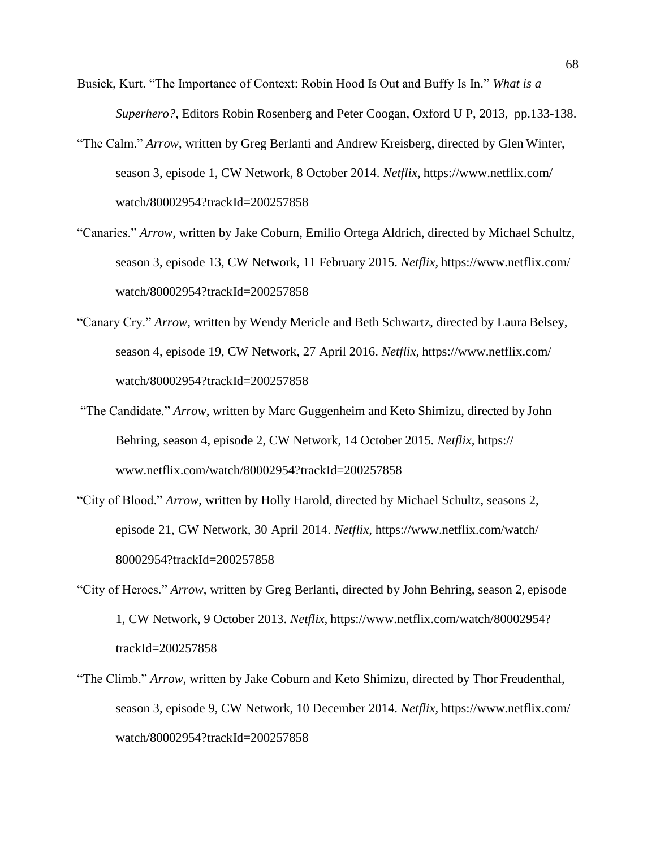- Busiek, Kurt. "The Importance of Context: Robin Hood Is Out and Buffy Is In." *What is a Superhero?,* Editors Robin Rosenberg and Peter Coogan, Oxford U P, 2013, pp.133-138.
- "The Calm." *Arrow*, written by Greg Berlanti and Andrew Kreisberg, directed by Glen Winter, season 3, episode 1, CW Network, 8 October 2014. *Netflix,* https:[//www.netflix.com/](http://www.netflix.com/) watch/80002954?trackId=200257858
- "Canaries." *Arrow,* written by Jake Coburn, Emilio Ortega Aldrich, directed by Michael Schultz, season 3, episode 13, CW Network, 11 February 2015. *Netflix,* [https://www.netflix.com/](http://www.netflix.com/) watch/80002954?trackId=200257858
- "Canary Cry." *Arrow,* written by Wendy Mericle and Beth Schwartz, directed by Laura Belsey, season 4, episode 19, CW Network, 27 April 2016. *Netflix,* https:[//www.netflix.com/](http://www.netflix.com/) watch/80002954?trackId=200257858
- "The Candidate." *Arrow*, written by Marc Guggenheim and Keto Shimizu, directed by John Behring, season 4, episode 2, CW Network, 14 October 2015. *Netflix,* https:/[/](http://www.netflix.com/watch/80002954?trackId=200257858) [www.netflix.com/watch/80002954?trackId=200257858](http://www.netflix.com/watch/80002954?trackId=200257858)
- "City of Blood." *Arrow*, written by Holly Harold, directed by Michael Schultz, seasons 2, episode 21, CW Network, 30 April 2014. *Netflix,* [https://www.netflix.com/watch/](http://www.netflix.com/watch/) 80002954?trackId=200257858
- "City of Heroes." *Arrow*, written by Greg Berlanti, directed by John Behring, season 2, episode 1, CW Network, 9 October 2013. *Netflix,* [https://www.netflix.com/watch/80002954?](http://www.netflix.com/watch/80002954) trackId=200257858
- "The Climb." *Arrow*, written by Jake Coburn and Keto Shimizu, directed by Thor Freudenthal, season 3, episode 9, CW Network, 10 December 2014. *Netflix,* https:[//www.netflix.com/](http://www.netflix.com/) watch/80002954?trackId=200257858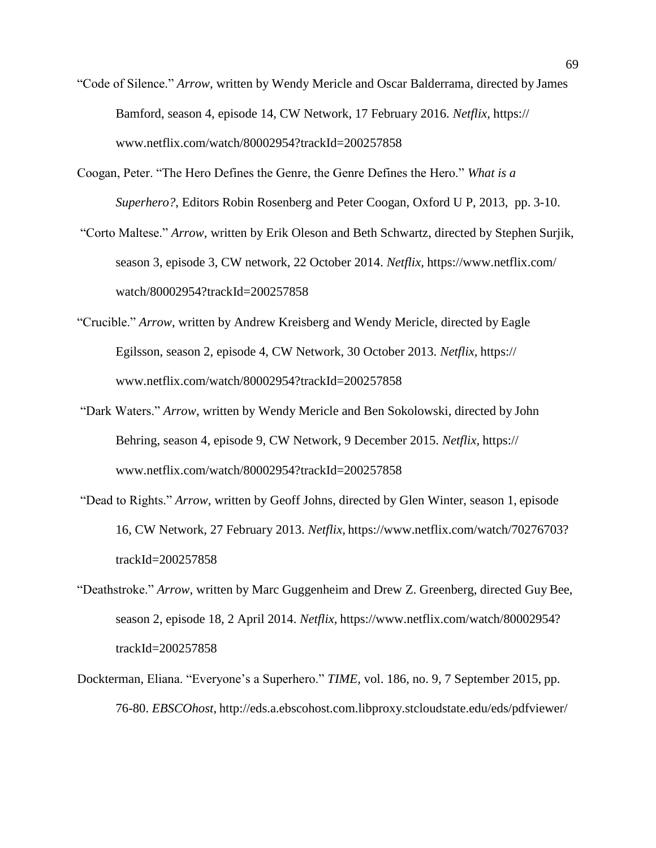- "Code of Silence." *Arrow,* written by Wendy Mericle and Oscar Balderrama, directed by James Bamford, season 4, episode 14, CW Network, 17 February 2016. *Netflix,* https:/[/](http://www.netflix.com/watch/80002954?trackId=200257858) [www.netflix.com/watch/80002954?trackId=200257858](http://www.netflix.com/watch/80002954?trackId=200257858)
- Coogan, Peter. "The Hero Defines the Genre, the Genre Defines the Hero." *What is a Superhero?*, Editors Robin Rosenberg and Peter Coogan, Oxford U P, 2013, pp. 3-10.
- "Corto Maltese." *Arrow*, written by Erik Oleson and Beth Schwartz, directed by Stephen Surjik, season 3, episode 3, CW network, 22 October 2014. *Netflix,* https:[//www.netflix.com/](http://www.netflix.com/) watch/80002954?trackId=200257858
- "Crucible." *Arrow*, written by Andrew Kreisberg and Wendy Mericle, directed by Eagle Egilsson, season 2, episode 4, CW Network, 30 October 2013. *Netflix,* https:/[/](http://www.netflix.com/watch/80002954?trackId=200257858) [www.netflix.com/watch/80002954?trackId=200257858](http://www.netflix.com/watch/80002954?trackId=200257858)
- "Dark Waters." *Arrow*, written by Wendy Mericle and Ben Sokolowski, directed by John Behring, season 4, episode 9, CW Network, 9 December 2015. *Netflix,* https:/[/](http://www.netflix.com/watch/80002954?trackId=200257858) [www.netflix.com/watch/80002954?trackId=200257858](http://www.netflix.com/watch/80002954?trackId=200257858)
- "Dead to Rights." *Arrow*, written by Geoff Johns, directed by Glen Winter, season 1, episode 16, CW Network, 27 February 2013. *Netflix,* [https://www.netflix.com/watch/70276703?](http://www.netflix.com/watch/70276703) trackId=200257858
- "Deathstroke." *Arrow*, written by Marc Guggenheim and Drew Z. Greenberg, directed Guy Bee, season 2, episode 18, 2 April 2014. *Netflix,* https:/[/www.netflix.com/watch/80002954?](http://www.netflix.com/watch/80002954) trackId=200257858
- Dockterman, Eliana. "Everyone's a Superhero." *TIME,* vol. 186, no. 9, 7 September 2015, pp. 76-80. *EBSCOhost*, <http://eds.a.ebscohost.com.libproxy.stcloudstate.edu/eds/pdfviewer/>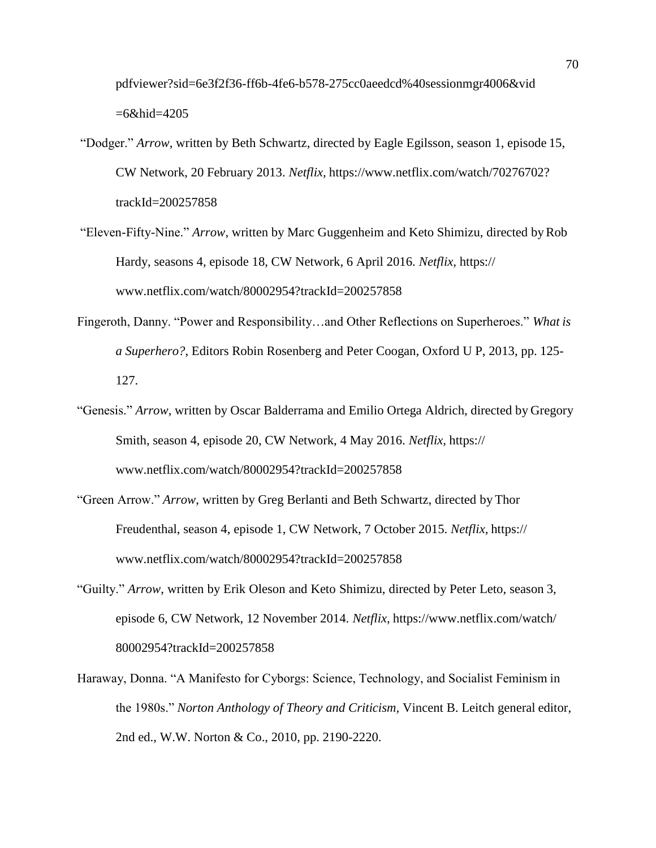pdfviewer?sid=6e3f2f36-ff6b-4fe6-b578-275cc0aeedcd%40sessionmgr4006&vid =6&hid=4205

- "Dodger." *Arrow*, written by Beth Schwartz, directed by Eagle Egilsson, season 1, episode 15, CW Network, 20 February 2013. *Netflix,* [https://www.netflix.com/watch/70276702?](http://www.netflix.com/watch/70276702) trackId=200257858
- "Eleven-Fifty-Nine." *Arrow*, written by Marc Guggenheim and Keto Shimizu, directed byRob Hardy, seasons 4, episode 18, CW Network, 6 April 2016. *Netflix,* https:/[/](http://www.netflix.com/watch/80002954?trackId=200257858) [www.netflix.com/watch/80002954?trackId=200257858](http://www.netflix.com/watch/80002954?trackId=200257858)
- Fingeroth, Danny. "Power and Responsibility…and Other Reflections on Superheroes." *What is a Superhero?*, Editors Robin Rosenberg and Peter Coogan, Oxford U P, 2013, pp. 125- 127.
- "Genesis." *Arrow*, written by Oscar Balderrama and Emilio Ortega Aldrich, directed by Gregory Smith, season 4, episode 20, CW Network, 4 May 2016. *Netflix,* https:/[/](http://www.netflix.com/watch/80002954?trackId=200257858) [www.netflix.com/watch/80002954?trackId=200257858](http://www.netflix.com/watch/80002954?trackId=200257858)
- "Green Arrow." *Arrow*, written by Greg Berlanti and Beth Schwartz, directed by Thor Freudenthal, season 4, episode 1, CW Network, 7 October 2015. *Netflix,* https:/[/](http://www.netflix.com/watch/80002954?trackId=200257858) [www.netflix.com/watch/80002954?trackId=200257858](http://www.netflix.com/watch/80002954?trackId=200257858)
- "Guilty." *Arrow*, written by Erik Oleson and Keto Shimizu, directed by Peter Leto, season 3, episode 6, CW Network, 12 November 2014. *Netflix,* [https://www.netflix.com/watch/](http://www.netflix.com/watch/) 80002954?trackId=200257858
- Haraway, Donna. "A Manifesto for Cyborgs: Science, Technology, and Socialist Feminism in the 1980s." *Norton Anthology of Theory and Criticism,* Vincent B. Leitch general editor, 2nd ed., W.W. Norton & Co., 2010, pp. 2190-2220.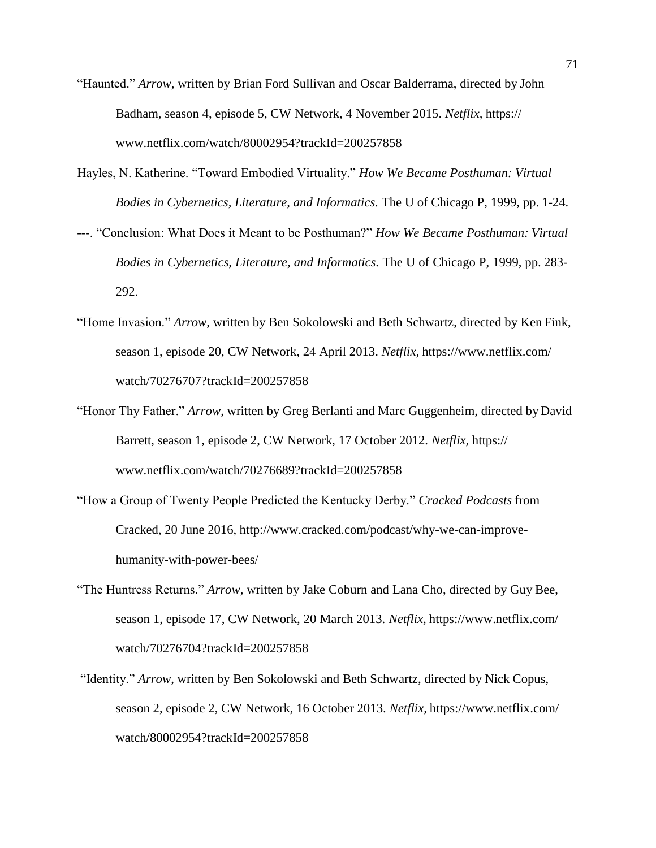- "Haunted." *Arrow*, written by Brian Ford Sullivan and Oscar Balderrama, directed by John Badham, season 4, episode 5, CW Network, 4 November 2015. *Netflix,* https:/[/](http://www.netflix.com/watch/80002954?trackId=200257858) [www.netflix.com/watch/80002954?trackId=200257858](http://www.netflix.com/watch/80002954?trackId=200257858)
- Hayles, N. Katherine. "Toward Embodied Virtuality." *How We Became Posthuman: Virtual Bodies in Cybernetics, Literature, and Informatics.* The U of Chicago P, 1999, pp. 1-24.
- ---. "Conclusion: What Does it Meant to be Posthuman?" *How We Became Posthuman: Virtual Bodies in Cybernetics, Literature, and Informatics.* The U of Chicago P, 1999, pp. 283- 292.
- "Home Invasion." *Arrow,* written by Ben Sokolowski and Beth Schwartz, directed by Ken Fink, season 1, episode 20, CW Network, 24 April 2013. *Netflix,* https:[//www.netflix.com/](http://www.netflix.com/) watch/70276707?trackId=200257858
- "Honor Thy Father." *Arrow*, written by Greg Berlanti and Marc Guggenheim, directed byDavid Barrett, season 1, episode 2, CW Network, 17 October 2012. *Netflix,* https:/[/](http://www.netflix.com/watch/70276689?trackId=200257858) [www.netflix.com/watch/70276689?trackId=200257858](http://www.netflix.com/watch/70276689?trackId=200257858)
- "How a Group of Twenty People Predicted the Kentucky Derby." *Cracked Podcasts* from Cracked, 20 June 2016, [http://www.cracked.com/podcast/why-we-can-improve](http://www.cracked.com/podcast/why-we-can-improve-)humanity-with-power-bees/
- "The Huntress Returns." *Arrow,* written by Jake Coburn and Lana Cho, directed by Guy Bee, season 1, episode 17, CW Network, 20 March 2013. *Netflix,* https:[//www.netflix.com/](http://www.netflix.com/) watch/70276704?trackId=200257858
- "Identity." *Arrow*, written by Ben Sokolowski and Beth Schwartz, directed by Nick Copus, season 2, episode 2, CW Network, 16 October 2013. *Netflix,* https:[//www.netflix.com/](http://www.netflix.com/) watch/80002954?trackId=200257858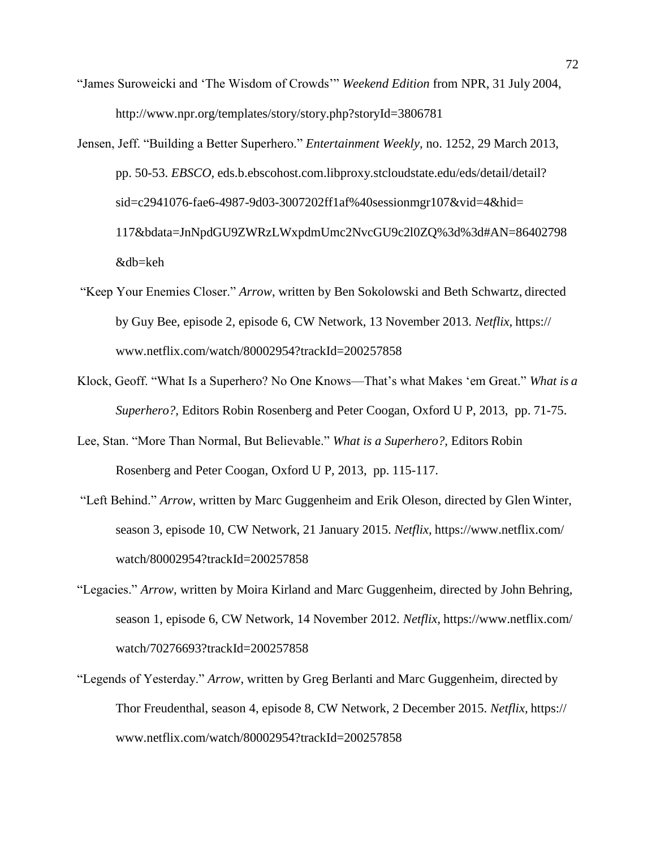- "James Suroweicki and 'The Wisdom of Crowds'" *Weekend Edition* from NPR, 31 July 2004[,](http://www.npr.org/templates/story/story.php?storyId=3806781) <http://www.npr.org/templates/story/story.php?storyId=3806781>
- Jensen, Jeff. "Building a Better Superhero." *Entertainment Weekly,* no. 1252, 29 March 2013, pp. 50-53. *EBSCO,* eds.b.ebscohost.com.libproxy.stcloudstate.edu/eds/detail/detail? sid=c2941076-fae6-4987-9d03-3007202ff1af%40sessionmgr107&vid=4&hid= 117&bdata=JnNpdGU9ZWRzLWxpdmUmc2NvcGU9c2l0ZQ%3d%3d#AN=86402798 &db=keh
- "Keep Your Enemies Closer." *Arrow*, written by Ben Sokolowski and Beth Schwartz, directed by Guy Bee, episode 2, episode 6, CW Network, 13 November 2013. *Netflix,* https:/[/](http://www.netflix.com/watch/80002954?trackId=200257858) [www.netflix.com/watch/80002954?trackId=200257858](http://www.netflix.com/watch/80002954?trackId=200257858)
- Klock, Geoff. "What Is a Superhero? No One Knows—That's what Makes 'em Great." *What is a Superhero?,* Editors Robin Rosenberg and Peter Coogan, Oxford U P, 2013, pp. 71-75.
- Lee, Stan. "More Than Normal, But Believable." *What is a Superhero?,* Editors Robin Rosenberg and Peter Coogan, Oxford U P, 2013, pp. 115-117.
- "Left Behind." *Arrow*, written by Marc Guggenheim and Erik Oleson, directed by Glen Winter, season 3, episode 10, CW Network, 21 January 2015. *Netflix,* https:[//www.netflix.com/](http://www.netflix.com/) watch/80002954?trackId=200257858
- "Legacies." *Arrow,* written by Moira Kirland and Marc Guggenheim, directed by John Behring, season 1, episode 6, CW Network, 14 November 2012. *Netflix,* https:[//www.netflix.com/](http://www.netflix.com/) watch/70276693?trackId=200257858
- "Legends of Yesterday." *Arrow*, written by Greg Berlanti and Marc Guggenheim, directed by Thor Freudenthal, season 4, episode 8, CW Network, 2 December 2015. *Netflix,* https:/[/](http://www.netflix.com/watch/80002954?trackId=200257858) [www.netflix.com/watch/80002954?trackId=200257858](http://www.netflix.com/watch/80002954?trackId=200257858)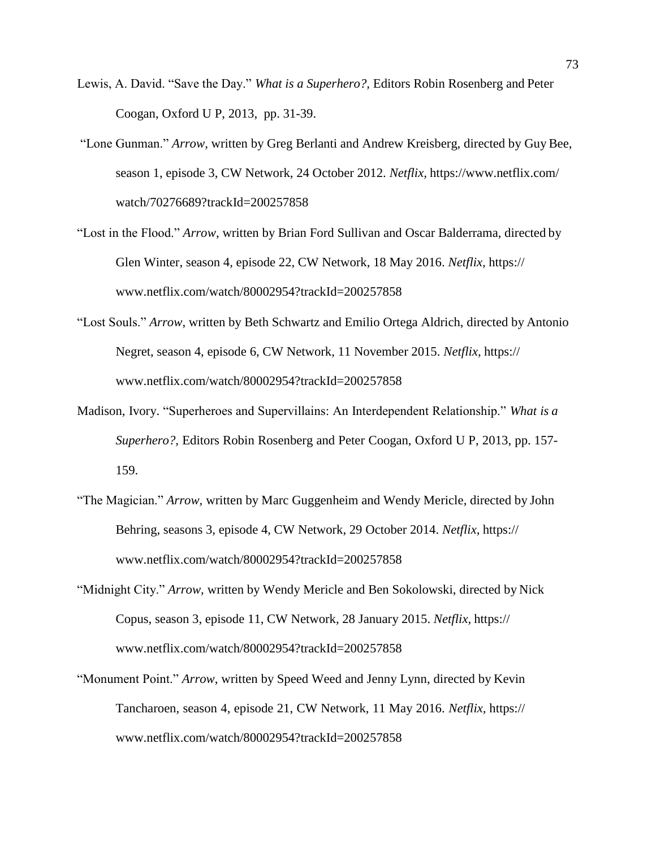- Lewis, A. David. "Save the Day." *What is a Superhero?,* Editors Robin Rosenberg and Peter Coogan, Oxford U P, 2013, pp. 31-39.
- "Lone Gunman." *Arrow,* written by Greg Berlanti and Andrew Kreisberg, directed by Guy Bee, season 1, episode 3, CW Network, 24 October 2012. *Netflix,* https:[//www.netflix.com/](http://www.netflix.com/) watch/70276689?trackId=200257858
- "Lost in the Flood." *Arrow*, written by Brian Ford Sullivan and Oscar Balderrama, directed by Glen Winter, season 4, episode 22, CW Network, 18 May 2016. *Netflix,* https:/[/](http://www.netflix.com/watch/80002954?trackId=200257858) [www.netflix.com/watch/80002954?trackId=200257858](http://www.netflix.com/watch/80002954?trackId=200257858)
- "Lost Souls." *Arrow*, written by Beth Schwartz and Emilio Ortega Aldrich, directed by Antonio Negret, season 4, episode 6, CW Network, 11 November 2015. *Netflix,* https:/[/](http://www.netflix.com/watch/80002954?trackId=200257858) [www.netflix.com/watch/80002954?trackId=200257858](http://www.netflix.com/watch/80002954?trackId=200257858)
- Madison, Ivory. "Superheroes and Supervillains: An Interdependent Relationship." *What is a Superhero?,* Editors Robin Rosenberg and Peter Coogan, Oxford U P, 2013, pp. 157- 159.
- "The Magician." *Arrow,* written by Marc Guggenheim and Wendy Mericle, directed by John Behring, seasons 3, episode 4, CW Network, 29 October 2014. *Netflix,* https:/[/](http://www.netflix.com/watch/80002954?trackId=200257858) [www.netflix.com/watch/80002954?trackId=200257858](http://www.netflix.com/watch/80002954?trackId=200257858)
- "Midnight City." *Arrow,* written by Wendy Mericle and Ben Sokolowski, directed by Nick Copus, season 3, episode 11, CW Network, 28 January 2015. *Netflix,* https:/[/](http://www.netflix.com/watch/80002954?trackId=200257858) [www.netflix.com/watch/80002954?trackId=200257858](http://www.netflix.com/watch/80002954?trackId=200257858)
- "Monument Point." *Arrow*, written by Speed Weed and Jenny Lynn, directed by Kevin Tancharoen, season 4, episode 21, CW Network, 11 May 2016. *Netflix,* https:/[/](http://www.netflix.com/watch/80002954?trackId=200257858) [www.netflix.com/watch/80002954?trackId=200257858](http://www.netflix.com/watch/80002954?trackId=200257858)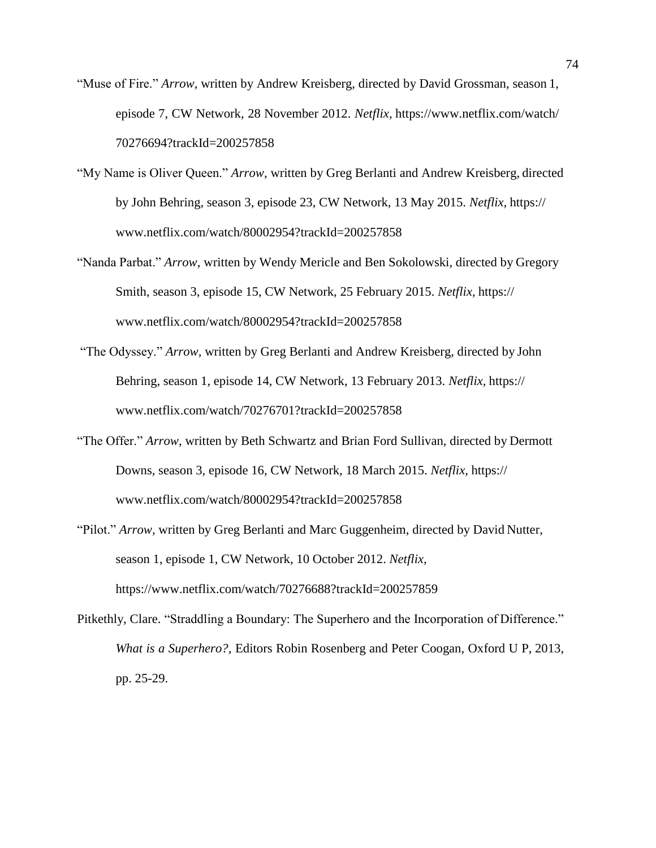- "Muse of Fire." *Arrow*, written by Andrew Kreisberg, directed by David Grossman, season 1, episode 7, CW Network, 28 November 2012. *Netflix,* [https://www.netflix.com/watch/](http://www.netflix.com/watch/) 70276694?trackId=200257858
- "My Name is Oliver Queen." *Arrow*, written by Greg Berlanti and Andrew Kreisberg, directed by John Behring, season 3, episode 23, CW Network, 13 May 2015. *Netflix,* https:/[/](http://www.netflix.com/watch/80002954?trackId=200257858) [www.netflix.com/watch/80002954?trackId=200257858](http://www.netflix.com/watch/80002954?trackId=200257858)
- "Nanda Parbat." *Arrow*, written by Wendy Mericle and Ben Sokolowski, directed by Gregory Smith, season 3, episode 15, CW Network, 25 February 2015. *Netflix,* https:/[/](http://www.netflix.com/watch/80002954?trackId=200257858) [www.netflix.com/watch/80002954?trackId=200257858](http://www.netflix.com/watch/80002954?trackId=200257858)
- "The Odyssey." *Arrow,* written by Greg Berlanti and Andrew Kreisberg, directed by John Behring, season 1, episode 14, CW Network, 13 February 2013. *Netflix,* https:/[/](http://www.netflix.com/watch/70276701?trackId=200257858) [www.netflix.com/watch/70276701?trackId=200257858](http://www.netflix.com/watch/70276701?trackId=200257858)
- "The Offer." *Arrow*, written by Beth Schwartz and Brian Ford Sullivan, directed by Dermott Downs, season 3, episode 16, CW Network, 18 March 2015. *Netflix,* https:/[/](http://www.netflix.com/watch/80002954?trackId=200257858) [www.netflix.com/watch/80002954?trackId=200257858](http://www.netflix.com/watch/80002954?trackId=200257858)
- "Pilot." *Arrow,* written by Greg Berlanti and Marc Guggenheim, directed by David Nutter, season 1, episode 1, CW Network, 10 October 2012. *Netflix*[,](http://www.netflix.com/watch/70276688?trackId=200257859) [https://www.netflix.com/watch/70276688?trackId=200257859](http://www.netflix.com/watch/70276688?trackId=200257859)
- Pitkethly, Clare. "Straddling a Boundary: The Superhero and the Incorporation of Difference." *What is a Superhero?,* Editors Robin Rosenberg and Peter Coogan, Oxford U P, 2013, pp. 25-29.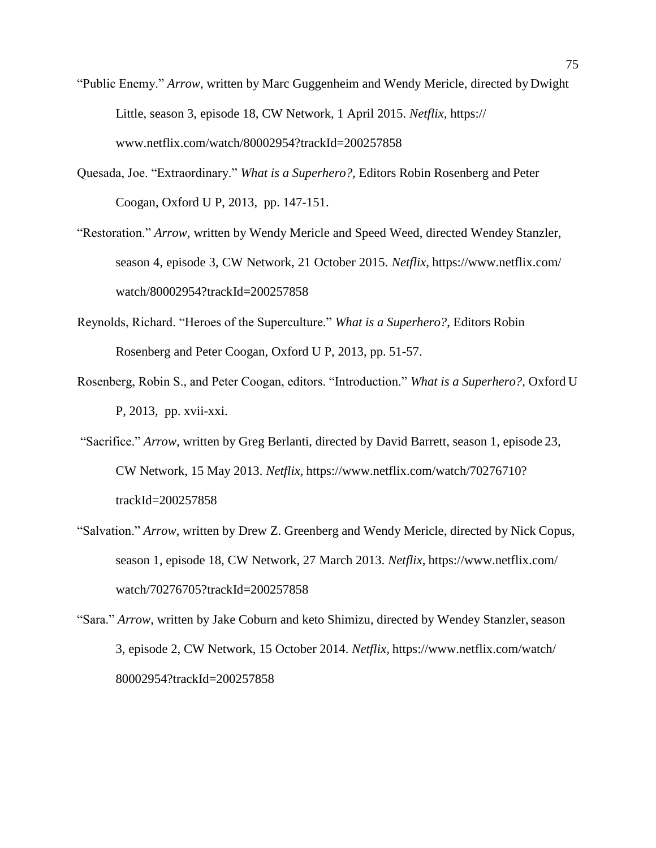- "Public Enemy." *Arrow,* written by Marc Guggenheim and Wendy Mericle, directed by Dwight Little, season 3, episode 18, CW Network, 1 April 2015. *Netflix,* https:/[/](http://www.netflix.com/watch/80002954?trackId=200257858) [www.netflix.com/watch/80002954?trackId=200257858](http://www.netflix.com/watch/80002954?trackId=200257858)
- Quesada, Joe. "Extraordinary." *What is a Superhero?,* Editors Robin Rosenberg and Peter Coogan, Oxford U P, 2013, pp. 147-151.
- "Restoration." *Arrow,* written by Wendy Mericle and Speed Weed, directed Wendey Stanzler, season 4, episode 3, CW Network, 21 October 2015. *Netflix,* https:[//www.netflix.com/](http://www.netflix.com/) watch/80002954?trackId=200257858
- Reynolds, Richard. "Heroes of the Superculture." *What is a Superhero?,* Editors Robin Rosenberg and Peter Coogan, Oxford U P, 2013, pp. 51-57.
- Rosenberg, Robin S., and Peter Coogan, editors. "Introduction." *What is a Superhero?*, Oxford U P, 2013, pp. xvii-xxi.
- "Sacrifice." *Arrow*, written by Greg Berlanti, directed by David Barrett, season 1, episode 23, CW Network, 15 May 2013. *Netflix,* https:[//www.netflix.com/watch/70276710?](http://www.netflix.com/watch/70276710) trackId=200257858
- "Salvation." *Arrow*, written by Drew Z. Greenberg and Wendy Mericle, directed by Nick Copus, season 1, episode 18, CW Network, 27 March 2013. *Netflix,* https:[//www.netflix.com/](http://www.netflix.com/) watch/70276705?trackId=200257858
- "Sara." *Arrow*, written by Jake Coburn and keto Shimizu, directed by Wendey Stanzler, season 3, episode 2, CW Network, 15 October 2014. *Netflix,* [https://www.netflix.com/watch/](http://www.netflix.com/watch/) 80002954?trackId=200257858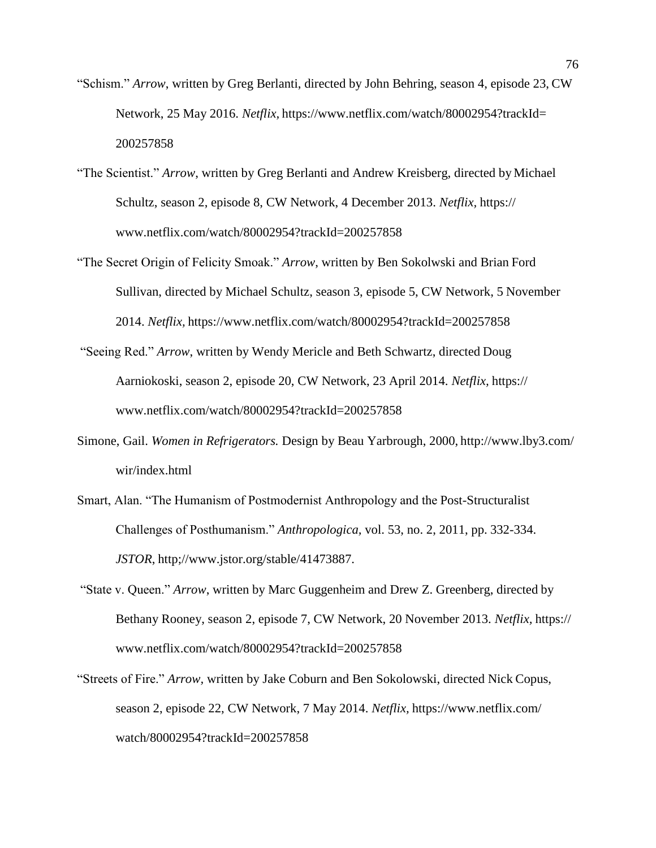- "Schism." *Arrow*, written by Greg Berlanti, directed by John Behring, season 4, episode 23, CW Network, 25 May 2016. *Netflix,* https:[//www.netflix.com/watch/80002954?trackId=](http://www.netflix.com/watch/80002954?trackId) 200257858
- "The Scientist." *Arrow*, written by Greg Berlanti and Andrew Kreisberg, directed byMichael Schultz, season 2, episode 8, CW Network, 4 December 2013. *Netflix,* https:/[/](http://www.netflix.com/watch/80002954?trackId=200257858) [www.netflix.com/watch/80002954?trackId=200257858](http://www.netflix.com/watch/80002954?trackId=200257858)
- "The Secret Origin of Felicity Smoak." *Arrow*, written by Ben Sokolwski and Brian Ford Sullivan, directed by Michael Schultz, season 3, episode 5, CW Network, 5 November 2014. *Netflix,* https:[//www.netflix.com/watch/80002954?trackId=200257858](http://www.netflix.com/watch/80002954?trackId=200257858)
- "Seeing Red." *Arrow*, written by Wendy Mericle and Beth Schwartz, directed Doug Aarniokoski, season 2, episode 20, CW Network, 23 April 2014. *Netflix,* https:/[/](http://www.netflix.com/watch/80002954?trackId=200257858) [www.netflix.com/watch/80002954?trackId=200257858](http://www.netflix.com/watch/80002954?trackId=200257858)
- Simone, Gail. *Women in Refrigerators.* Design by Beau Yarbrough, 2000, <http://www.lby3.com/> wir/index.html
- Smart, Alan. "The Humanism of Postmodernist Anthropology and the Post-Structuralist Challenges of Posthumanism." *Anthropologica,* vol. 53, no. 2, 2011, pp. 332-334. *JSTOR*, [http;//www.jstor.org/stable/41473887.](http://www.jstor.org/stable/41473887)
- "State v. Queen." *Arrow*, written by Marc Guggenheim and Drew Z. Greenberg, directed by Bethany Rooney, season 2, episode 7, CW Network, 20 November 2013. *Netflix,* https:/[/](http://www.netflix.com/watch/80002954?trackId=200257858) [www.netflix.com/watch/80002954?trackId=200257858](http://www.netflix.com/watch/80002954?trackId=200257858)
- "Streets of Fire." *Arrow,* written by Jake Coburn and Ben Sokolowski, directed Nick Copus, season 2, episode 22, CW Network, 7 May 2014. *Netflix,* https:[//www.netflix.com/](http://www.netflix.com/) watch/80002954?trackId=200257858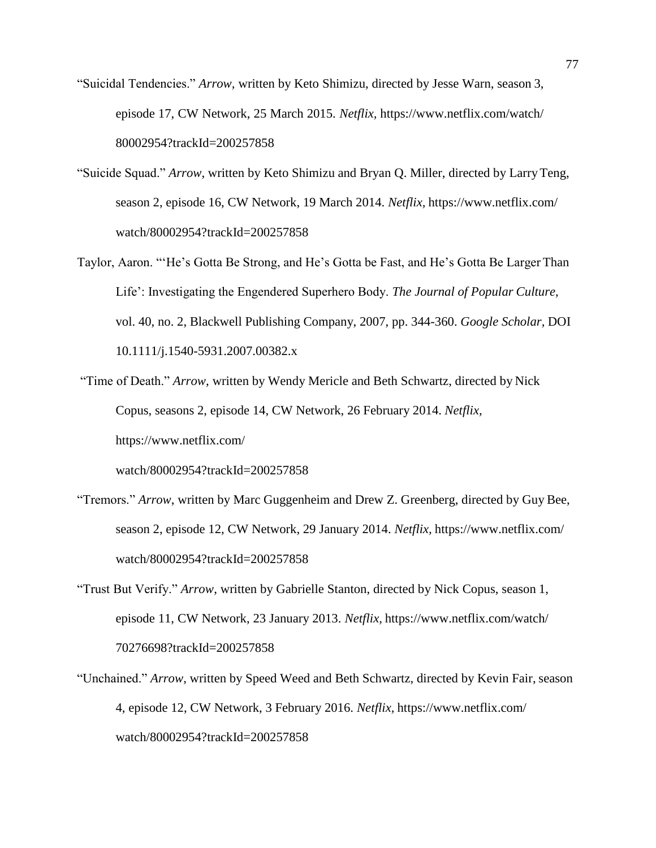- "Suicidal Tendencies." *Arrow,* written by Keto Shimizu, directed by Jesse Warn, season 3, episode 17, CW Network, 25 March 2015. *Netflix,* [https://www.netflix.com/watch/](http://www.netflix.com/watch/) 80002954?trackId=200257858
- "Suicide Squad." *Arrow*, written by Keto Shimizu and Bryan Q. Miller, directed by LarryTeng, season 2, episode 16, CW Network, 19 March 2014. *Netflix,* https:[//www.netflix.com/](http://www.netflix.com/) watch/80002954?trackId=200257858
- Taylor, Aaron. "'He's Gotta Be Strong, and He's Gotta be Fast, and He's Gotta Be Larger Than Life': Investigating the Engendered Superhero Body. *The Journal of Popular Culture*, vol. 40, no. 2, Blackwell Publishing Company, 2007, pp. 344-360. *Google Scholar,* DOI 10.1111/j.1540-5931.2007.00382.x
- "Time of Death." *Arrow*, written by Wendy Mericle and Beth Schwartz, directed by Nick Copus, seasons 2, episode 14, CW Network, 26 February 2014. *Netflix,*  [https://www.netflix.com/](http://www.netflix.com/)

watch/80002954?trackId=200257858

- "Tremors." *Arrow*, written by Marc Guggenheim and Drew Z. Greenberg, directed by Guy Bee, season 2, episode 12, CW Network, 29 January 2014. *Netflix,* https:[//www.netflix.com/](http://www.netflix.com/) watch/80002954?trackId=200257858
- "Trust But Verify." *Arrow*, written by Gabrielle Stanton, directed by Nick Copus, season 1, episode 11, CW Network, 23 January 2013. *Netflix,* [https://www.netflix.com/watch/](http://www.netflix.com/watch/) 70276698?trackId=200257858
- "Unchained." *Arrow*, written by Speed Weed and Beth Schwartz, directed by Kevin Fair, season 4, episode 12, CW Network, 3 February 2016. *Netflix,* https:[//www.netflix.com/](http://www.netflix.com/) watch/80002954?trackId=200257858